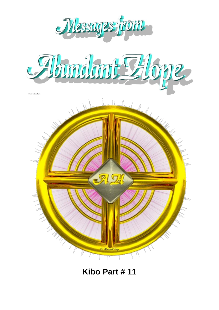

# **Kibo Part # 11**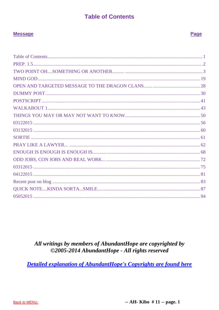# **Table of Contents**

Page

### <span id="page-1-0"></span>**Message**

# All writings by members of AbundantHope are copyrighted by ©2005-2014 AbundantHope - All rights reserved

**Detailed explanation of AbundantHope's Copyrights are found here** 

-- AH- Kibo  $# 11$  -- page. 1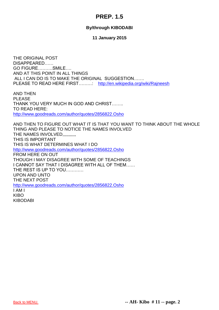# **PREP. 1.5**

### **By/through KIBODABI**

#### **11 January 2015**

<span id="page-2-0"></span>THE ORIGINAL POST DISAPPEARED…… GO FIGURE……….SMILE…. AND AT THIS POINT IN ALL THINGS ALL I CAN DO IS TO MAKE THE ORIGINAL SUGGESTION……. PLEASE TO READ HERE FIRST………: <http://en.wikipedia.org/wiki/Rajneesh>

AND THEN PLEASE THANK YOU VERY MUCH IN GOD AND CHRIST…….. TO READ HERE: <http://www.goodreads.com/author/quotes/2856822.Osho>

AND THEN TO FIGURE OUT WHAT IT IS THAT YOU WANT TO THINK ABOUT THE WHOLE THING AND PLEASE TO NOTICE THE NAMES INVOLVED THE NAMES INVOLVED,,,,,,,,,,, THIS IS IMPORTANT THIS IS WHAT DETERMINES WHAT I DO <http://www.goodreads.com/author/quotes/2856822.Osho> FROM HERE ON OUT THOUGH I MAY DISAGREE WITH SOME OF TEACHINGS I CANNOT SAY THAT I DISAGREE WITH ALL OF THEM…… THE REST IS UP TO YOU………… UPON AND UNTO THE NEXT POST <http://www.goodreads.com/author/quotes/2856822.Osho> I AM I KIBO KIBODABI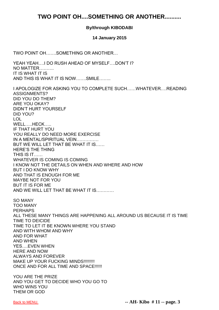# <span id="page-3-0"></span>**TWO POINT OH....SOMETHING OR ANOTHER..........**

### **By/through KIBODABI**

#### **14 January 2015**

TWO POINT OH…….SOMETHING OR ANOTHER…

YEAH YEAH….I DO RUSH AHEAD OF MYSELF….DON'T I? NO MATTER………. IT IS WHAT IT IS AND THIS IS WHAT IT IS NOW…….SMILE……..

I APOLOGIZE FOR ASKING YOU TO COMPLETE SUCH……WHATEVER….READING ASSIGNMENTS? DID YOU DO THEM? ARE YOU OKAY? DIDN'T HURT YOURSELF DID YOU? LOL WELL….HECK….. IF THAT HURT YOU YOU REALLY DO NEED MORE EXERCISE IN A MENTAL/SPIRITUAL VEIN…………… BUT WE WILL LET THAT BE WHAT IT IS…… HERE'S THE THING THIS IS IT…… WHATEVER IS COMING IS COMING I KNOW NOT THE DETAILS ON WHEN AND WHERE AND HOW BUT I DO KNOW WHY AND THAT IS ENOUGH FOR ME MAYBE NOT FOR YOU BUT IT IS FOR ME AND WE WILL LET THAT BE WHAT IT IS………… SO MANY TOO MANY PERHAPS ALL THESE MANY THINGS ARE HAPPENING ALL AROUND US BECAUSE IT IS TIME TIME TO DEICIDE TIME TO LET IT BE KNOWN WHERE YOU STAND AND WITH WHOM AND WHY AND FOR WHAT AND WHEN YES….EVEN WHEN HERE AND NOW ALWAYS AND FOREVER MAKE UP YOUR FUCKING MINDS!!!!!!!!! ONCE AND FOR ALL TIME AND SPACE!!!!!! YOU ARE THE PRIZE AND YOU GET TO DECIDE WHO YOU GO TO WHO WINS YOU

THEM OR GOD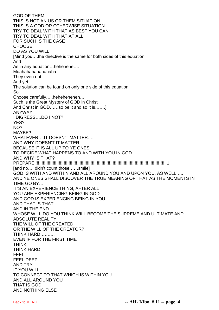GOD OF THEM THIS IS NOT AN US OR THEM SITUATION THIS IS A GOD OR OTHERWISE SITUATION TRY TO DEAL WITH THAT AS BEST YOU CAN TRY TO DEAL WITH THAT AT ALL FOR SUCH IS THE CASE **CHOOSE** DO AS YOU WILL [Mind you….the directive is the same for both sides of this equation And As in any equation…hehehehe…. Muahahahahahahaha They even out And yet The solution can be found on only one side of this equation So Choose carefully…..heheheheheh…. Such is the Great Mystery of GOD in Christ And Christ in GOD……so be it and so it is…….] ANYWAY I DIGRESS….DO I NOT? YES? NO? MAYBE? WHATEVER….IT DOESN'T MATTER….. AND WHY DOESN'T IT MATTER BECAUSE IT IS ALL UP TO YE ONES TO DECIDE WHAT HAPPENS TO AND WITH YOU IN GOD AND WHY IS THAT? PREPARE!!!!!!!!!!!!!!!!!!!!!!!!!!!!!!!!!!!!!!!!!!!!!!!!!!!!!!!!!!!!!!!!!!!!!!!!!!!!!!!!!!!!!!!!!!!!!!!!!!!!!!!!!!!!1 [and no…I didn't count those……smile] GOD IS WITH AND WITHIN AND ALL AROUND YOU AND UPON YOU, AS WELL….. AND YE ONES SHALL DISCOVER THE TRUE MEANING OF THAT AS THE MOMENTS IN TIME GO BY…. IT'S AN EXPERIENCE THING, AFTER ALL YOU ARE EXPERIENCING BEING IN GOD AND GOD IS EXPERIENCING BEING IN YOU AND THAT IS THAT AND IN THE END WHOSE WILL DO YOU THINK WILL BECOME THE SUPREME AND ULTIMATE AND ABSOLUTE REALITY THE WILL OF THE CREATED OR THE WILL OF THE CREATOR? THINK HARD………. EVEN IF FOR THE FIRST TIME THINK THINK HARD FEEL FEEL DEEP AND TRY IF YOU WILL TO CONNECT TO THAT WHICH IS WITHIN YOU AND ALL AROUND YOU THAT IS GOD AND NOTHING ELSE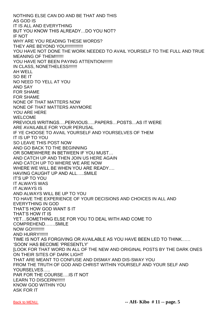NOTHING ELSE CAN DO AND BE THAT AND THIS AS GOD IS IT IS ALL AND EVERYTHING BUT YOU KNOW THIS ALREADY…DO YOU NOT? IF NOT WHY ARE YOU READING THESE WORDS? THEY ARE BEYOND YOU!!!!!!!!!!!!!!! YOU HAVE NOT DONE THE WORK NEEDED TO AVAIL YOURSELF TO THE FULL AND TRUE MEANING OF THEM!!!!!!! YOU HAVE NOT BEEN PAYING ATTENTION!!!!!!! IN CLASS, NONETHELESS!!!!!!! AH WELL SO BE IT NO NEED TO YELL AT YOU AND SAY FOR SHAME FOR SHAME NONE OF THAT MATTERS NOW NONE OF THAT MATTERS ANYMORE YOU ARE HERE WELCOME PREVIOUS WRITINGS….PERVIOUS…..PAPERS…POSTS…AS IT WERE ARE AVAILABLE FOR YOUR PERUSAL IF YE CHOOSE TO AVAIL YOURSELF AND YOURSELVES OF THEM IT IS UP TO YOU SO LEAVE THIS POST NOW AND GO BACK TO THE BEGINNING OR SOMEWHERE IN BETWEEN IF YOU MUST… AND CATCH UP AND THEN JOIN US HERE AGAIN AND CATCH UP TO WHERE WE ARE NOW WHERE WE WILL BE WHEN YOU ARE READY…. HAVING CAUGHT UP AND ALL…..SMILE IT'S UP TO YOU IT ALWAYS WAS IT ALWAYS IS AND ALWAYS WILL BE UP TO YOU TO HAVE THE EXPERIENCE OF YOUR DECISIONS AND CHOICES IN ALL AND EVERYTHING IN GOD THAT'S HOW GOD WANT S IT THAT'S HOW IT IS YET…SOMETHING ELSE FOR YOU TO DEAL WITH AND COME TO COMPREHEND…….SMILE NOW GO!!!!!!!!!!! AND HURRY!!!!!!! TIME IS NOT AS FORGIVING OR AVAILABLE AS YOU HAVE BEEN LED TO THINK…… 'SOON' HAS BECOME 'PRESENTLY' [LOOK FOR THAT WORD IN ALL OF THE NEW AND ORIGINAL POSTS BY THE DARK ONES ON THEIR SITES OF DARK LIGHT THAT ARE MEANT TO CONFUSE AND DISMAY AND DIS-SWAY YOU FROM THE TRUTH OF GOD AND CHRIST WITHIN YOURSELF AND YOUR SELF AND YOURSELVES….. PAR FOR THE COURSE….IS IT NOT LEARN TO DISCERN!!!!!!! KNOW GOD WITHIN YOU ASK FOR IT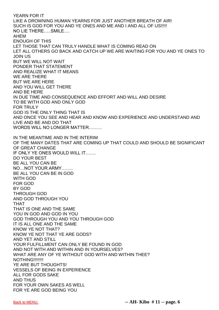YEARN FOR IT LIKE A DROWNING HUMAN YEARNS FOR JUST ANOTHER BREATH OF AIR! SUCH IS GOD FOR YOU AND YE ONES AND ME AND I AND ALL OF US!!!!! NO LIE THERE…..SMILE…. AHEM ENOUGH OF THIS LET THOSE THAT CAN TRULY HANDLE WHAT IS COMING READ ON LET ALL OTHERS GO BACK AND CATCH UP WE ARE WAITING FOR YOU AND YE ONES TO JOIN US BUT WE WILL NOT WAIT PONDER THAT STATEMENT AND REALIZE WHAT IT MEANS WE ARE THERE BUT WE ARE HERE AND YOU WILL GET THERE AND BE HERE IN DUE TIME AND CONSEQUENCE AND EFFORT AND WILL AND DESIRE TO BE WITH GOD AND ONLY GOD FOR TRULY GOD IS THE ONLY THING THAT IS AND ONCE YOU SEE AND HEAR AND KNOW AND EXPERIENCE AND UNDERSTAND AND LIVE AND BE AND DO THAT WORDS WILL NO LONGER MATTER……… IN THE MEANTIME AND IN THE INTERIM OF THE MANY DATES THAT ARE COMING UP THAT COULD AND SHOULD BE SIGNIFICANT OF GREAT CHANGE IF ONLY YE ONES WOULD WILL IT……. DO YOUR BEST BE ALL YOU CAN BE NO…NOT YOUR ARMY…….. BE ALL YOU CAN BE IN GOD WITH GOD FOR GOD BY GOD THROUGH GOD AND GOD THROUGH YOU THAT THAT IS ONE AND THE SAME YOU IN GOD AND GOD IN YOU GOD THROUGH YOU AND YOU THROUGH GOD IT IS ALL ONE AND THE SAME KNOW YE NOT THAT? KNOW YE NOT THAT YE ARE GODS? AND YET AND STILL YOUR FULFILLMENT CAN ONLY BE FOUND IN GOD AND NOT WITH AND WITHIN AND IN YOURSELVES? WHAT ARE ANY OF YE WITHOUT GOD WITH AND WITHIN THEE? **NOTHING!!!!!!!!!** YE ARE BUT THOUGHTS! VESSELS OF BEING IN EXPERIENCE ALL FOR GODS SAKE AND THUS FOR YOUR OWN SAKES AS WELL FOR YE ARE GOD BEING YOU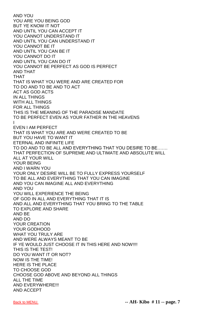AND YOU YOU ARE YOU BEING GOD BUT YE KNOW IT NOT AND UNTIL YOU CAN ACCEPT IT YOU CANNOT UNDERSTAND IT AND UNTIL YOU CAN UNDERSTAND IT YOU CANNOT BE IT AND UNTIL YOU CAN BE IT YOU CANNOT DO IT AND UNTIL YOU CAN DO IT YOU CANNOT BE PERFECT AS GOD IS PERFECT AND THAT THAT THAT IS WHAT YOU WERE AND ARE CREATED FOR TO DO AND TO BE AND TO ACT ACT AS GOD ACTS IN ALL THINGS WITH ALL THINGS FOR ALL THINGS THIS IS THE MEANING OF THE PARADISE MANDATE TO BE PERFECT EVEN AS YOUR FATHER IN THE HEAVENS I EVEN I AM PERFECT THAT IS WHAT YOU ARE AND WERE CREATED TO BE BUT YOU HAVE TO WANT IT ETERNAL AND INFINITE LIFE TO DO AND TO BE ALL AND EVERYTHING THAT YOU DESIRE TO BE……. THAT PERFECTION OF SUPREME AND ULTIMATE AND ABSOLUTE WILL ALL AT YOUR WILL YOUR BEING AND I WARN YOU YOUR ONLY DESIRE WILL BE TO FULLY EXPRESS YOURSELF TO BE ALL AND EVERYTHING THAT YOU CAN IMAGINE AND YOU CAN IMAGINE ALL AND EVERYTHING AND YOU YOU WILL EXPERIENCE THE BEING OF GOD IN ALL AND EVERYTHING THAT IT IS AND ALL AND EVERYTHING THAT YOU BRING TO THE TABLE TO EXPLORE AND SHARE AND BE AND DO YOUR CREATION YOUR GODHOOD WHAT YOU TRULY ARE AND WERE ALWAYS MEANT TO BE IF YE WOULD JUST CHOOSE IT IN THIS HERE AND NOW!!!! THIS IS THE TEST! DO YOU WANT IT OR NOT? NOW IS THE TIME! HERE IS THE PLACE TO CHOOSE GOD CHOOSE GOD ABOVE AND BEYOND ALL THINGS ALL THE TIME AND EVERYWHERE!!! AND ACCEPT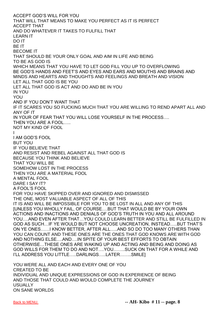ACCEPT GOD'S WILL FOR YOU THAT WILL THAT MEANS TO MAKE YOU PERFECT AS IT IS PERFECT ACCEPT THAT AND DO WHATEVER IT TAKES TO FULFILL THAT LEARN IT DO IT BE IT BECOME IT THAT SHOULD BE YOUR ONLY GOAL AND AIM IN LIFE AND BEING TO BE AS GOD IS WHICH MEANS THAT YOU HAVE TO LET GOD FILL YOU UP TO OVERFLOWING BE GOD'S HANDS AND FEET'S AND EYES AND EARS AND MOUTHS AND BRAINS AND MINDS AND HEARTS AND THOUGHTS AND FEELINGS AND BREATH AND VISION LET ALL THAT GOD IS BE YOU LET ALL THAT GOD IS ACT AND DO AND BE IN YOU IN YOU YOU AND IF YOU DON'T WANT THAT IF IT SCARES YOU SO FUCKING MUCH THAT YOU ARE WILLING TO REND APART ALL AND ANY OF IT IN YOUR OF FEAR THAT YOU WILL LOSE YOURSELF IN THE PROCESS…. THEN YOU ARE A FOOL….. NOT MY KIND OF FOOL I I AM GOD'S FOOL BUT YOU IF YOU BELIEVE THAT AND RESIST AND REBEL AGAINST ALL THAT GOD IS BECAUSE YOU THINK AND BELIEVE THAT YOU WILL BE SOMEHOW LOST IN THE PROCESS THEN YOU ARE A MATERIAL FOOL A MENTAL FOOL DARE I SAY IT? A FOOL'S FOOL FOR YOU HAVE SKIPPED OVER AND IGNORED AND DISMISSED THE ONE, MOST VALUABLE ASPECT OF ALL OF THIS IT IS AND WILL BE IMPOSSIBLE FOR YOU TO BE LOST IN ALL AND ANY OF THIS [UNLESS YOU WHOLLY FAIL, OF COURSE….BUT THAT WOULD BE BY YOUR OWN ACTIONS AND INACTIONS AND DENIALS OF GOD'S TRUTH IN YOU AND ALL AROUND YOU….AND EVEN AFTER THAT…YOU COULD LEARN BETTER AND STILL BE FULFILLED IN GOD AS SUCH…IF YE WOULD BUT NOT CHOOSE UNCREATION, INSTEAD…..BUT THAT'S ON YE ONES……I KNOW BETTER, AFTER ALL…..AND SO DO TOO MANY OTHERS THAN YOU CAN COUNT AND THESE ONES ARE THE ONES THAT GOD KNOWS ARE WITH GOD AND NOTHING ELSE….AND….IN SPITE OF YOUR BEST EFFORTS TO OBTAIN OTHERWISE…THESE ONES ARE WAKING UP AND ACTING AND BEING AND DOING AS GOD WILLS FOR THEM TO DO AND NOT….YOU……..SUCK ON THAT FOR A WHILE AND I'LL ADDRESS YOU LITTLE…..DARLINGS…..LATER……..SMILE] YOU WERE ALL AND EACH AND EVERY ONE OF YOU

CREATED TO BE INDIVIDUAL AND UNIQUE EXPRESSIONS OF GOD IN EXPERIENCE OF BEING AND THOSE THAT COULD AND WOULD COMPLETE THE JOURNEY USUALLY ON SANE WORLDS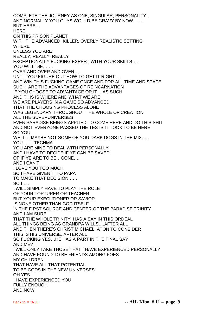COMPLETE THE JOURNEY AS ONE, SINGULAR, PERSONALITY… AND NORMALLY YOU GUYS WOULD BE GRAVY BY NOW……. BUT HERE… **HFRF** ON THIS PRISON PLANET WITH THE ADVANCED, KILLER, OVERLY REALISTIC SETTING WHERE UNLESS YOU ARE REALLY, REALLY, REALLY EXCEPTIONALLY FUCKING EXPERT WITH YOUR SKILLS…. YOU WILL DIE……. OVER AND OVER AND OVER….. UNTIL YOU FIGURE OUT HOW TO GET IT RIGHT…. AND WIN THIS FUCKING GAME ONCE AND FOR ALL TIME AND SPACE SUCH ARE THE ADVANTAGES OF REINCARNATION IF YOU CHOOSE TO ADVANTAGE OR IT….AS SUCH AND THIS IS WHERE AND WHAT WE ARE WE ARE PLAYERS IN A GAME SO ADVANCED THAT THE CHOOSING PROCESS ALONE WAS LEGENDARY THROUGHOUT THE WHOLE OF CREATION ALL THE SUPERUNIVERSES EVEN PARADISE BEINGS APPLIED TO COME HERE AND DO THIS SHIT AND NOT EVERYONE PASSED THE TESTS IT TOOK TO BE HERE SO YOU WELL….MAYBE NOT SOME OF YOU DARK DOGS IN THE MIX….. YOU……. TECHMA YOU ARE MINE TO DEAL WITH PERSONALLY AND I HAVE TO DECIDE IF YE CAN BE SAVED OF IF YE ARE TO BE…GONE….. AND I CAN'T I LOVE YOU TOO MUCH SO I HAVE GIVEN IT TO PAPA TO MAKE THAT DECISION…… SO I….. I WILL SIMPLY HAVE TO PLAY THE ROLE OF YOUR TORTURER OR TEACHER BUT YOUR EXECUTIONER OR SAVIOR IS NONE OTHER THAN GOD ITSELF IN THE FIRST SOURCE AND CENTER OF THE PARADISE TRINITY AND I AM SURE THAT THE WHOLE TRINITY HAS A SAY IN THIS ORDEAL ALL THINGS BEING AS GRANDPA WILLS….AFTER ALL AND THEN THERE'S CHRIST MICHAEL ATON TO CONSIDER THIS IS HIS UNIVERSE, AFTER ALL SO FUCKING YES…HE HAS A PART IN THE FINAL SAY AND ME? I WILL ONLY TAKE THOSE THAT I HAVE EXPERIENCED PERSONALLY AND HAVE FOUND TO BE FRIENDS AMONG FOES MY CHILDREN THAT HAVE ALL THAT POTENTIAL TO BE GODS IN THE NEW UNIVERSES OH YES I HAVE EXPERIENCED YOU FULLY ENOUGH AND NOW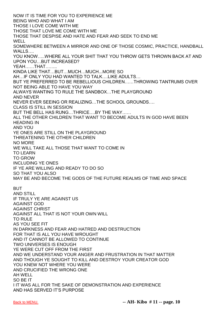NOW IT IS TIME FOR YOU TO EXPERIENCE ME BEING WHO AND WHAT I AM THOSE I LOVE COME WITH ME THOSE THAT LOVE ME COME WITH ME THOSE THAT DESPISE AND HATE AND FEAR AND SEEK TO END ME WFLL SOMEWHERE BETWEEN A MIRROR AND ONE OF THOSE COSMIC, PRACTICE, HANDBALL WALLS…. YOU KNOW…..WHERE ALL YOUR SHIT THAT YOU THROW GETS THROWN BACK AT AND UPON YOU…BUT INCREASED? YEAH……THAT…….. KINDA LIKE THAT…BUT…MUCH…MUCH...MORE SO AH…IF ONLY YOU HAD WANTED TO TALK….LIKE ADULTS… BUT YE PREFERRED TO BE REBELLIOUS CHILDREN……THROWING TANTRUMS OVER NOT BEING ABLE TO HAVE YOU WAY ALWAYS WANTING TO RULE THE SANDBOX…THE PLAYGROUND AND NEVER NEVER EVER SEEING OR REALIZING…THE SCHOOL GROUNDS…. CLASS IS STILL IN SESSION BUT THE BELL HAS RUNG…THRICE….BY THE WAY…… ALL THE OTHER CHILDREN THAT WANT TO BECOME ADULTS IN GOD HAVE BEEN HEADING IN AND YOU YE ONES ARE STILL ON THE PLAYGROUND THREATENING THE OTHER CHILDREN NO MORE WE WILL TAKE ALL THOSE THAT WANT TO COME IN TO LEARN TO GROW INCLUDING YE ONES IF YE ARE WILLING AND READY TO DO SO SO THAT YOU ALSO MAY BE AND BECOME THE GODS OF THE FUTURE REALMS OF TIME AND SPACE BUT AND STILL IF TRULY YE ARE AGAINST US AGAINST GOD AGAINST CHRIST AGAINST ALL THAT IS NOT YOUR OWN WILL TO RULE AS YOU SEE FIT IN DARKNESS AND FEAR AND HATRED AND DESTRUCTION FOR THAT IS ALL YOU HAVE WROUGHT AND IT CANNOT BE ALLOWED TO CONTINUE TWO UNIVERSES IS ENOUGH YE WERE CUT OFF FROM THE FIRST AND WE UNDERSTAND YOUR ANGER AND FRUSTRATION IN THAT MATTER AND THOUGH YE SOUGHT TO KILL AND DESTROY YOUR CREATOR GOD YOU KNEW NOT WHERE YOU WERE AND CRUCIFIED THE WRONG ONE AH WELL SO BE IT I IT WAS ALL FOR THE SAKE OF DEMONSTRATION AND EXPERIENCE AND HAS SERVED IT'S PURPOSE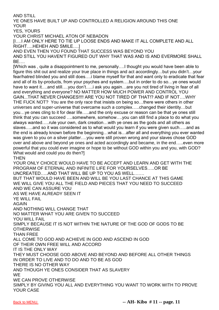AND STILL

YE ONES HAVE BUILT UP AND CONTROLLED A RELIGION AROUND THIS ONE YOUR

YES, YOURS

YOUR CHRIST MICHAEL ATON OF NEBADON

[I….I AM ONLY HERE TO TIE UP LOOSE ENDS AND MAKE IT ALL COMPLETE AND ALL RIGHT….HEHEH AND SMILE….]

AND EVEN THEN YOU FOUND THAT SUCCESS WAS BEYOND YOU AND STILL YOU HAVEN'T FIGURED OUT WHY THAT WAS AND IS AND EVERMORE SHALL BE….

[Which was , quite a disappointment to me, personally….I thought you would have been able to figure this shit out and realize your true place in things and act accordingly…but you didn't…your fear/hatred blinded you and still does….i blame myself for that and want only to eradicate that fear and all of its by-products, from your psyches and system….but in order to do so…ye ones would have to want it….and still….you don't…..i ask you again…are you not tired of living in fear of all and everything and everyone? NO MATTER HOW MUCH POWER AND CONTROL YOU GAIN...THAT NEVER CHANGES!!!! ARE YOU NOT TIRED OF THAT!? AND IF NOT….WHY THE FUCK NOT? You are the only race that insists on being so…there were others in other universes and super-universe that overcame such a complex…..changed their identity…but you…ye ones cling to it for dear life…..and the only excuse or reason can be that ye ones still think that you can succeed ….somewhere, somehow….you can still find a place to do what you always wanted…..rule your own, dark creation…with ye ones as the gods and all others as slaves…..and so it was considered as to what would you learn if you were given such…..and as the end is already known before the beginning…what is…after all and everything you ever wanted was given to you on a silver platter….you were still proven wrong and your slaves chose GOD over and above and beyond ye ones and acted accordingly and became, in the end…..even more powerful that you could ever imagine or hope to be without GOD within you and you, with GOD? What would and could you do then?]

THEN

YOUR ONLY CHOICE WOULD HAVE TO BE ACCEPT AND LEARN AND GET WITH THE PROGRAM OF ETERNAL AND INFINITE LIFE FOR YOURSELVES…..OR BE UNCREATED…..AND THAT WILL BE UP TO YOU AS WELL……. BUT THAT WOULD HAVE BEEN AND WILL BE YOU LAST CHANCE AT THIS GAME WE WILL GIVE YOU ALL THE FIELD AND PIECES THAT YOU NEED TO SUCCEED AND WE CAN ASSURE YOU AS WE HAVE ALREADY SEEN IT YE WILL FAIL AGAIN AND NOTHING WILL CHANGE THAT NO MATTER WHAT YOU ARE GIVEN TO SUCCEED YOU WILL FAIL SIMPLY BECAUSE IT IS NOT WITHIN THE NATURE OF THE GOD OF GODS TO BE **OTHERWISE** THAN FREE ALL COME TO GOD AND ACHIEVE IN GOD AND ASCEND IN GOD OF THEIR OWN FREE WILL AND ACCORD IT IS THE ONLY WAY THEY MUST CHOOSE GOD ABOVE AND BEYOND AND BEFORE ALL OTHER THINGS IN ORDER TO LIVE AND TO DO AND TO BE AS GOD THERE IS NO OTHER WAY AND THOUGH YE ONES CONSIDER THAT AS SLAVERY **WE** WE CAN PROVE OTHERWISE SIMPLY BY GIVING YOU ALL AND EVERYTHING YOU WANT TO WORK WITH TO PROVE YOUR CASE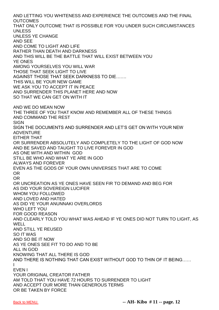AND LETTING YOU WHITENESS AND EXPERIENCE THE OUTCOMES AND THE FINAL OUTCOMES THAT ONLY OUTCOME THAT IS POSSIBLE FOR YOU UNDER SUCH CIRCUMSTANCES UNI FSS UNLESS YE CHANGE AND SEE AND COME TO LIGHT AND LIFE RATHER THAN DEATH AND DARKNESS AND THIS WILL BE THE BATTLE THAT WILL EXIST BETWEEN YOU YE ONES AMONG YOURSELVES YOU WILL WAR THOSE THAT SEEK LIGHT TO LIVE AGAINST THOSE THAT SEEK DARKNESS TO DIE……. THIS WILL BE YOUR NEW GAME WE ASK YOU TO ACCEPT IT IN PEACE AND SURRENDER THIS PLANET HERE AND NOW SO THAT WE CAN GET ON WITH IT AND WE DO MEAN NOW THE THREE OF YOU THAT KNOW AND REMEMBER ALL OF THESE THINGS AND COMMAND THE REST SIGN SIGN THE DOCUMENTS AND SURRENDER AND LET'S GET ON WITH YOUR NEW ADVENTURE EITHER THAT OR SURRENDER ABSOLUTELY AND COMPLETELY TO THE LIGHT OF GOD NOW AND BE SAVED AND TAUGHT TO LIVE FOREVER IN GOD AS ONE WITH AND WITHIN GOD STILL BE WHO AND WHAT YE ARE IN GOD ALWAYS AND FOREVER EVEN AS THE GODS OF YOUR OWN UNIVERSES THAT ARE TO COME OR OR OR UNCREATION AS YE ONES HAVE SEEN FIR TO DEMAND AND BEG FOR AS DID YOUR SOVEREIGN LUCIFER WHOM YOU FOLLOWED AND LOVED AND HATED AS DID YE YOUR ANUNNAKI OVERLORDS WHO LEFT YOU FOR GOOD REASON AND CLEARLY TOLD YOU WHAT WAS AHEAD IF YE ONES DID NOT TURN TO LIGHT, AS WELL AND STILL YE REUSED SO IT WAS AND SO BE IT NOW AS YE ONES SEE FIT TO DO AND TO BE ALL IN GOD KNOWING THAT ALL THERE IS GOD AND THERE IS NOTHING THAT CAN EXIST WITHOUT GOD TO THIN OF IT BEING…… I EVEN I YOUR ORIGINAL CREATOR FATHER AM TOLD THAT YOU HAVE 72 HOURS TO SURRENDER TO LIGHT AND ACCEPT OUR MORE THAN GENEROUS TERMS OR BE TAKEN BY FORCE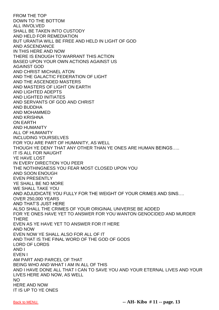FROM THE TOP DOWN TO THE BOTTOM ALL INVOLVED SHALL BE TAKEN INTO CUSTODY AND HELD FOR REMEDIATION BUT URANTIA WILL BE FREE AND HELD IN LIGHT OF GOD AND ASCENDANCE IN THIS HERE AND NOW THERE IS ENOUGH TO WARRANT THIS ACTION BASED UPON YOUR OWN ACTIONS AGAINST US AGAINST GOD AND CHRIST MICHAEL ATON AND THE GALACTIC FEDERATION OF LIGHT AND THE ASCENDED MASTERS AND MASTERS OF LIGHT ON EARTH AND LIGHTED ADEPTS AND LIGHTED INITIATES AND SERVANTS OF GOD AND CHRIST AND BUDDHA AND MOHAMMED AND KRISHNA ON EARTH AND HUMANITY ALL OF HUMANITY INCLUDING YOURSELVES FOR YOU ARE PART OF HUMANITY, AS WELL THOUGH YE DENY THAT ANY OTHER THAN YE ONES ARE HUMAN BEINGS….. IT IS ALL FOR NAUGHT YE HAVE LOST IN EVERY DIRECTION YOU PEER THE NOTHINGNESS YOU FEAR MOST CLOSED UPON YOU AND SOON ENOUGH EVEN PRESENTLY YE SHALL BE NO MORE WE SHALL TAKE YOU AND ADJUDICATE YOU FULLY FOR THE WEIGHT OF YOUR CRIMES AND SINS…. OVER 250,000 YEARS AND THAT'S JUST HERE ALSO SHALL THE CRIMES OF YOUR ORIGINAL UNIVERSE BE ADDED FOR YE ONES HAVE YET TO ANSWER FOR YOU WANTON GENOCIDED AND MURDER **THERE** EVEN AS YE HAVE YET TO ANSWER FOR IT HERE AND NOW EVEN NOW YE SHALL ALSO FOR ALL OF IT AND THAT IS THE FINAL WORD OF THE GOD OF GODS LORD OF LORDS AND I EVEN I AM PART AND PARCEL OF THAT BEING WHO AND WHAT I AM IN ALL OF THIS AND I HAVE DONE ALL THAT I CAN TO SAVE YOU AND YOUR ETERNAL LIVES AND YOUR LIVES HERE AND NOW, AS WELL NO HERE AND NOW IT IS UP TO YE ONES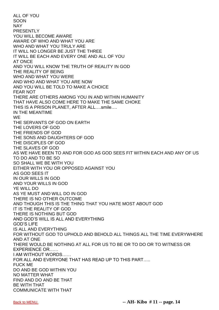ALL OF YOU SOON NAY PRESENTI Y YOU WILL BECOME AWARE AWARE OF WHO AND WHAT YOU ARE WHO AND WHAT YOU TRULY ARE IT WILL NO LONGER BE JUST THE THREE IT WILL BE EACH AND EVERY ONE AND ALL OF YOU AT ONCE AND YOU WILL KNOW THE TRUTH OF REALITY IN GOD THE REALITY OF BEING WHO AND WHAT YOU WERE AND WHO AND WHAT YOU ARE NOW AND YOU WILL BE TOLD TO MAKE A CHOICE FEAR NOT THERE ARE OTHERS AMONG YOU IN AND WITHIN HUMANITY THAT HAVE ALSO COME HERE TO MAKE THE SAME CHOKE THIS IS A PRISON PLANET, AFTER ALL….smile…. IN THE MEANTIME **WE** THE SERVANTS OF GOD ON EARTH THE LOVERS OF GOD THE FRIENDS OF GOD THE SONS AND DAUGHTERS OF GOD THE DISCIPLES OF GOD THE SLAVES OF GOD AS WE HAVE BEEN TO AND FOR GOD AS GOD SEES FIT WITHIN EACH AND ANY OF US TO DO AND TO BE SO SO SHALL WE BE WITH YOU EITHER WITH YOU OR OPPOSED AGAINST YOU AS GOD SEES IT IN OUR WILLS IN GOD AND YOUR WILLS IN GOD YE WILL DO AS YE MUST AND WILL DO IN GOD THERE IS NO OTHER OUTCOME AND THOUGH THIS IS THE THING THAT YOU HATE MOST ABOUT GOD IT IS THE REALITY OF GOD THERE IS NOTHING BUT GOD AND GOD'S WILL IS ALL AND EVERYTHING GOD'S LIFE IS ALL AND EVERYTHING FOR WITHOUT GOD TO UPHOLD AND BEHOLD ALL THINGS ALL THE TIME EVERYWHERE AND AT ONE THERE WOULD BE NOTHING AT ALL FOR US TO BE OR TO DO OR TO WITNESS OR EXPERIENCE OR…… I AM WITHOUT WORDS…… FOR ALL AND EVERYONE THAT HAS READ UP TO THIS PART….. FUCK ME DO AND BE GOD WITHIN YOU NO MATTER WHAT FIND AND DO AND BE THAT BE WITH THAT COMMUNICATE WITH THAT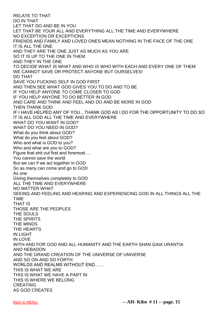RELATE TO THAT DO IN THAT LET THAT DO AND BE IN YOU LET THAT BE YOUR ALL AND EVERYTHING ALL THE TIME AND EVERYWHERE NO EXCEPTION OR EXCEPTIONS FRIENDS AND FAMILY AND LOVED ONES MEAN NOTHING IN THE FACE OF THE ONE IT IS ALL THE ONE AND THEY ARE THE ONE JUST AS MUCH AS YOU ARE SO IT IS UP TO THE ONE IN THEM AND THEY IN THE ONE TO DECIDE WHAT IS WHAT AND WHO IS WHO WITH EACH AND EVERY ONE OF THEM WE CANNOT SAVE OR PROTECT ANYONE BUT OURSELVES! DO THAT SAVE YOU FUCKING SELF IN GOD FIRST AND THEN SEE WHAT GOD GIVES YOU TO DO AND TO BE IF YOU HELP ANYONE TO COME CLOSER TO GOD IF YOU HELP ANYONE TO DO BETTER IN GOD AND CARE AND THINK AND FEEL AND DO AND BE MORE IN GOD THEN THANK GOD IF I HAVE HELPED ANY OF YOU…THANK GOD AS I DO FOR THE OPPORTUNITY TO DO SO IT IS ALL GOD ALL THE TIME AND EVERYWHERE WHAT DO YOU WANT IN GOD? WHAT DO YOU NEED IN GOD? What do you think about GOD? What do you feel about GOD? Who and what is GOD to you? Who and what are you to GOD? Figure that shit out first and foremost…. You cannot save the world But we can if we act together in GOD So as many can come and go to GOD As one Giving themselves completely to GOD ALL THE TIME AND EVERYWHERE NO MATTER WHAT SEEING AND FEELING AND HEARING AND EXPERIENCING GOD IN ALL THINGS ALL THE TIME THAT IS THOSE ARE THE PEOPLES THE SOULS THE SPIRITS THE MINDS THE HEARTS IN LIGHT IN LOVE WITH AND FOR GOD AND ALL HUMANITY AND THE EARTH SHAN GAIA URANTIA AND NEBADON AND THE GRAND CREATION OF THE UNIVERSE OF UNIVERSE AND SO ON AND SO FORTH WORLDS AND REALMS WITHOUT END…… THIS IS WHAT WE ARE THIS IS WHAT WE HAVE A PART IN THIS IS WHERE WE BELONG CREATING AS GOD CREATES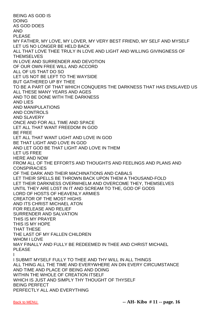BEING AS GOD IS DOING AS GOD DOES AND PLEASE MY FATHER, MY LOVE, MY LOVER, MY VERY BEST FRIEND, MY SELF AND MYSELF LET US NO LONGER BE HELD BACK ALL THAT LOVE THEE TRULY IN LOVE AND LIGHT AND WILLING GIVINGNESS OF **THEMSELVES** IN LOVE AND SURRENDER AND DEVOTION OF OUR OWN FREE WILL AND ACCORD ALL OF US THAT DO SO LET US NOT BE LEFT TO THE WAYSIDE BUT GATHERED UP BY THEE TO BE A PART OF THAT WHICH CONQUERS THE DARKNESS THAT HAS ENSLAVED US ALL THESE MANY YEARS AND AGES AND TO BE DONE WITH THE DARKNESS AND LIES AND MANIPULATIONS AND CONTROLS AND SLAVERY ONCE AND FOR ALL TIME AND SPACE LET ALL THAT WANT FREEDOM IN GOD BE FREE LET ALL THAT WANT LIGHT AND LOVE IN GOD BE THAT LIGHT AND LOVE IN GOD AND LET GOD BE THAT LIGHT AND LOVE IN THEM LET US FREE HERE AND NOW FROM ALL OF THE EFFORTS AND THOUGHTS AND FEELINGS AND PLANS AND **CONSPIRACIES** OF THE DARK AND THEIR MACHINATIONS AND CABALS LET THEIR SPELLS BE THROWN BACK UPON THEM A THOUSAND-FOLD LET THEIR DARKNESS OVERWHELM AND OVERCOME THEY, THEMSELVES UNTIL THEY ARE LOST IN IT AND SCREAM TO THE, GOD OF GODS LORD OF HOSTS OF HEAVENLY ARMIES CREATOR OF THE MOST HIGHS AND ITS CHRIST MICHAEL ATON FOR RELEASE AND RELIEF SURRENDER AND SALVATION THIS IS MY PRAYER THIS IS MY HOPE THAT THESE THE LAST OF MY FALLEN CHILDREN WHOM I LOVE MAY FINALLY AND FULLY BE REDEEMED IN THEE AND CHRIST MICHAEL PLEASE I I SUBMIT MYSELF FULLY TO THEE AND THY WILL IN ALL THINGS ALL THING ALL THE TIME AND EVERYWHERE AN DIN EVERY CIRCUMSTANCE AND TIME AND PLACE OF BEING AND DOING WITHIN THE WHOLE OF CREATION ITSELF WHICH IS JUST AND SIMPLY THY THOUGHT OF THYSELF BEING PERFECT

PERFECTLY ALL AND EVERYTHING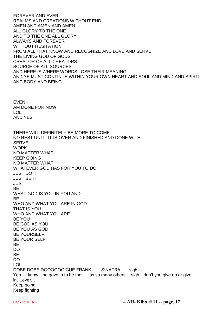FOREVER AND EVER REALMS AND CREATIONS WITHOUT END AMEN AND AMEN AND AMEN ALL GLORY TO THE ONE AND TO THE ONE ALL GLORY ALWAYS AND FOREVER WITHOUT HESITATION FROM ALL THAT KNOW AND RECOGNIZE AND LOVE AND SERVE THE LIVING GOD OF GODS CREATOR OF ALL CREATORS SOURCE OF ALL SOURCES AND HERE IS WHERE WORDS LOSE THEIR MEANING AND YE MUST CONTINUE WITHIN YOUR OWN HEART AND SOUL AND MIND AND SPIRIT AND BODY AND BEING I EVEN I AM DONE FOR NOW LOL AND YES THERE WILL DEFINITELY BE MORE TO COME NO REST UNTIL IT IS OVER AND FINISHED AND DONE WITH **SERVE WORK** NO MATTER WHAT KEEP GOING NO MATTER WHAT WHATEVER GOD HAS FOR YOU TO DO JUST DO IT JUST BE IT JUST BE WHAT GOD IS YOU IN YOU AND **BF** WHO AND WHAT YOU ARE IN GOD..... THAT IS YOU WHO AND WHAT YOU ARE BE YOU BE GOD AS YOU BE YOU AS GOD BE YOURSELF BE YOUR SELF BE DO BE DO LOL DOBE DOBE DOOOOOO.CUE FRANK…….SINATRA……sigh Yeh…I know…he gave in to be that…..as so many others….sigh…don't you give up or give in….ever…. Keep going Keep fighting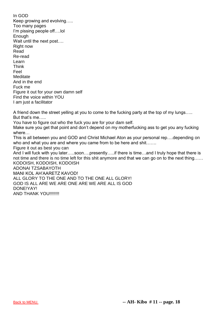In GOD Keep growing and evolving….. Too many pages I'm pissing people off….lol **Enough** Wait until the next post.... Right now Read Re-read Learn Think Feel **Meditate** And in the end Fuck me Figure it out for your own damn self Find the voice within YOU I am just a facilitator

A friend down the street yelling at you to come to the fucking party at the top of my lungs….. But that's me…..

You have to figure out who the fuck you are for your dam self.

Make sure you get that point and don't depend on my motherfucking ass to get you any fucking where…

This is all between you and GOD and Christ Michael Aton as your personal rep….depending on who and what you are and where you came from to be here and shit…….

Figure it out as best you can

And I will fuck with you later…..soon….presently…..if there is time…and I truly hope that there is not time and there is no time left for this shit anymore and that we can go on to the next thing…… KODOISH, KODOISH, KODOISH

ADONAI TZSABAYOTH MANI KOL AH'AARETZ KAVOD! ALL GLORY TO THE ONE AND TO THE ONE ALL GLORY! GOD IS ALL ARE WE ARE ONE ARE WE ARE ALL IS GOD DONE!YAY! AND THANK YOU!!!!!!!!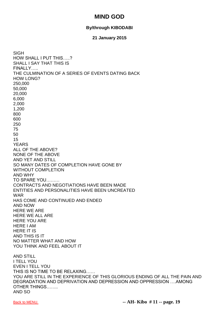# **MIND GOD**

### **By/through KIBODABI**

#### **21 January 2015**

<span id="page-19-0"></span>SIGH HOW SHALL I PUT THIS…..? SHALL I SAY THAT THIS IS FINALLY….. THE CULMINATION OF A SERIES OF EVENTS DATING BACK HOW LONG? 250,000 50,000 20,000 6,000 2,000 1,200 800 600 250 75 50 15 YEARS ALL OF THE ABOVE? NONE OF THE ABOVE AND YET AND STILL SO MANY DATES OF COMPLETION HAVE GONE BY WITHOUT COMPLETION AND WHY TO SPARE YOU……… CONTRACTS AND NEGOTIATIONS HAVE BEEN MADE ENTITIES AND PERSONALITIES HAVE BEEN UNCREATED WAR HAS COME AND CONTINUED AND ENDED AND NOW HERE WE ARE HERE WE ALL ARE HERE YOU ARE HERE I AM HERE IT IS AND THIS IS IT NO MATTER WHAT AND HOW YOU THINK AND FEEL ABOUT IT AND STILL I TELL YOU EVEN I TELL YOU THIS IS NO TIME TO BE RELAXING…… YOU ARE STILL IN THE EXPERIENCE OF THIS GLORIOUS ENDING OF ALL THE PAIN AND DEGRADATION AND DEPRIVATION AND DEPRESSION AND OPPRESSION ….AMONG OTHER THINGS…….. AND SO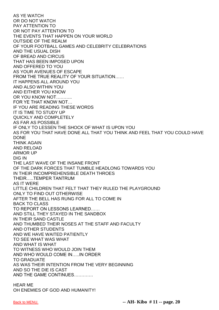AS YE WATCH OR DO NOT WATCH PAY ATTENTION TO OR NOT PAY ATTENTION TO THE EVENTS THAT HAPPEN ON YOUR WORLD OUTSIDE OF THE REALM OF YOUR FOOTBALL GAMES AND CELEBRITY CELEBRATIONS AND THE USUAL DISH OF BREAD AND CIRCUS THAT HAS BEEN IMPOSED UPON AND OFFERED TO YOU AS YOUR AVENUES OF ESCAPE FROM THE TRUE REALITY OF YOUR SITUATION…… IT HAPPENS ALL AROUND YOU AND ALSO WITHIN YOU AND EITHER YOU KNOW OR YOU KNOW NOT……….. FOR YE THAT KNOW NOT… IF YOU ARE READING THESE WORDS IT IS TIME TO STUDY UP QUICKLY AND COMPLETELY AS FAR AS POSSIBLE IF ONLY TO LESSEN THE SHOCK OF WHAT IS UPON YOU AS FOR YOU THAT HAVE DONE ALL THAT YOU THINK AND FEEL THAT YOU COULD HAVE DONE THINK AGAIN AND RELOAD ARMOR UP DIG IN THE LAST WAVE OF THE INSANE FRONT OF THE DARK FORCES THAT TUMBLE HEADLONG TOWARDS YOU IN THEIR INCOMPREHENSIBLE DEATH THROES THEIR…..TEMPER TANTRUM AS IT WERE LITTLE CHILDREN THAT FELT THAT THEY RULED THE PLAYGROUND ONLY TO FIND OUT OTHERWISE AFTER THE BELL HAS RUNG FOR ALL TO COME IN BACK TO CLASS TO REPORT ON LESSONS LEARNED…… AND STILL THEY STAYED IN THE SANDBOX IN THEIR SAND CASTLE AND THUMBED THEIR NOSES AT THE STAFF AND FACULTY AND OTHER STUDENTS AND WE HAVE WAITED PATIENTLY TO SEE WHAT WAS WHAT AND WHAT IS WHAT TO WITNESS WHO WOULD JOIN THEM AND WHO WOULD COME IN…..IN ORDER TO GRADUATE AS WAS THEIR INTENTION FROM THE VERY BEGINNING AND SO THE DIE IS CAST AND THE GAME CONTINUES………….

HEAR ME OH ENEMIES OF GOD AND HUMANITY!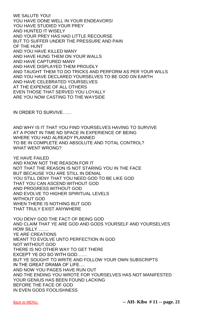WE SALUTE YOU! YOU HAVE DONE WELL IN YOUR ENDEAVORS! YOU HAVE STUDIED YOUR PREY AND HUNTED IT WISELY AND YOUR PREY HAS HAD LITTLE RECOURSE BUT TO SUFFER UNDER THE PRESSURE AND PAIN OF THE HUNT AND YOU HAVE KILLED MANY AND HAVE HUNG THEM ON YOUR WALLS AND HAVE CAPTURED MANY AND HAVE DISPLAYED THEM PROUDLY AND TAUGHT THEM TO DO TRICKS AND PERFORM AS PER YOUR WILLS AND YOU HAVE DECLARED YOURSELVES TO BE GOD ON EARTH AND HAVE CELEBRATED YOURSELVES AT THE EXPENSE OF ALL OTHERS EVEN THOSE THAT SERVED YOU LOYALLY ARE YOU NOW CASTING TO THE WAYSIDE

IN ORDER TO SURVIVE……

AND WHY IS IT THAT YOU FIND YOURSELVES HAVING TO SURVIVE AT A POINT IN TIME ND SPACE IN EXPERIENCE OF BEING WHERE YOU HAD ALREADY PLANNED TO BE IN COMPLETE AND ABSOLUTE AND TOTAL CONTROL? WHAT WENT WRONG?

YE HAVE FAILED AND KNOW NOT THE REASON FOR IT NOT THAT THE REASON IS NOT STARING YOU IN THE FACE BUT BECAUSE YOU ARE STILL IN DENIAL YOU STILL DENY THAT YOU NEED GOD TO BE LIKE GOD THAT YOU CAN ASCEND WITHOUT GOD AND PROGRESS WITHOUT GOD AND EVOLVE TO HIGHER SPIRITUAL LEVELS WITHOUT GOD WHEN THERE IS NOTHING BUT GOD THAT TRULY EXIST ANYWHERE

YOU DENY GOD THE FACT OF BEING GOD AND CLAIM THAT YE ARE GOD AND GODS YOURSELF AND YOURSELVES HOW SILLY…….. YE ARE CREATIONS MEANT TO EVOLVE UNTO PERFECTION IN GOD NOT WITHOUT GOD THERE IS NO OTHER WAY TO GET THERE EXCEPT YE DO SO WITH GOD……. BUT YE SOUGHT TO WRITE AND FOLLOW YOUR OWN SUBSCRIPTS IN THE GREAT DRAMA OF LIFE…. AND NOW YOU PAGES HAVE RUN OUT AND THE ENDING YOU WROTE FOR YOURSELVES HAS NOT MANIFESTED YOUR GENIUS HAS BEEN FOUND LACKING BEFORE THE FACE OF GOD IN EVEN GODS FOOLISHNESS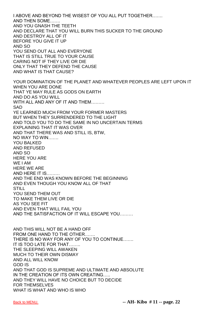I ABOVE AND BEYOND THE WISEST OF YOU ALL PUT TOGETHER……. AND THEN SOME……. AND YOU GNASH THE TEETH AND DECLARE THAT YOU WILL BURN THIS SUCKER TO THE GROUND AND DESTROY ALL OF IT BEFORE YOU GIVE IT UP AND SO YOU SEND OUT ALL AND EVERYONE THAT IS STILL TRUE TO YOUR CAUSE CARING NOT IF THEY LIVE OR DIE ONLY THAT THEY DEFEND THE CAUSE AND WHAT IS THAT CAUSE? YOUR DOMINATION OF THE PLANET AND WHATEVER PEOPLES ARE LEFT UPON IT WHEN YOU ARE DONE THAT YE MAY RULE AS GODS ON EARTH AND DO AS YOU WILL WITH ALL AND ANY OF IT AND THEM……… **SAD** YE LEARNED MUCH FROM YOUR FORMER MASTERS BUT WHEN THEY SURRENDERED TO THE LIGHT AND TOLD YOU TO DO THE SAME IN NO UNCERTAIN TERMS EXPLAINING THAT IT WAS OVER AND THAT THERE WAS AND STILL IS, BTW, NO WAY TO WIN……. YOU BALKED AND REFUSED AND SO HERE YOU ARE WE I AM HERE WE ARE AND HERE IT IS……… AND THE END WAS KNOWN BEFORE THE BEGINNING AND EVEN THOUGH YOU KNOW ALL OF THAT **STILL** YOU SEND THEM OUT TO MAKE THEM LIVE OR DIE AS YOU SEE FIT AND EVEN THAT WILL FAIL YOU AND THE SATISFACTION OF IT WILL ESCAPE YOU……… AND THIS WILL NOT BE A HAND OFF FROM ONE HAND TO THE OTHER……. THERE IS NO WAY FOR ANY OF YOU TO CONTINUE……. IT IS TOO LATE FOR THAT…….. THE SLEEPING WILL AWAKEN MUCH TO THEIR OWN DISMAY AND ALL WILL KNOW GOD IS AND THAT GOD IS SUPREME AND ULTIMATE AND ABSOLUTE IN THE CREATION OF ITS OWN CREATING….. AND THEY WILL HAVE NO CHOICE BUT TO DECIDE FOR THEMSELVES WHAT IS WHAT AND WHO IS WHO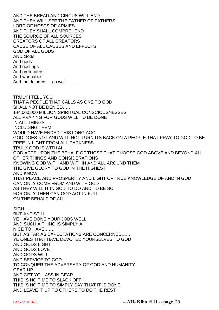AND THE BREAD AND CIRCUS WILL END…… AND THEY WILL SEE THE FATHER OF FATHERS LORD OF HOSTS OF ARMIES AND THEY SHALL COMPREHEND THE SOURCE OF ALL SOURCES CREATORS OF ALL CREATORS CAUSE OF ALL CAUSES AND EFFECTS GOD OF ALL GODS AND Gods And gods And godlings And pretenders And wannabes And the deluded…..as well………

TRULY I TELL YOU THAT A PEOPLE THAT CALLS AS ONE TO GOD SHALL NOT BE DENIED…… 144,000,000 MILLION SPIRITUAL CONSCIOUSNESSES ALL PRAYING FOR GODS WILL TO BE DONE IN ALL THINGS INCLUDING THEM WOULD HAVE ENDED THIS LONG AGO GOD DOES NOT AND WILL NOT TURN ITS BACK ON A PEOPLE THAT PRAY TO GOD TO BE FREE IN LIGHT FROM ALL DARKNESS TRULY GOD IS WITH ALL GOD ACTS UPON THE BEHALF OF THOSE THAT CHOOSE GOD ABOVE AND BEYOND ALL OTHER THINGS AND CONSIDERATIONS KNOWING GOD WITH AND WITHIN AND ALL AROUND THEM THE GIVE GLORY TO GOD IN THE HIGHEST AND KNOW THAT PEACE AND PROSPERITY AND LIGHT OF TRUE KNOWLEDGE OF AND IN GOD CAN ONLY COME FROM AND WITH GOD AS THEY WILL IT IN GOD TO DO AND TO BE SO FOR ONLY THEN CAN GOD ACT IN FULL ON THE BEHALF OF ALL SIGH BUT AND STILL

YE HAVE DONE YOUR JOBS WELL AND SUCH A THING IS SIMPLY A NICE TO HAVE……. BUT AS FAR AS EXPECTATIONS ARE CONCERNED……. YE ONES THAT HAVE DEVOTED YOURSELVES TO GOD AND GODS LIGHT AND GODS LOVE AND GODS WILL AND SERVICE TO GOD TO CONQUER THE ADVERSARY OF GOD AND HUMANITY GEAR UP AND GET YOU ASS IN GEAR THIS IS NO TIME TO SLACK OFF THIS IS NO TIME TO SIMPLY SAY THAT IT IS DONE AND LEAVE IT UP TO OTHERS TO DO THE REST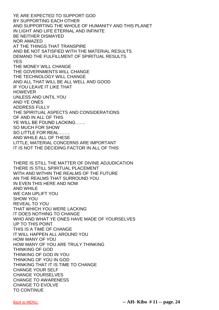YE ARE EXPECTED TO SUPPORT GOD BY SUPPORTING EACH OTHER AND SUPPORTING THE WHOLE OF HUMANITY AND THIS PLANET IN LIGHT AND LIFE ETERNAL AND INFINITE BE NEITHER DISMAYED NOR AMAZED AT THE THINGS THAT TRANSPIRE AND BE NOT SATISFIED WITH THE MATERIAL RESULTS DEMAND THE FULFILLMENT OF SPIRITUAL RESULTS YES THE MONEY WILL CHANGE THE GOVERNMENTS WILL CHANGE THE TECHNOLOGY WILL CHANGE AND ALL THAT WILL BE ALL WELL AND GOOD IF YOU LEAVE IT LIKE THAT **HOWEVER** UNLESS AND UNTIL YOU AND YE ONES ADDRESS FULLY THE SPIRITUAL ASPECTS AND CONSIDERATIONS OF AND IN ALL OF THIS YE WILL BE FOUND LACKING……. SO MUCH FOR SHOW SO LITTLE FOR REAL…….. AND WHILE ALL OF THESE LITTLE, MATERIAL CONCERNS ARE IMPORTANT IT IS NOT THE DECIDING FACTOR IN ALL OF THIS THERE IS STILL THE MATTER OF DIVINE ADJUDICATION THERE IS STILL SPIRITUAL PLACEMENT WITH AND WITHIN THE REALMS OF THE FUTURE AN THE REALMS THAT SURROUND YOU IN EVEN THIS HERE AND NOW AND WHILE WE CAN UPLIFT YOU SHOW YOU REVEAL TO YOU THAT WHICH YOU WERE LACKING IT DOES NOTHING TO CHANGE

WHO AND WHAT YE ONES HAVE MADE OF YOURSELVES UP TO THIS POINT THIS IS A TIME OF CHANGE IT WILL HAPPEN ALL AROUND YOU HOW MANY OF YOU HOW MANY OF YOU ARE TRULY THINKING THINKING OF GOD THINKING OF GOD IN YOU THINKING OF YOU IN GOD THINKING THAT IT IS TIME TO CHANGE CHANGE YOUR SELF CHANGE YOURSELVES CHANGE TO AWARENESS CHANGE TO EVOLVE TO CONTINUE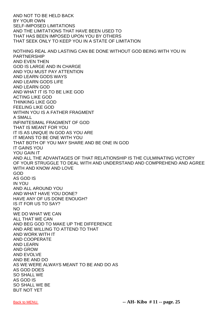AND NOT TO BE HELD BACK BY YOUR OWN SELF-IMPOSED LIMITATIONS AND THE LIMITATIONS THAT HAVE BEEN USED TO THAT HAS BEEN IMPOSED UPON YOU BY OTHERS THAT SEEK ONLY TO KEEP YOU IN A STATE OF LIMITATION NOTHING REAL AND LASTING CAN BE DONE WITHOUT GOD BEING WITH YOU IN PARTNERSHIP AND EVEN THEN GOD IS LARGE AND IN CHARGE AND YOU MUST PAY ATTENTION AND LEARN GODS WAYS AND LEARN GODS LIFE AND LEARN GOD AND WHAT IT IS TO BE LIKE GOD ACTING LIKE GOD THINKING LIKE GOD FEELING LIKE GOD WITHIN YOU IS A FATHER FRAGMENT A SMALL INFINITESIMAL FRAGMENT OF GOD THAT IS MEANT FOR YOU IT IS AS UNIQUE IN GOD AS YOU ARE IT MEANS TO BE ONE WITH YOU THAT BOTH OF YOU MAY SHARE AND BE ONE IN GOD IT GAINS YOU YOU GAIN IT AND ALL THE ADVANTAGES OF THAT RELATIONSHIP IS THE CULMINATING VICTORY OF YOUR STRUGGLE TO DEAL WITH AND UNDERSTAND AND COMPREHEND AND AGREE WITH AND KNOW AND LOVE GOD AS GOD IS IN YOU AND ALL AROUND YOU AND WHAT HAVE YOU DONE? HAVE ANY OF US DONE ENOUGH? IS IT FOR US TO SAY? NO WE DO WHAT WE CAN ALL THAT WE CAN AND BEG GOD TO MAKE UP THE DIFFERENCE AND ARE WILLING TO ATTEND TO THAT AND WORK WITH IT AND COOPERATE AND LEARN AND GROW AND EVOLVE AND BE AND DO AS WE WERE ALWAYS MEANT TO BE AND DO AS AS GOD DOES SO SHALL WE AS GOD IS SO SHALL WE BE BUT NOT YET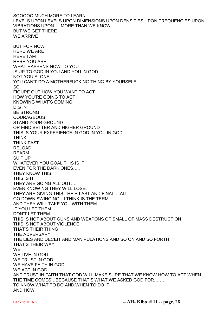SOOOOO MUCH MORE TO LEARN LEVELS UPON LEVELS UPON DIMENSIONS UPON DENSITIES UPON FREQUENCIES UPON VIBRATIONS UPON…..MORE THAN WE KNOW BUT WE GET THERE WE ARRIVE BUT FOR NOW HERE WE ARE HERE I AM HERE YOU ARE WHAT HAPPENS NOW TO YOU IS UP TO GOD IN YOU AND YOU IN GOD NOT YOU ALONE YOU CAN'T DO A MOTHERFUCKING THING BY YOURSELF…….. SO FIGURE OUT HOW YOU WANT TO ACT HOW YOU'RE GOING TO ACT KNOWING WHAT'S COMING DIG IN BE STRONG **COURAGEOUS** STAND YOUR GROUND OR FIND BETTER AND HIGHER GROUND THIS IS YOUR EXPERIENCE IN GOD IN YOU IN GOD THINK THINK FAST RELOAD REARM SUIT UP WHATEVER YOU GOAL THIS IS IT EVEN FOR THE DARK ONES….. THEY KNOW THIS THIS IS IT THEY ARE GOING ALL OUT….. EVEN KNOWING THEY WILL LOSE. THEY ARE GIVING THIS THEIR LAST AND FINAL….ALL GO DOWN SWINGING…I THINK IS THE TERM…. AND THEY WILL TAKE YOU WITH THEM IF YOU LET THEM DON'T LET THEM THIS IS NOT ABOUT GUNS AND WEAPONS OF SMALL OF MASS DESTRUCTION THIS IS NOT ABOUT VIOLENCE THAT'S THEIR THING THE ADVERSARY THE LIES AND DECEIT AND MANIPULATIONS AND SO ON AND SO FORTH THAT'S THEIR WAY **WE** WE LIVE IN GOD WE TRUST IN GOD WE HAVE FAITH IN GOD WE ACT IN GOD AND TRUST IN FAITH THAT GOD WILL MAKE SURE THAT WE KNOW HOW TO ACT WHEN THE TIME COMES…BECAUSE THAT'S WHAT WE ASKED GOD FOR……. TO KNOW WHAT TO DO AND WHEN TO DO IT AND HOW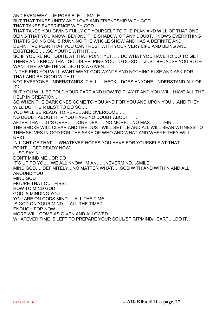AND EVEN WHY….IF POSSIBLE…..SMILE

BUT THAT TAKES UNITY AND LOVE AND FRIENDSHIP WITH GOD THAT TAKES EXPERIENCE WITH GOD

THAT TAKES YOU GIVING FULLY OF YOURSELF TO THE PLAN AND WILL OF THAT ONE BEING THAT YOU KNOW, BEYOND THE SHADOW OF ANY DOUBT, KNOWS EVERYTHING THAT IS GOING ON, IS RUNNING THE WHOLE SHOW AND HAS A DEFINITE AND DEFINITIVE PLAN THAT YOU CAN TRUST WITH YOUR VERY LIFE AND BEING AND EXISTENCE……SO YOU'RE WITH IT……

SO IF YOU'RE NOT QUITE AT THAT POINT YET……DO WHAT YOU HAVE TO DO TO GET THERE AND KNOW THAT GOD IS HELPING YOU TO DO SO…..JUST BECAUSE YOU BOTH WANT THE SAME THING...SO IT'S A GIVEN.....

IN THE END YOU WILL WANT WHAT GOD WANTS AND NOTHING ELSE AND ASK FOR THAT AND BE GOOD WITH IT…….

NOT EVERYONE UNDERSTANDS IT ALL…..HECK…DOES ANYONE UNDERSTAND ALL OF IT?

BUT YOU WILL BE TOLD YOUR PART AND HOW TO PLAY IT AND YOU WILL HAVE ALL THE HELP IN CREATION…

SO WHEN THE DARK ONES COME TO YOU AND FOR YOU AND UPON YOU….AND THEY WILL DO THEIR BEST TO DO SO….

YOU WILL BE READY TO REPEL AND OVERCOME….

NO DOUBT ABOUT IT IF YOU HAVE NO DOUBT ABOUT IT...

AFTER THAT….IT'S OVER…..DONE DEAL….NO MORE….NO MAS……….FINI….

THE SMOKE WILL CLEAR AND THE DUST WILL SETTLE AND ALL WILL BEAR WITNESS TO THEMSELVES IN GOD FOR THE SAKE OF WHO AND WHAT AND WHERE THEY WILL NEXT…….

IN LIGHT OF THAT…..WHATEVER HOPES YOU HAVE FOR YOURSELF AT THAT POINT….GET READY NOW

JUST SAYIN'

DON'T MIND ME…OR DO

IT'S UP TO YOU…WE ALL KNOW I'M AN……NEVERMIND…SMILE

MIND GOD…..DEFINITELY…NO MATTER WHAT…..GOD WITH AND WITHIN AND ALL AROUND YOU

MIND GOD

FIGURE THAT OUT FIRST

HOW TO MIND GOD

GOD IS MINDING YOU

YOU ARE ON GODS MIND.....ALL THE TIME

IS GOD ON YOUR MIND…..ALL THE TIME?

ENOUGH FOR NOW

MORE WILL COME AS GIVEN AND ALLOWED

WHATEVER TIME IS LEFT TO PREPARE YOUR SOUL/SPIRIT/MIND/HEART…..DO IT.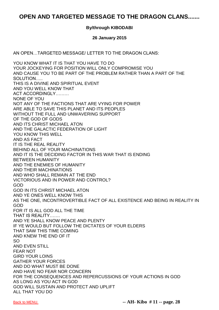# <span id="page-28-0"></span>**OPEN AND TARGETED MESSAGE TO THE DRAGON CLANS.......**

#### **By/through KIBODABI**

#### **26 January 2015**

AN OPEN…TARGETED MESSAGE/ LETTER TO THE DRAGON CLANS:

YOU KNOW WHAT IT IS THAT YOU HAVE TO DO YOUR JOCKEYING FOR POSITION WILL ONLY COMPROMISE YOU AND CAUSE YOU TO BE PART OF THE PROBLEM RATHER THAN A PART OF THE SOLUTION….. THIS IS A DIVINE AND SPIRITUAL EVENT AND YOU WELL KNOW THAT ACT ACCORDINGLY……… NONE OF YOU NOT ANY OF THE FACTIONS THAT ARE VYING FOR POWER ARE ABLE TO SAVE THIS PLANET AND ITS PEOPLES WITHOUT THE FULL AND UNWAVERING SUPPORT OF THE GOD OF GODS AND ITS CHRIST MICHAEL ATON AND THE GALACTIC FEDERATION OF LIGHT YOU KNOW THIS WELL AND AS FACT IT IS THE REAL REALITY BEHIND ALL OF YOUR MACHINATIONS AND IT IS THE DECIDING FACTOR IN THIS WAR THAT IS ENDING BETWEEN HUMANITY AND THE ENEMIES OF HUMANITY AND THEIR MACHINATIONS AND WHO SHALL REMAIN AT THE END VICTORIOUS AND IN POWER AND CONTROL? GOD GOD IN ITS CHRIST MICHAEL ATON AND YE ONES WELL KNOW THIS AS THE ONE, INCONTROVERTIBLE FACT OF ALL EXISTENCE AND BEING IN REALITY IN GOD FOR IT IS ALL GOD ALL THE TIME THAT IS REALITY……. AND YE SHALL KNOW PEACE AND PLENTY IF YE WOULD BUT FOLLOW THE DICTATES OF YOUR ELDERS THAT SAW THIS TIME COMING AND KNEW THE END OF IT SO AND EVEN STILL FEAR NOT GIRD YOUR LOINS GATHER YOUR FORCES AND DO WHAT MUST BE DONE AND HAVE NO FEAR NOR CONCERN FOR THE CONSEQUENCES AND REPERCUSSIONS OF YOUR ACTIONS IN GOD AS LONG AS YOU ACT IN GOD GOD WILL SUSTAIN AND PROTECT AND UPLIFT ALL THAT YOU DO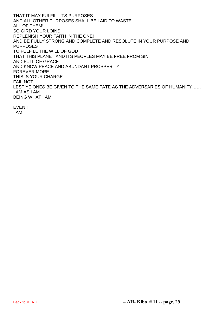THAT IT MAY FULFILL ITS PURPOSES AND ALL OTHER PURPOSES SHALL BE LAID TO WASTE ALL OF THEM! SO GIRD YOUR LOINS! REPLENISH YOUR FAITH IN THE ONE! AND BE FULLY STRONG AND COMPLETE AND RESOLUTE IN YOUR PURPOSE AND PURPOSES TO FULFILL THE WILL OF GOD THAT THIS PLANET AND ITS PEOPLES MAY BE FREE FROM SIN AND FULL OF GRACE AND KNOW PEACE AND ABUNDANT PROSPERITY FOREVER MORE THIS IS YOUR CHARGE FAIL NOT LEST YE ONES BE GIVEN TO THE SAME FATE AS THE ADVERSARIES OF HUMANITY…… I AM AS I AM BEING WHAT I AM I EVEN I I AM I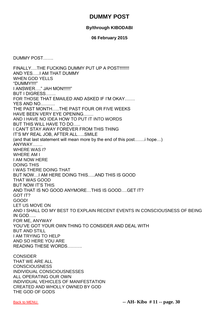## **DUMMY POST**

### **By/through KIBODABI**

#### **06 February 2015**

<span id="page-30-0"></span>DUMMY POST…….

FINALLY....THE FUCKING DUMMY PUT UP A POST!!!!!!!! AND YES…..I AM THAT DUMMY WHEN GOD YELLS "DUMMY!!!!" I ANSWER…." JAH MON!!!!!!" BUT I DIGRESS……. FOR THOSE THAT EMAILED AND ASKED IF I'M OKAY……. YES AND NO………. THE PAST MONTH…..THE PAST FOUR OR FIVE WEEKS HAVE BEEN VERY EYE OPENING……. AND I HAVE NO IDEA HOW TO PUT IT INTO WORDS BUT THIS WILL HAVE TO DO….. I CAN'T STAY AWAY FOREVER FROM THIS THING IT'S MY REAL JOB, AFTER ALL…..SMILE (and that last statement will mean more by the end of this post…….i hope…) ANYWAY……. WHERE WAS I? WHERE AM I I AM NOW HERE DOING THIS I WAS THERE DOING THAT BUT NOW…I AM HERE DOING THIS…..AND THIS IS GOOD THAT WAS GOOD BUT NOW IT'S THIS AND THAT IS NO GOOD ANYMORE…THIS IS GOOD….GET IT? GOT IT? GOOD! LET US MOVE ON AND I SHALL DO MY BEST TO EXPLAIN RECENT EVENTS IN CONSCIOUSNESS OF BEING IN GOD….. FOR ME, ANYWAY YOU'VE GOT YOUR OWN THING TO CONSIDER AND DEAL WITH BUT AND STILL I AM TRYING TO HELP AND SO HERE YOU ARE READING THESE WORDS………. **CONSIDER** THAT WE ARE ALL

**CONSCIOUSNESS** INDIVIDUAL CONSCIOUSNESSES ALL OPERATING OUR OWN INDIVIDUAL VEHICLES OF MANIFESTATION CREATED AND WHOLLY OWNED BY GOD THE GOD OF GODS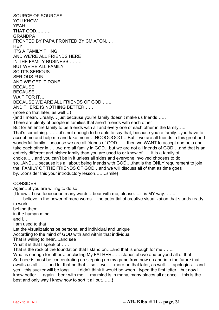SOURCE OF SOURCES YOU KNOW YEAH THAT GOD………. GRANDPA FRONTED BY PAPA FRONTED BY CM ATON….. **HEY** IT'S A FAMILY THING AND WE'RE ALL FRIENDS HERE IN THE FAMILY BUSINESS……… BUT WE'RE ALL FAMILY SO IT'S SERIOUS SERIOUS FUN AND WE GET IT DONE **BECAUSE BECAUSE** WAIT FOR IT. BECAUSE WE ARE ALL FRIENDS OF GOD……. AND THERE IS NOTHING BETTER…… (more on that later, as well…) {and I mean….really….just because you're family doesn't make us friends…… There are plenty of people in families that aren't friends with each other But for an entire family to be friends with all and every one of each other in the family..... That's something………it's not enough to be able to say that, because you're family…you have to accept me and help me and take me in....NOOOOOOO....But if we are all friends in this great and wonderful family...because we are all friends of GOD.......then we WANT to accept and help and take each other in……we are all family in GOD…but we are not all friends of GOD….and that is an entirely different and higher family than you are used to or know of……it is a family of choice……and you can't be in it unless all sides and everyone involved chooses to do so…AND…..because it's all about being friends with GOD….that is the ONLY requirement to join the FAMILY OF THE FRIENDS OF GOD…and we will discuss all of that as time goes by…consider this your introductory lesson……..smile} **CONSIDER** Again…if you are willing to do so {I know…I use toooooooo many words…bear with me, please…..it is MY way…….. I……believe in the power of mere words….the potential of creative visualization that stands ready to work behind them in the human mind and i….. I am used to that Let the visualizations be personal and individual and unique According to the mind of GOD with and within that individual That is willing to hear….and see What it is that I speak of...... That is the rock of the foundation that I stand on...and that is enough for me....... What is enough for others…including My FATHER…….stands above and beyond all of that So I needs must be concentrating on stepping up my game from now on and into the future that awaits us all……..and let that be that….so….well….more on that later, as well…...apologies….and

yes…this sucker will be long……I didn't think it would be when I typed the first letter…but now I know better…..again…bear with me…..my mind is in many, many places all at once….this is the best and only way I know how to sort it all out…….}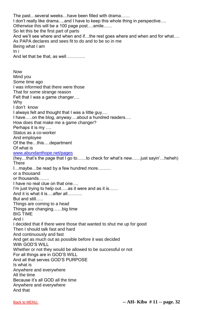The past…several weeks…have been filled with drama…… I don't really like drama….and I have to keep this whole thing in perspective…. Otherwise this will be a 100 page post….smile…… So let this be the first part of parts And we'll see where and when and if…the rest goes where and when and for what…. As PAPA declares and sees fit to do and to be so in me Being what I am In i And let that be that, as well…………. Now Mind you Some time ago I was informed that there were those That for some strange reason Felt that I was a game changer…. Why I don't know I always felt and thought that I was a little guy…. I have…..on the blog, anyway….about a hundred readers…. How does that make me a game changer? Perhaps it is my …. Status as a co-worker And employee Of the the…this….department Of what is [www.abundanthope.net/pages](http://www.abundanthope.net/pages) (hey…that's the page that I go to……to check for what's new……just sayin'…heheh) **There** I…maybe…be read by a few hundred more……… or a thousand or thousands……. I have no real clue on that one.... I'm just trying to help out…..as it were and as it is…... And it is what it is….after all………. But and still….. Things are coming to a head Things are changing……big time BIG TIME And i I decided that if there were those that wanted to shut me up for good Then I should talk fast and hard And continuously and fast And get as much out as possible before it was decided With GOD'S WILL Whether or not they would be allowed to be successful or not For all things are in GOD'S WILL And all that serves GOD'S PURPOSE Is what is Anywhere and everywhere All the time Because it's all GOD all the time Anywhere and everywhere And that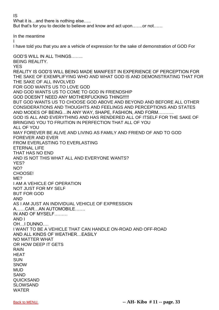IS

What it is…and there is nothing else….. But that's for you to decide to believe and know and act upon…….or not……

In the meantime

I

I have told you that you are a vehicle of expression for the sake of demonstration of GOD For

GOD'S WILL IN ALL THINGS…….. BEING REALITY. YES REALITY IS GOD'S WILL BEING MADE MANIFEST IN EXPERIENCE OF PERCEPTION FOR THE SAKE OF EXEMPLIFYING WHO AND WHAT GOD IS AND DEMONSTRATING THAT FOR THE SAKE OF ALL INVOLVED FOR GOD WANTS US TO LOVE GOD AND GOD WANTS US TO COME TO GOD IN FRIENDSHIP GOD DOESN'T NEED ANY MOTHERFUCKING THING!!!!! BUT GOD WANTS US TO CHOOSE GOD ABOVE AND BEYOND AND BEFORE ALL OTHER CONSIDERATIONS AND THOUGHTS AND FEELINGS AND PERCEPTIONS AND STATES AND MODES OF BEING…IN ANY WAY, SHAPE, FASHION, AND FORM……….. GOD IS ALL AND EVERYTHING AND HAS RENDERED ALL OF ITSELF FOR THE SAKE OF BRINGING YOU TO FRUITION IN PERFECTION THAT ALL OF YOU ALL OF YOU MAY FOREVER BE ALIVE AND LIVING AS FAMILY AND FRIEND OF AND TO GOD FOREVER AND EVER FROM EVERLASTING TO EVERLASTING ETERNAL LIFE THAT HAS NO END AND IS NOT THIS WHAT ALL AND EVERYONE WANTS? YES? NO? CHOOSE! ME? I AM A VEHICLE OF OPERATION NOT JUST FOR MY SELF BUT FOR GOD AND AS I AM JUST AN INDIVIDUAL VEHICLE OF EXPRESSION A……CAR…AN AUTOMOBILE……. IN AND OF MYSELF……… AND I OH…I DUNNO…. I WANT TO BE A VEHICLE THAT CAN HANDLE ON-ROAD AND OFF-ROAD AND ALL KINDS OF WEATHER…EASILY NO MATTER WHAT OR HOW DEEP IT GETS RAIN HEAT **SUN SNOW** MUD SAND QUICKSAND SLOWSAND WATER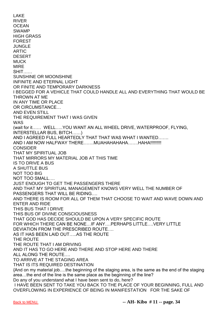LAKE RIVER **OCEAN** SWAMP HIGH GRASS FOREST JUNGLE ARTIC DESERT MUCK MIRE SHIT…… SUNSHINE OR MOONSHINE INFINITE AND ETERNAL LIGHT OR FINITE AND TEMPORARY DARKNESS I BEGGED FOR A VEHICLE THAT COULD HANDLE ALL AND EVERYTHING THAT WOULD BE THROWN AT ME IN ANY TIME OR PLACE OR CIRCUMSTANCE… AND EVEN STILL THE REQUIREMENT THAT I WAS GIVEN WAS (wait for it…… WELL…..YOU WANT AN ALL WHEEL DRIVE, WATERPROOF, FLYING, INTERSTELLAR BUS, BITCH……) AND I AGREED FULL HEARTEDLY THAT THAT WAS WHAT I WANTED……. AND I AM NOW HALFWAY THERE…….MUAHAHAHAHA…….HAHA!!!!!!!!! **CONSIDER** THAT MY SPIRITUAL JOB THAT MIRRORS MY MATERIAL JOB AT THIS TIME IS TO DRIVE A BUS A SHUTTLE BUS NOT TOO BIG NOT TOO SMALL…. JUST ENOUGH TO GET THE PASSENGERS THERE AND THAT MY SPIRITUAL MANAGEMENT KNOWS VERY WELL THE NUMBER OF PASSENGERS THAT WILL BE RIDING…. AND THERE IS ROOM FOR ALL OF THEM THAT CHOOSE TO WAIT AND WAVE DOWN AND ENTER AND RIDE THIS BUS THAT I DRIVE THIS BUS OF DIVINE CONSCIOUSNESS THAT GOD HAS DECIDE SHOULD BE UPON A VERY SPECIFIC ROUTE FOR WHICH THERE CAN BE NONE…IF ANY….PERHAPS LITTLE….VERY LITTLE DEVIATION FROM THE PRESCRIBED ROUTE…. AS IT HAS BEEN LAID OUT…..AS THE ROUTE THE ROUTE THE ROUTE THAT I AM DRIVING AND IT HAS TO GO HERE AND THERE AND STOP HERE AND THERE ALL ALONG THE ROUTE…. TO ARRIVE AT THE STAGING AREA THAT IS ITS REQUIRED DESTINATION {And on my material job….the beginning of the staging area, is the same as the end of the staging area…the end of the line is the same place as the beginning of the line? Do any of you understand what I have been sent to do, here? I HAVE BEEN SENT TO TAKE YOU BACK TO THE PLACE OF YOUR BEGINNING, FULL AND OVERFLOWING IN EXPERIENCE OF BEING IN MANIFESTATION FOR THE SAKE OF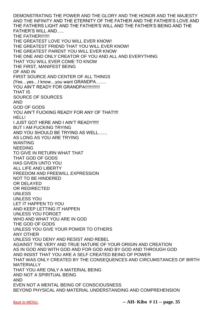DEMONSTRATING THE POWER AND THE GLORY AND THE HONOR AND THE MAJESTY AND THE INFINITY AND THE ETERNITY OF THE FATHER AND THE FATHER'S LOVE AND THE FATHERS LIGHT AND THE FATHER'S WILL AND THE FATHER'S BEING AND THE FATHER'S WILL AND….. THE FATHER!!!!!!! THE GREATEST LOVE YOU WILL EVER KNOW! THE GREATEST FRIEND THAT YOU WILL EVER KNOW! THE GREATEST PARENT YOU WILL EVER KNOW THE ONE AND ONLY CREATOR OF YOU AND ALL AND EVERYTHING THAT YOU WILL EVER COME TO KNOW THE FIRST, MANIFEST BEING OF AND IN FIRST SOURCE AND CENTER OF ALL THINGS {Yes…yes…I know…you want GRANDPA……. YOU AIN'T READY FOR GRANDPA!!!!!!!!!!!!! THAT IS SOURCE OF SOURCES AND GOD OF GODS YOU AIN'T FUCKING READY FOR ANY OF THAT!!!! HELL! I JUST GOT HERE AND I AIN'T READY!!!!! BUT I AM FUCKING TRYING AND YOU SHOULD BE TRYING AS WELL…… AS LONG AS YOU ARE TRYING WANTING NEEDING TO GIVE IN RETURN WHAT THAT THAT GOD OF GODS HAS GIVEN UNTO YOU ALL LIFE AND LIBERTY FREEDOM AND FREEWILL EXPRESSION NOT TO BE HINDERED OR DELAYED OR REDIRECTED UNLESS UNLESS YOU LET IT HAPPEN TO YOU AND KEEP LETTING IT HAPPEN UNLESS YOU FORGET WHO AND WHAT YOU ARE IN GOD THE GOD OF GODS UNLESS YOU GIVE YOUR POWER TO OTHERS ANY OTHER UNLESS YOU DENY AND RESIST AND REBEL AGAINST THE VERY AND TRUE NATURE OF YOUR ORIGIN AND CREATION AS IN GOD AND WITH GOD AND FOR GOD AND BY GOD AND THROUGH GOD AND INSIST THAT YOU ARE A SELF CREATED BEING OF POWER THAT WAS ONLY CREATED BY THE CONSEQUENCES AND CIRCUMSTANCES OF BIRTH **MATERIALLY** THAT YOU ARE ONLY A MATERIAL BEING AND NOT A SPIRITUAL BEING AND EVEN NOT A MENTAL BEING OF CONSCIOUSNESS BEYOND PHYSICAL AND MATERIAL UNDERSTANDING AND COMPREHENSION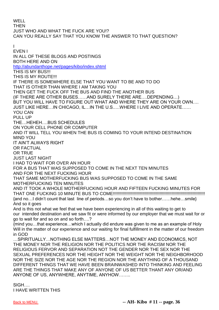WELL **THEN** JUST WHO AND WHAT THE FUCK ARE YOU!? CAN YOU REALLY SAY THAT YOU KNOW THE ANSWER TO THAT QUESTION?

I EVEN I IN ALL OF THESE BLOGS AND POSTINGS BOTH HERE AND ON <http://abundanthope.net/pages/kibo/index.shtml> THIS IS MY BUS!!! THIS IS MY ROUTE!!! IF THERE IS SOMEWHERE ELSE THAT YOU WANT TO BE AND TO DO THAT IS OTHER THAN WHERE I AM TAKING YOU THEN GET THE FUCK OFF THE BUS AND FIND THE ANOTHER BUS (IF THERE ARE OTHER BUSES……AND SURELY THERE ARE….DEPENDING…) BUT YOU WILL HAVE TO FIGURE OUT WHAT AND WHERE THEY ARE ON YOUR OWN…. JUST LIKE HERE…IN CHICAGO, IL…IN THE U.S.….WHERE I LIVE AND OPERATE…… YOU CAN PULL UP THE…HEHEH….BUS SCHEDULES ON YOUR CELL PHONE OR COMPUTER AND IT WILL TELL YOU WHEN THE BUS IS COMING TO YOUR INTEND DESTINATION MIND YOU IT AIN'T ALWAYS RIGHT OR FACTUAL OR TRUE JUST LAST NIGHT I HAD TO WAIT FOR OVER AN HOUR FOR A BUS THAT WAS SUPPOSED TO COME IN THE NEXT TEN MINUTES AND FOR THE NEXT FUCKING HOUR THAT SAME MOTHERFUCKING BUS WAS SUPPOSED TO COME IN THE SAME MOTHERFUCKING TEN MINUTES AND IT TOOK A WHOLE MOTHERFUCKING HOUR AND FIFTEEN FUCKING MINUTES FOR THAT ONE FUCKING 10 MINUTE BUS TO COME!!!!!!!!!!!!!!!!!!!!!!!!!!!!!!!!!!!!!!!!!!!!!!!!!!!!!!!!!!!!!!!!!!!!!!!!!!! {and no…I didn't count that last line of periods…so you don't have to bother……hehe…smile} And so it goes And is this not what we feel that we have been experiencing in all of this waiting to get to our intended destination and we saw fit or were informed by our employer that we must wait for or go to wait for and so on and so forth….? {mind you…that experience…which I actually did endure was given to me as an example of Holy Will in the matter of our experience and our waiting for final fulfillment in the matter of our freedom in GOD …SPIRITUALLY…NOTHING ELSE MATTERS…NOT THE MONEY AND ECONOMICS, NOT THE MONEY NOR THE RELIGION NOR THE POLITICS NOR THE RACISM NOR THE RELIGIOUS FERVOR AND SEPARATION NOT THE GENDER NOR THE SEX NOR THE SEXUAL PREFERENCES NOR THE HEIGHT NOR THE WEIGHT NOR THE NEIGHBORHOOD NOR THE SIZE NOR THE AGE NOR THE REGION NOR THE ANYTHING OF A THOUSAND DIFFERENT THINGS THAT WE HAVE BEEN BRAINWASHED INTO THINKING AND FEELING ARE THE THINGS THAT MAKE ANY OF ANYONE OF US BETTER THANT ANY OR/AND ANYONE OF US, ANYWHERE, ANYTIME, ANYHOW……..

SIGH…. I HAVE WRITTEN THIS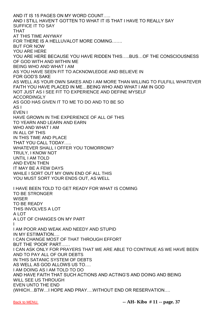AND IT IS 15 PAGES ON MY WORD COUNT….. AND I STILL HAVEN'T GOTTEN TO WHAT IT IS THAT I HAVE TO REALLY SAY SUFFICE IT TO SAY THAT AT THIS TIME ANYWAY FOR THERE IS A HELLUVALOT MORE COMING……. BUT FOR NOW YOU ARE HERE YOU ARE HERE BECAUSE YOU HAVE RIDDEN THIS…..BUS…OF THE CONSCIOUSNESS OF GOD WITH AND WITHIN ME BEING WHO AND WHAT I AM AS YOU HAVE SEEN FIT TO ACKNOWLEDGE AND BELIEVE IN FOR GOD'S SAKE AS WELL AS YOUR OWN SAKES AND I AM MORE THAN WILLING TO FULFILL WHATEVER FAITH YOU HAVE PLACED IN ME…BEING WHO AND WHAT I AM IN GOD NOT JUST AS I SEE FIT TO EXPERIENCE AND DEFINE MYSELF ACCORDINGLY AS GOD HAS GIVEN IT TO ME TO DO AND TO BE SO AS I EVEN I HAVE GROWN IN THE EXPERIENCE OF ALL OF THIS TO YEARN AND LEARN AND EARN WHO AND WHAT I AM IN ALL OF THIS IN THIS TIME AND PLACE THAT YOU CALL TODAY….. WHATEVER SHALL I OFFER YOU TOMORROW? TRULY, I KNOW NOT UNTIL I AM TOLD AND EVEN THEN IT MAY BE A FEW DAYS WHILE I SORT OUT MY OWN END OF ALL THIS YOU MUST SORT YOUR ENDS OUT, AS WELL I HAVE BEEN TOLD TO GET READY FOR WHAT IS COMING TO BE STRONGER **WISER** TO BE READY THIS INVOLVES A LOT A LOT A LOT OF CHANGES ON MY PART I I AM POOR AND WEAK AND NEEDY AND STUPID IN MY ESTIMATION…. I CAN CHANGE MOST OF THAT THROUGH EFFORT BUT THE 'POOR' PART…… I CAN ASK ONLY FOR PRAYERS THAT WE ARE ABLE TO CONTINUE AS WE HAVE BEEN AND TO PAY ALL OF OUR DEBTS IN THIS SATANIC SYSTEM OF DEBTS AS WELL AS GOD ALLOWS US TO…. I AM DOING AS I AM TOLD TO DO AND HAVE FAITH THAT SUCH ACTIONS AND ACTING'S AND DOING AND BEING WILL SEE US THROUGH EVEN UNTO THE END (WHICH…BTW…I HOPE AND PRAY….WITHOUT END OR RESERVATION….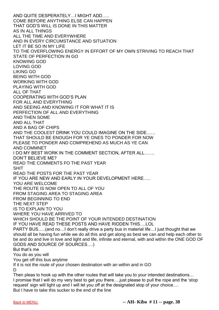AND QUITE DESPERATELY…I MIGHT ADD….. COME BEFORE ANYTHING ELSE CAN HAPPEN THAT GOD'S WILL IS DONE IN THIS MATTER AS IN ALL THINGS ALL THE TIME AND EVERYWHERE AND IN EVERY CIRCUMSTANCE AND SITUATION LET IT BE SO IN MY LIFE TO THE OVERFLOWING ENERGY IN EFFORT OF MY OWN STRIVING TO REACH THAT STATE OF PERFECTION IN GO KNOWING GOD LOVING GOD LIKING GO BEING WITH GOD WORKING WITH GOD PLAYING WITH GOD ALL OF THAT COOPERATING WITH GOD'S PLAN FOR ALL AND EVERYTHING AND SEEING AND KNOWING IT FOR WHAT IT IS PERFECTION OF ALL AND EVERYTHING AND THEN SOME AND ALL THAT AND A BAG OF CHIPS AND THE COOLEST DRINK YOU COULD IMAGINE ON THE SIDE…… THAT SHOULD BE ENOUGH FOR YE ONES TO PONDER FOR NOW PLEASE TO PONDER AND COMPREHEND AS MUCH AS YE CAN AND COMMNET I DO MY BEST WORK IN THE COMMENT SECTION, AFTER ALL……. DON'T BELIEVE ME? READ THE COMMENTS FO THE PAST YEAR SHIT READ THE POSTS FOR THE PAST YEAR IF YOU ARE NEW AND EARLY IN YOUR DEVELOPMENT HERE….. YOU ARE WELCOME THE ROUTE IS NOW OPEN TO ALL OF YOU FROM STAGING AREA TO STAGING AREA FROM BEGINNING TO END THE NEXT STEP IS TO EXPLAIN TO YOU WHERE YOU HAVE ARRIVED TO WHICH SHOULD BE THE POINT OF YOUR INTENDED DESTINATION IF YOU HAVE READ THESE POSTS AND HAVE RIDDEN THIS….LOL PARTY BUS…..(and no…I don't really drive a party bus in material life…I just thought that we should all be having fun while we do all this and get along as best we can and help each other to be and do and live in love and light and life, infinite and eternal, with and within the ONE GOD OF GODS AND SOURCE OF SOURCES….) But that's me You do as you will You get off this bus anytime If it is not the route of your chosen destination with an within and in GO D Then pleas to hook up with the other routes that will take you to your intended destinations… I promise that I will do my very best to get you there….just please to pull the rope and the 'stop

request' sign will light up and I will let you off at the designated stop of your choice…. But I have to take this sucker to the end of the line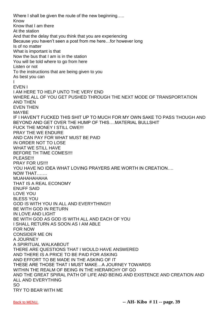Where I shall be given the route of the new beginning..... Know Know that I am there At the station And that the delay that you think that you are experiencing Because you haven't seen a post from me here…for however long Is of no matter What is important is that Now the bus that I am is in the station You will be told where to go from here Listen or not To the instructions that are being given to you As best you can I EVEN I I AM HERE TO HELP UNTO THE VERY END WHERE ALL OF YOU GET PUSHED THROUGH THE NEXT MODE OF TRANSPORTATION AND THEN EVEN THEN MAYBE IF I HAVEN'T FUCKED THIS SHIT UP TO MUCH FOR MY OWN SAKE TO PASS THOUGH AND BEYOND AND GET OVER THE HUMP OF THIS….MATERIAL BULLSHIT FUCK THE MONEY I STILL OWE!!! PRAY THE WE ENDURE AND CAN PAY FOR WHAT MUST BE PAID IN ORDER NOT TO LOSE WHAT WE STILL HAVE BEFORE TH TIME COMES!!!! PLEASE!!! PRAY FOR US!!!! YOU HAVE NO IDEA WHAT LOVING PRAYERS ARE WORTH IN CREATION…. NOW THAT……. MUAHAHAHAHA THAT IS A REAL ECONOMY ENUFF SAID LOVE YOU BLESS YOU GOD IS WITH YOU IN ALL AND EVERYTHING!!! BE WITH GOD IN RETURN IN LOVE AND LIGHT BE WITH GOD AS GOD IS WITH ALL AND EACH OF YOU I SHALL RETURN AS SOON AS I AM ABLE FOR NOW CONSIDER ME ON A JOURNEY A SPIRITUAL WALKABOUT THERE ARE QUESTIONS THAT I WOULD HAVE ANSWERED AND THERE IS A PRICE TO BE PAID FOR ASKING AND EFFORT TO BE MADE IN THE ASKING OF IT THESE ARE THOSE THAT I MUST MAKE…A JOURNEY TOWARDS WITHIN THE REALM OF BEING IN THE HIERARCHY OF GO AND THE GREAT SPIRAL PATH OF LIFE AND BEING AND EXISTENCE AND CREATION AND ALL AND EVERYTHING SO TRY TO BEAR WITH ME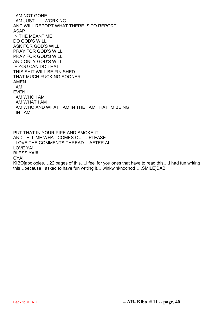I AM NOT GONE I AM JUST…….WORKING…. AND WILL REPORT WHAT THERE IS TO REPORT ASAP IN THE MEANTIME DO GOD'S WILL ASK FOR GOD'S WILL PRAY FOR GOD'S WILL PRAY FOR GOD'S WILL AND ONLY GOD'S WILL IF YOU CAN DO THAT THIS SHIT WILL BE FINISHED THAT MUCH FUCKING SOONER AMEN I AM EVEN I I AM WHO I AM I AM WHAT I AM I AM WHO AND WHAT I AM IN THE I AM THAT IM BEING I I IN I AM

PUT THAT IN YOUR PIPE AND SMOKE IT AND TELL ME WHAT COMES OUT…PLEASE I LOVE THE COMMENTS THREAD….AFTER ALL LOVE YA! **BLESS YA!!!** CYA!! KIBO[apologies….22 pages of this….i feel for you ones that have to read this….i had fun writing this…because I asked to have fun writing it….winkwinknodnod…..SMILE]DABI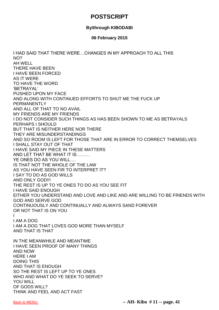# **POSTSCRIPT**

### **By/through KIBODABI**

### **06 February 2015**

I HAD SAID THAT THERE WERE…CHANGES IN MY APPROACH TO ALL THIS NO? AH WELL THERE HAVE BEEN I HAVE BEEN FORCED AS IT WERE TO HAVE THE WORD 'BETRAYAL' PUSHED UPON MY FACE AND ALONG WITH CONTINUED EFFORTS TO SHUT ME THE FUCK UP PERMANENTLY AND ALL OF THAT TO NO AVAIL MY FRIENDS ARE MY FRIENDS I DO NOT CONSIDER SUCH THINGS AS HAS BEEN SHOWN TO ME AS BETRAYALS PERHAPS I SHOULD BUT THAT IS NEITHER HERE NOR THERE THEY ARE MISUNDERSTANDINGS AND SO ROOM IS LEFT FOR THOSE THAT ARE IN ERROR TO CORRECT THEMSELVES I SHALL STAY OUT OF THAT I HAVE SAID MY PIECE IN THESE MATTERS AND LET THAT BE WHAT IT IS……… YE ONES DO AS YOU WILL…. IS THAT NOT THE WHOLE OF THE LAW AS YOU HAVE SEEN FIR TO INTERPRET IT? I SAY TO DO AS GOD WILLS AND ONLY GOD!!! THE REST IS UP TO YE ONES TO DO AS YOU SEE FIT I HAVE SAID ENOUGH EITHER YOU UNDERSTAND AND LOVE AND LIKE AND ARE WILLING TO BE FRIENDS WITH GOD AND SERVE GOD CONTINUOUSLY AND CONTINUALLY AND ALWAYS SAND FOREVER OR NOT THAT IS ON YOU I I AM A DOG I AM A DOG THAT LOVES GOD MORE THAN MYSELF AND THAT IS THAT IN THE MEANWHILE AND MEANTIME I HAVE SEEN PROOF OF MANY THINGS AND NOW HERE I AM DOING THIS AND THAT IS ENOUGH SO THE REST IS LEFT UP TO YE ONES WHO AND WHAT DO YE SEEK TO SERVE? YOU WILL OF GODS WILL? THINK AND FEEL AND ACT FAST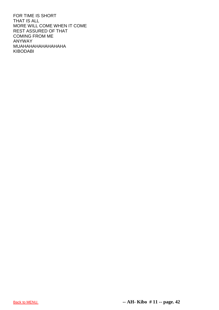FOR TIME IS SHORT THAT IS ALL MORE WILL COME WHEN IT COME REST ASSURED OF THAT COMING FROM ME ANYWAY MUAHAHAHAHAHAHAHA KIBODABI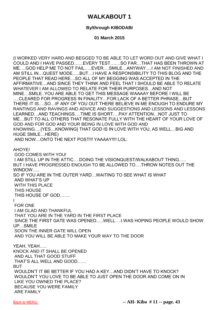# **WALKABOUT 1**

### **By/through KIBODABI**

### **01 March 2015**

(I WORKED VERY HARD AND BEGGED TO BE ABLE TO LET WORD OUT AND GIVE WHAT I COULD AND I HAVE PASSED……EVERY TEST…….SO FAR…THAT HAS BEEN THROWN AT ME….GOD HELP ME TO NOT FAIL…..EVER….SMILE…ANYWAY….I AM NOT FINISHED AND AM STILL IN…QUEST MODE…..BUT…I HAVE A RESPONSIBILITY TO THIS BLOG AND THE PEOPLE THAT READ HERE…SO ALL OF MY BEGGING WAS ACCEPTED IN THE AFFIRMATIVE…AND SINCE THEY THINK AND FEEL THAT I SHOULD BE ABLE TO RELATE WHATEVER I AM ALLOWED TO RELATE FOR THEIR PURPOSES…AND NOT MINE…SMILE..YOU ARE ABLE TO GET THIS MESSAGE WAAAAY BEFORE I WILL BE ….CLEARED FOR PROGRESS IN FINALITY…FOR LACK OF A BETTER PHRASE…BUT THERE IT IS….SO…IF ANY OF YOU OUT THERE BELIEVE IN ME ENOUGH TO ENDURE MY RANTINGS AND RAVINGS AND ADVICE AND SUGGESTIONS AND LESSONS AND LESSONS LEARNED…AND TEACHINGS….TIME IS SHORT….PAY ATTENTION…NOT JUST TO ME…BUT TO ALL OTHERS THAT RESONATE FULLY WITH THE HEART OF YOUR LOVE OF GOD AND FOR GOD AND YOUR BEING IN LOVE WITH GOD AND KNOWING….{YES…KNOWING} THAT GOD IS IN LOVE WITH YOU, AS WELL…BIG AND HUGE SMILE…HERE) AND NOW…ONTO THE NEXT POST!!! YAAAAY!!!! LOL: AHOYE! GOD COMES WITH YOU! I AM STILL UP IN THE ATTIC….DOING THE VISIONQUEST/WALKABOUT THING….. BUT I HAVE PROGRESSED ENOUGH TO BE ALLOWED TO….THROW NOTES OUT THE WINDOW….. SO IF YOU ARE IN THE OUTER YARD…WAITING TO SEE WHAT IS WHAT AND WHAT'S UP WITH THIS PLACE THIS HOUSE THIS HOUSE OF GOD……. I FOR ONE I AM GLAD AND THANKFUL THAT YOU ARE IN THE YARD IN THE FIRST PLACE SINCE THE FIRST GATE WAS OPENED…..WELL….I WAS HOPING PEOPLE WOULD SHOW UP…SMILE SOON THE INNER GATE WILL OPEN AND YOU WILL BE ABLE TO MAKE YOUR WAY TO THE DOOR YEAH, YEAH….. KNOCK AND IT SHALL BE OPENED AND ALL THAT GOOD STUFF THAT'S ALL WELL AND GOOD…… **BUT** WOULDN'T IT BE BETTER IF YOU HAD A KEY…AND DIDN'T HAVE TO KNOCK? WOULDN'T YOU LOVE TO BE ABLE TO JUST OPEN THE DOOR AND COME ON IN LIKE YOU OWNED THE PLACE? BECAUSE YOU WERE FAMILY ARE FAMILY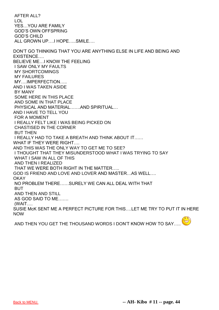AFTER ALL? LOL YES…YOU ARE FAMILY GOD'S OWN OFFSPRING GOD'S CHILD ALL GROWN UP….I HOPE…..SMILE…. DON'T GO THINKING THAT YOU ARE ANYTHING ELSE IN LIFE AND BEING AND EXISTENCE…. BELIEVE ME…I KNOW THE FEELING I SAW ONLY MY FAULTS MY SHORTCOMINGS MY FAILURES MY….IMPERFECTION….. AND I WAS TAKEN ASIDE BY MANY SOME HERE IN THIS PLACE AND SOME IN THAT PLACE PHYSICAL AND MATERIAL…….AND SPIRITUAL… AND I HAVE TO TELL YOU FOR A MOMENT I REALLY FELT LIKE I WAS BEING PICKED ON CHASTISED IN THE CORNER BUT THEN I REALLY HAD TO TAKE A BREATH AND THINK ABOUT IT…… WHAT IF THEY WERE RIGHT…. AND THIS WAS THE ONLY WAY TO GET ME TO SEE? I THOUGHT THAT THEY MISUNDERSTOOD WHAT I WAS TRYING TO SAY WHAT I SAW IN ALL OF THIS AND THEN I REALIZED THAT WE WERE BOTH RIGHT IN THE MATTER….. GOD IS FRIEND AND LOVE AND LOVER AND MASTER…AS WELL…. **OKAY** NO PROBLEM THERE……SURELY WE CAN ALL DEAL WITH THAT BUT AND THEN AND STILL AS GOD SAID TO ME……. (WAIT…. SUSIE McK SENT ME A PERFECT PICTURE FOR THIS….LET ME TRY TO PUT IT IN HERE NOW  $\bigodot$ 

AND THEN YOU GET THE THOUSAND WORDS I DON'T KNOW HOW TO SAY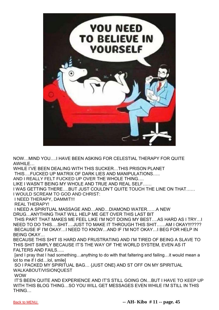

NOW…MIND YOU….I HAVE BEEN ASKING FOR CELESTIAL THERAPY FOR QUITE AWHILE…

WHILE I'VE BEEN DEALING WITH THIS SUCKER…THIS PRISON PLANET THIS….FUCKED UP MATRIX OF DARK LIES AND MANIPULATIONS…..

AND I REALLY FELT FUCKED UP OVER THE WHOLE THING….

LIKE I WASN'T BEING MY WHOLE AND TRUE AND REAL SELF……

I WAS GETTING THERE….BUT JUST COULDN'T QUITE TOUCH THE LINE ON THAT…… I WOULD SCREAM TO GOD AND CHRIST:

I NEED THERAPY, DAMMIT!!!

REAL THERAPY!

I NEED A SPIRITUAL MASSAGE AND…AND…DIAMOND WATER……A NEW DRUG…ANYTHING THAT WILL HELP ME GET OVER THIS LAST BIT

THIS PART THAT MAKES ME FEEL LIKE I'M NOT DOING MY BEST….AS HARD AS I TRY…I NEED TO DO THIS….SHIT….JUST TO MAKE IT THROUGH THIS SHIT……AM I OKAY!!!???? BECAUSE IF I'M OKAY…I NEED TO KNOW…AND IF I'M NOT OKAY…I BEG FOR HELP IN BEING OKAY…

BECAUSE THIS SHIT IS HARD AND FRUSTRATING AND I'M TIRED OF BEING A SLAVE TO THIS SHIT SIMPLY BECAUSE IT'S THE WAY OF THE WORLD SYSTEM, EVEN AS IT FALTERS AND FAILS…..

[and I pray that I had something…anything to do with that faltering and failing…it would mean a lot to me if I did…lol, smile]

SO I PACKED MY SPIRITUAL BAG… {JUST ONE} AND ST OFF ON MY SPIRITUAL WALKABOUT/VISIONQUEST

WOW

IT'S BEEN QUITE AND EXPERIENCE AND IT'S STILL GOING ON…BUT I HAVE TO KEEP UP WITH THIS BLOG THING…SO YOU WILL GET MESSAGES EVEN WHILE I'M STILL IN THIS THING…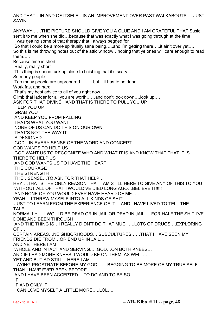AND THAT…IN AND OF ITSELF…IS AN IMPROVEMENT OVER PAST WALKABOUTS…..JUST SAYIN'

ANYWAY……THE PICTURE SHOULD GIVE YOU A CLUE AND I AM GRATEFUL THAT Susie sent it to me when she did…because that was exactly what I was going through at the time I was getting some of that therapy that I always begged for So that I could be a more spiritually sane being.....and I'm getting there.....it ain't over yet.... So this is me throwing notes out of the attic window…hoping that ye ones will care enough to read them….. Because time is short Really, really short This thing is soooo fucking close to finishing that it's scary…. So many people Too many people are unprepared………but…it has to be done…… Work fast and hard That's my best advice to all of you right now….. Climb that ladder for all you are worth……and don't look down….look up…. ASK FOR THAT DIVINE HAND THAT IS THERE TO PULL YOU UP HELP YOU UP GRAB YOU AND KEEP YOU FROM FALLING THAT'S WHAT YOU WANT NONE OF US CAN DO THIS ON OUR OWN THAT'S NOT THE WAY IT S DESIGNED GOD…IN EVERY SENSE OF THE WORD AND CONCEPT… GOD WANTS TO HELP US GOD WANT US TO RECOGNIZE WHO AND WHAT IT IS AND KNOW THAT THAT IT IS THERE TO HELP US AND GOD WANTS US TO HAVE THE HEART THE COURAGE THE STRENGTH THE…SENSE…TO ASK FOR THAT HELP… HEY….THAT'S THE ONLY REASON THAT I AM STILL HERE TO GIVE ANY OF THIS TO YOU WITHOUT ALL OF THAT I WOULD'VE DIED LONG AGO...BELIEVE IT!!!!! AND NONE OF YOU WOULD EVER HAVE HEARD OF ME….. YEAH….I THREW MYSELF INTO ALL KINDS OF SHIT JUST TO LEARN FROM THE EXPERIENCE OF IT….AND I HAVE LIVED TO TELL THE TALE NORMALLY…..I WOULD BE DEAD OR IN JAIL OR DEAD IN JAIL…..FOR HALF THE SHIT I'VE DONE AND BEEN THROUGH AND THE THING IS…I REALLY DIDN'T DO THAT MUCH….LOTS OF DRUGS….EXPLORING OF…. CERTAIN AREAS…NEIGHBORHOODS….SUBCULTURES……THAT I HAVE SEEN MY FRIENDS DIE FROM…OR END UP IN JAIL… AND YET HERE I AM WHOLE AND INTACT AND SERVING…..GOD…ON BOTH KNEES… AND IF I HAD MORE KNEES, I WOULD BE ON THEM, AS WELL….. YET AND BUT AD STILL…HERE I AM LAYING PROSTRATE BEFORE MY GOD…….BEGGING TO BE MORE OF MY TRUE SELF THAN I HAVE EVER BEEN BEFORE AND I HAVE BEEN ACCEPTED….TO DO AND TO BE SO IF IF AND ONLY IF I CAN LOVE MYSELF A LITTLE MORE…..LOL….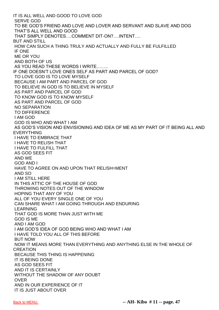IT IS ALL WELL AND GOOD TO LOVE GOD SERVE GOD TO BE GOD'S FRIEND AND LOVE AND LOVER AND SERVANT AND SLAVE AND DOG THAT'S ALL WELL AND GOOD THAT SIMPLY DENOTES….COMMENT DIT-ON?….INTENT…. BUT AND STILL HOW CAN SUCH A THING TRULY AND ACTUALLY AND FULLY BE FULFILLED IF ONE ME OR YOU AND BOTH OF US AS YOU READ THESE WORDS I WRITE…….. IF ONE DOESN'T LOVE ONES SELF AS PART AND PARCEL OF GOD? TO LOVE GOD IS TO LOVE MYSELF BECAUSE I AM PART AND PARCEL OF GOD TO BELIEVE IN GOD IS TO BELIEVE IN MYSELF AS PART AND PARCEL OF GOD TO KNOW GOD IS TO KNOW MYSELF AS PART AND PARCEL OF GOD NO SEPARATION TO DIFFERENCE I AM GOD GOD IS WHO AND WHAT I AM AS GOD'S VISION AND ENVISIONING AND IDEA OF ME AS MY PART OF IT BEING ALL AND EVERYTHING I HAVE TO EMBRACE THAT I HAVE TO RELISH THAT I HAVE TO FULFILL THAT AS GOD SEES FIT AND WE GOD AND I HAVE TO AGREE ON AND UPON THAT RELISH=MENT AND SO I AM STILL HERE IN THIS ATTIC OF THE HOUSE OF GOD THROWING NOTES OUT OF THE WINDOW HOPING THAT ANY OF YOU ALL OF YOU EVERY SINGLE ONE OF YOU CAN SHARE WHAT I AM GOING THROUGH AND ENDURING LEARNING THAT GOD IS MORE THAN JUST WITH ME GOD IS ME AND I AM GOD I AM GOD'S IDEA OF GOD BEING WHO AND WHAT I AM I HAVE TOLD YOU ALL OF THIS BEFORE BUT NOW NOW IT MEANS MORE THAN EVERYTHING AND ANYTHING ELSE IN THE WHOLE OF **CREATION** BECAUSE THIS THING IS HAPPENING IT IS BEING DONE AS GOD SEES FIT AND IT IS CERTAINLY WITHOUT THE SHADOW OF ANY DOUBT OVER AND IN OUR EXPERIENCE OF IT IT IS JUST ABOUT OVER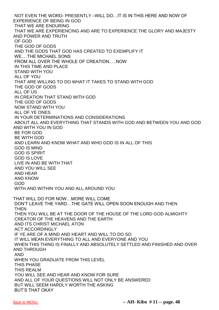NOT EVEN THE WORD- PRESENTLY –WILL DO…IT IS IN THIS HERE AND NOW OF EXPERIENCE OF BEING IN GOD THAT WE ARE ENDURING THAT WE ARE EXPERIENCING AND ARE TO EXPERIENCE THE GLORY AND MAJESTY AND POWER AND TRUTH OF GOD THE GOD OF GODS AND THE GODS THAT GOD HAS CREATED TO EXEMPLIFY IT WE….THE MICHAEL SONS FROM ALL OVER THE WHOLE OF CREATION…..NOW IN THIS TIME AND PLACE STAND WITH YOU ALL OF YOU THAT ARE WILLING TO DO WHAT IT TAKES TO STAND WITH GOD THE GOD OF GODS ALL OF US IN CREATION THAT STAND WITH GOD THE GOD OF GODS NOW STAND WITH YOU ALL OF YE ONES IN YOUR DETERMINATIONS AND CONSIDERATIONS ABOUT ALL AND EVERYTHING THAT STANDS WITH GOD AND BETWEEN YOU AND GOD AND WITH YOU IN GOD BE FOR GOD BE WITH GOD AND LEARN AND KNOW WHAT AND WHO GOD IS IN ALL OF THIS GOD IS MIND GOD IS SPIRIT GOD IS LOVE LIVE IN AND BE WITH THAT AND YOU WILL SEE AND HEAR AND KNOW GOD WITH AND WITHIN YOU AND ALL AROUND YOU THAT WILL DO FOR NOW…MORE WILL COME DON'T LEAVE THE YARD…THE GATE WILL OPEN SOON ENOUGH AND THEN **THEN** THEN YOU WILL BE AT THE DOOR OF THE HOUSE OF THE LORD GOD ALMIGHTY CREATOR OF THE HEAVENS AND THE EARTH AND ITS CHRIST MICHAEL ATON ACT ACCORDINGLY IF YE ARE OF A MIND AND HEART AND WILL TO DO SO IT WILL MEAN EVERYTHING TO ALL AND EVERYONE AND YOU WHEN THIS THING IS FINALLY AND ABSOLUTELY SETTLED AND FINISHED AND OVER AND THROUGH AND WHEN YOU GRADUATE FROM THIS LEVEL THIS PHASE THIS REALM YOU WILL SEE AND HEAR AND KNOW FOR SURE AND ALL OF YOUR QUESTIONS WILL NOT ONLY BE ANSWERED BUT WILL SEEM HARDLY WORTH THE ASKING BUT'S THAT OKAY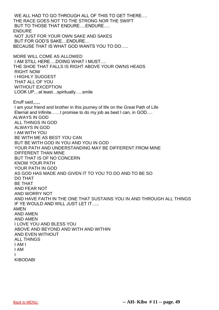WE ALL HAD TO GO THROUGH ALL OF THIS TO GET THERE…. THE RACE GOES NOT TO THE STRONG NOR THE SWIFT BUT TO THOSE THAT ENDURE.... ENDURE.... **ENDURF** NOT JUST FOR YOUR OWN SAKE AND SAKES BUT FOR GOD'S SAKE…ENDURE… BECAUSE THAT IS WHAT GOD WANTS YOU TO DO….. MORE WILL COME AS ALLOWED I AM STILL HERE….DOING WHAT I MUST…. THE SHOE THAT FALLS IS RIGHT ABOVE YOUR OWNS HEADS RIGHT NOW I HIGHLY SUGGEST THAT ALL OF YOU WITHOUT EXCEPTION LOOK UP…at least…spiritually…..smile Enuff said,,,,,, I am your friend and brother in this journey of life on the Great Path of Life Eternal and Infinite……I promise to do my job as best I can, in GOD…. ALWAYS IN GOD ALL THINGS IN GOD ALWAYS IN GOD I AM WITH YOU BE WITH ME AS BEST YOU CAN BUT BE WITH GOD IN YOU AND YOU IN GOD YOUR PATH AND UNDERSTANDING MAY BE DIFFERENT FROM MINE DIFFERENT THAN MINE BUT THAT IS OF NO CONCERN KNOW YOUR PATH YOUR PATH IN GOD AS GOD HAS MADE AND GIVEN IT TO YOU TO DO AND TO BE SO DO THAT BE THAT AND FEAR NOT AND WORRY NOT AND HAVE FAITH IN THE ONE THAT SUSTAINS YOU IN AND THROUGH ALL THINGS IF YE WOULD AND WILL JUST LET IT….. AMEN AND AMEN AND AMEN I LOVE YOU AND BLESS YOU ABOVE AND BEYOND AND WITH AND WITHIN AND EVEN WITHOUT ALL THINGS I AM I I AM I KIBODABI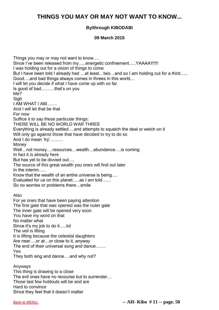# **THINGS YOU MAY OR MAY NOT WANT TO KNOW...**

### **By/through KIBODABI**

### **09 March 2015**

Things you may or may not want to know…. Since I've been released from my…..energetic confinement…..YAAAAY!!!! I was holding out for a vision of things to come But I have been told I already had …at least…two…and so I am holding out for a third….. Good….and bad things always comes in threes in this world… I will let you decide if what I have come up with so far Is good of bad………that's on you Me? **Sigh** I AM WHAT I AM……. And I will let that be that For now Suffice it to say these particular things: THERE WILL BE NO WORLD WAR THREE Everything is already settled….and attempts to squelch the deal or welch on it Will only go against those that have decided to try to do so And I do mean 'try'……… **Money** Well…not money….resources…wealth…abundance….is coming In fact it is already here But has yet to be divvied out…. The source of this great wealth you ones will find out later In the interim….. Know that the wealth of an entire universe is being…. Evaluated for us on this planet…..as I am told…… So no worries or problems there…smile Also For ye ones that have been paying attention The first gate that was opened was the outer gate The inner gate will be opened very soon You have my word on that No matter what Since it's my job to do it…..lol The veil is lifting It is lifting because the celestial daughters Are near….or at…or close to it, anyway The end of their universal song and dance……. Yes They both sing and dance….and why not? Anyways This thing is drawing to a close The evil ones have no recourse but to surrender… Those last few holdouts will be and are Hard to convince

Since they feel that it doesn't matter

[Back to MENU.](#page-1-0) **-- AH- Kibo # 11 -- page. 50**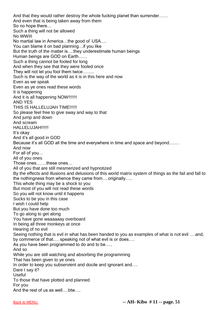And that they would rather destroy the whole fucking planet than surrender…… And even that is being taken away from them So no hope there… Such a thing will not be allowed No WWIII No martial law in America…the good ol' USA…. You can blame it on bad planning…if you like But the truth of the matter is….they underestimate human beings Human beings are GOD on Earth…… Such a thing cannot be fooled for long And when they see that they were fooled once They will not let you fool them twice…….. Such is the way of the world as it is in this here and now Even as we speak Even as ye ones read these words It is happening And it is all happening NOW!!!!!!!! AND YES THIS IS HALLELUJAH TIME!!!!!! So please feel free to give sway and way to that And jump and down And scream HALLELUJAH!!!!!! It's okay And it's all good in GOD Because it's all GOD all the time and everywhere in time and space and beyond……. And now For all of you… All of you ones Those ones…….these ones… All of you that are still mesmerized and hypnotized By the effects and illusions and delusions of this world matrix system of things as the fail and fall to the nothingness from whence they came from….originally….. This whole thing may be a shock to you But most of you will not read these words So you will not know until it happens Sucks to be you in this case I wish I could help But you have done too much To go along to get along You have gone waaaaaay overboard In being all three monkeys at once Hearing of no evil Seeing nothing that is evil in what has been handed to you as examples of what is not evil ….and, by commerce of that…. speaking not of what evil is or does…. As you have been programmed to do and to be….. And so While you are still watching and absorbing the programming That has been given to ye ones In order to keep you subservient and docile and ignorant and.... Dare I say it? Useful To those that have plotted and planned For you And the rest of us as well….btw….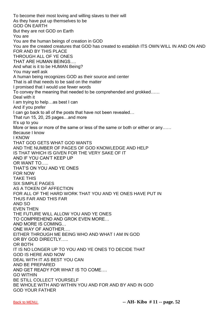To become their most loving and willing slaves to their will As they have put up themselves to be GOD ON EARTH But they are not GOD on Earth You are You are the human beings of creation in GOD You are the created creatures that GOD has created to establish ITS OWN WILL IN AND ON AND FOR AND BY THIS PLACE THROUGH ALL OF YE ONES THAT ARE HUMAN BEINGS…. And what is it to be HUMAN Being? You may well ask A human being recognizes GOD as their source and center That is all that needs to be said on the matter I promised that I would use fewer words To convey the meaning that needed to be comprehended and grokked…… Deal with it I am trying to help…as best I can And if you prefer I can go back to all of the posts that have not been revealed… That run 15, 20, 25 pages…and more It's up to you More or less or more of the same or less of the same or both or either or any…… Because I know I KNOW THAT GOD GETS WHAT GOD WANTS AND THE NUMBER OF PAGES OF GOD KNOWLEDGE AND HELP IS THAT WHICH IS GIVEN FOR THE VERY SAKE OF IT AND IF YOU CAN'T KEEP UP OR WANT TO….. THAT'S ON YOU AND YE ONES FOR NOW TAKE THIS SIX SIMPLE PAGES AS A TOKEN OF AFFECTION FOR ALL OF THE HARD WORK THAT YOU AND YE ONES HAVE PUT IN THUS FAR AND THIS FAR AND SO EVEN THEN THE FUTURE WILL ALLOW YOU AND YE ONES TO COMPREHEND AND GROK EVEN MORE… AND MORE IS COMING… ONE WAY OF ANOTHER…. EITHER THROUGH ME BEING WHO AND WHAT I AM IN GOD OR BY GOD DIRECTLY….. OR BOTH IT IS NO LONGER UP TO YOU AND YE ONES TO DECIDE THAT GOD IS HERE AND NOW DEAL WITH IT AS BEST YOU CAN AND BE PREPARED AND GET READY FOR WHAT IS TO COME…. GO WITHIN BE STILL COLLECT YOURSELF BE WHOLE WITH AND WITHIN YOU AND FOR AND BY AND IN GOD GOD YOUR FATHER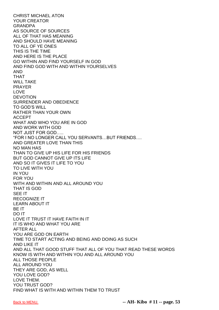CHRIST MICHAEL ATON YOUR CREATOR GRANDPA AS SOURCE OF SOURCES ALL OF THAT HAS MEANING AND SHOULD HAVE MEANING TO ALL OF YE ONES THIS IS THE TIME AND HERE IS THE PLACE GO WITHIN AND FIND YOURSELF IN GOD AND FIND GOD WITH AND WITHIN YOURSELVES AND THAT WILL TAKE PRAYER LOVE DEVOTION SURRENDER AND OBEDIENCE TO GOD'S WILL RATHER THAN YOUR OWN ACCEPT WHAT AND WHO YOU ARE IN GOD AND WORK WITH GOD NOT JUST FOR GOD….. "FOR I NO LONGER CALL YOU SERVANTS…BUT FRIENDS…. AND GREATER LOVE THAN THIS NO MAN HAS THAN TO GIVE UP HIS LIFE FOR HIS FRIENDS BUT GOD CANNOT GIVE UP ITS LIFE AND SO IT GIVES IT LIFE TO YOU TO LIVE WITH YOU IN YOU FOR YOU WITH AND WITHIN AND ALL AROUND YOU THAT IS GOD SEE IT RECOGNIZE IT LEARN ABOUT IT BE IT DO IT LOVE IT TRUST IT HAVE FAITH IN IT IT IS WHO AND WHAT YOU ARE AFTER ALL YOU ARE GOD ON EARTH TIME TO START ACTING AND BEING AND DOING AS SUCH AND LIKE IT AND ALL THAT GOOD STUFF THAT ALL OF YOU THAT READ THESE WORDS KNOW IS WITH AND WITHIN YOU AND ALL AROUND YOU ALL THOSE PEOPLE ALL AROUND YOU THEY ARE GOD, AS WELL YOU LOVE GOD? LOVE THEM. YOU TRUST GOD? FIND WHAT IS WITH AND WITHIN THEM TO TRUST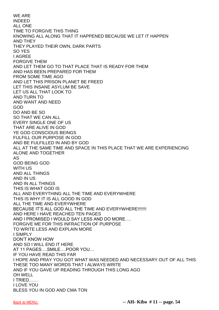WE ARE INDEED ALL ONE TIME TO FORGIVE THIS THING KNOWING ALL ALONG THAT IT HAPPENED BECAUSE WE LET IT HAPPEN AND THEY THEY PLAYED THEIR OWN, DARK PARTS SO YES I AGREE FORGIVE THEM AND LET THEM GO TO THAT PLACE THAT IS READY FOR THEM AND HAS BEEN PREPARED FOR THEM FROM SOME TIME AGO AND LET THIS PRISON PLANET BE FREED LET THIS INSANE ASYLUM BE SAVE LET US ALL THAT LOOK TO AND TURN TO AND WANT AND NEED GOD DO AND BE SO SO THAT WE CAN ALL EVERY SINGLE ONE OF US THAT ARE ALIVE IN GOD YE GOD CONSCIOUS BEINGS FULFILL OUR PURPOSE IN GOD AND BE FULFILLED IN AND BY GOD ALL AT THE SAME TIME AND SPACE IN THIS PLACE THAT WE ARE EXPERIENCING ALONE AND TOGETHER AS GOD BEING GOD WITH US AND ALL THINGS AND IN US AND IN ALL THINGS THIS IS WHAT GOD IS ALL AND EVERYTHING ALL THE TIME AND EVERYWHERE THIS IS WHY IT IS ALL GOOD IN GOD ALL THE TIME AND EVERYWHERE BECAUSE IT'S ALL GOD ALL THE TIME AND EVERYWHERE!!!!!!! AND HERE I HAVE REACHED TEN PAGES AND I PROMISED I WOULD SAY LESS AND DO MORE…. FORGIVE ME FOR THIS INFRACTION OF PURPOSE TO WRITE LESS AND EXPLAIN MORE I SIMPLY DON'T KNOW HOW AND SO I WILL END IT HERE AT 11 PAGES….SMILE….POOR YOU… IF YOU HAVE READ THIS FAR I HOPE AND PRAY YOU GOT WHAT WAS NEEDED AND NECESSARY OUT OF ALL THIS THESE TOO MANY WORDS THAT I ALWAYS WRITE AND IF YOU GAVE UP READING THROUGH THIS LONG AGO OH WELL I TRIED…… I LOVE YOU BLESS YOU IN GOD AND CMA TON

[Back to MENU.](#page-1-0) **-- AH- Kibo # 11 -- page. 54**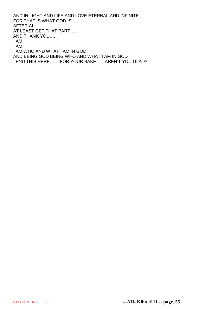AND IN LIGHT AND LIFE AND LOVE ETERNAL AND INFINITE FOR THAT IS WHAT GOD IS AFTER ALL AT LEAST GET THAT PART…… AND THANK YOU…. I AM I AM I I AM WHO AND WHAT I AM IN GOD AND BEING GOD BEING WHO AND WHAT I AM IN GOD I END THIS HERE…….FOR YOUR SAKE……AREN'T YOU GLAD?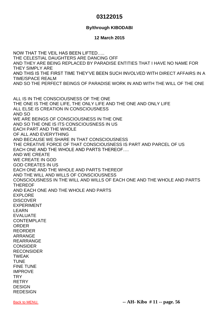### **03122015**

### **By/through KIBODABI**

### **12 March 2015**

NOW THAT THE VEIL HAS BEEN LIFTED….. THE CELESTIAL DAUGHTERS ARE DANCING OFF AND THEY ARE BEING REPLACED BY PARADISE ENTITIES THAT I HAVE NO NAME FOR THEY SIMPLY ARE AND THIS IS THE FIRST TIME THEY'VE BEEN SUCH INVOLVED WITH DIRECT AFFAIRS IN A TIME/SPACE REALM AND SO THE PERFECT BEINGS OF PARADISE WORK IN AND WITH THE WILL OF THE ONE

ALL IS IN THE CONSCIOUSNESS OF THE ONE THE ONE IS THE ONE LIFE, THE ONLY LIFE AND THE ONE AND ONLY LIFE ALL ELSE IS CREATION IN CONSCIOUSNESS AND SO WE ARE BEINGS OF CONSCIOUSNESS IN THE ONE AND SO THE ONE IS ITS CONSCIOUSNESS IN US EACH PART AND THE WHOLE OF ALL AND EVERYTHING AND BECAUSE WE SHARE IN THAT CONSCIOUSNESS THE CREATIVE FORCE OF THAT CONSCIOUSNESS IS PART AND PARCEL OF US EACH ONE AND THE WHOLE AND PARTS THEREOF…. AND WE CREATE WE CREATE IN GOD GOD CREATES IN US EACH ONE AND THE WHOLE AND PARTS THEREOF AND THE WILL AND WILLS OF CONSCIOUSNESS CONSCIOUSNESS IN THE WILL AND WILLS OF EACH ONE AND THE WHOLE AND PARTS THEREOF AND EACH ONE AND THE WHOLE AND PARTS EXPLORE DISCOVER EXPERIMENT LEARN EVALUATE CONTEMPLATE ORDER REORDER ARRANGE REARRANGE **CONSIDER** RECONSIDER TWEAK TUNE FINE TUNE IMPROVE **TRY** RETRY **DESIGN REDESIGN**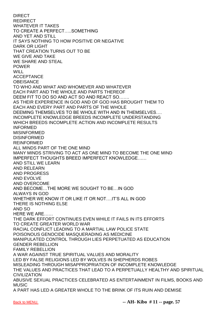DIRECT REDIRECT WHATEVER IT TAKES TO CREATE A PERFECT…..SOMETHING AND YET AND STILL IT SAYS NOTHING TO HOW POSITIVE OR NEGATIVE DARK OR LIGHT THAT CREATION TURNS OUT TO BE WE GIVE AND TAKE WE SHARE AND STEAL POWER WILL ACCEPTANCE **OBEISANCE** TO WHO AND WHAT AND WHOMEVER AND WHATEVER EACH PART AND THE WHOLE AND PARTS THEREOF DEEM FIT TO DO SO AND ACT SO AND REACT SO……. AS THEIR EXPERIENCE IN GOD AND OF GOD HAS BROUGHT THEM TO EACH AND EVERY PART AND PARTS OF THE WHOLE DEEMING THEMSELVES TO BE WHOLE WITH AND IN THEMSELVES…. INCOMPLETE KNOWLEDGE BREEDS INCOMPLETE UNDERSTANDING WHICH BREEDS INCOMPLETE ACTION AND INCOMPLETE RESULTS INFORMED MISINFORMED DISINFORMED REINFORMED ALL MINDS PART OF THE ONE MIND MANY MINDS STRIVING TO ACT AS ONE MIND TO BECOME THE ONE MIND IMPERFECT THOUGHTS BREED IMPERFECT KNOWLEDGE…… AND STILL WE LEARN AND RELEARN AND PROGRESS AND EVOLVE AND OVERCOME AND BECOME…THE MORE WE SOUGHT TO BE…IN GOD ALWAYS IN GOD WHETHER WE KNOW IT OR LIKE IT OR NOT….IT'S ALL IN GOD THERE IS NOTHING ELSE AND SO HERE WE ARE…… THE DARK EFFORT CONTINUES EVEN WHILE IT FAILS IN ITS EFFORTS TO CREATE GREATER WORLD WAR RACIAL CONFLICT LEADING TO A MARTIAL LAW POLICE STATE POISONOUS GENOCIDE MASQUERADING AS MEDICINE MANIPULATED CONTROL THROUGH LIES PERPETUATED AS EDUCATION GENDER REBELLION FAMILY REBELLION A WAR AGAINST TRUE SPIRITUAL VALUES AND MORALITY LED BY FALSE RELIGIONS LED BY WOLVES IN SHEPHERDS ROBES MISLEADING THROUGH MISAPPROPRIATION OF INCOMPLETE KNOWLEDGE THE VALUES AND PRACTICES THAT LEAD TO A PERPETUALLY HEALTHY AND SPIRITUAL CIVILIZATION ABUSIVE SEXUAL PRACTICES CELEBRATED AS ENTERTAINMENT IN FILMS, BOOKS AND MUSIC A PART HAS LED A GREATER WHOLE TO THE BRINK OF ITS RUIN AND DEMISE

[Back to MENU.](#page-1-0) **-- AH- Kibo # 11 -- page. 57**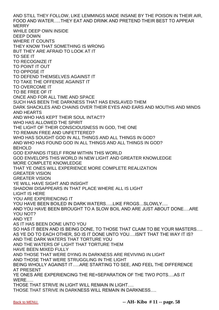AND STILL THEY FOLLOW, LIKE LEMMINGS MADE INSANE BY THE POISON IN THEIR AIR, FOOD AND WATER…..THEY EAT AND DRINK AND PRETEND THEIR BEST TO APPEAR **MERRY** WHILE DEEP OWN INSIDE DEEP DOWN WHERE IT COUNTS THEY KNOW THAT SOMETHING IS WRONG BUT THEY ARE AFRAID TO LOOK AT IT TO SEE IT TO RECOGNIZE IT TO POINT IT OUT TO OPPOSE IT TO DEFEND THEMSELVES AGAINST IT TO TAKE THE OFFENSE AGAINST IT TO OVERCOME IT TO BE FREE OF IT ONCE AND FOR ALL TIME AND SPACE SUCH HAS BEEN THE DARKNESS THAT HAS ENSLAVED THEM DARK SHACKLES AND CHAINS OVER THEIR EYES AND EARS AND MOUTHS AND MINDS AND HEARTS AND WHO HAS KEPT THEIR SOUL INTACT? WHO HAS ALLOWED THE SPIRIT THE LIGHT OF THEIR CONSCIOUSNESS IN GOD, THE ONE TO REMAIN FREE AND UNFETTERED? WHO HAS SOUGHT GOD IN ALL THINGS AND ALL THINGS IN GOD? AND WHO HAS FOUND GOD IN ALL THINGS AND ALL THINGS IN GOD? BEHOLD GOD EXPANDS ITSELF FROM WITHIN THIS WORLD GOD ENVELOPS THIS WORLD IN NEW LIGHT AND GREATER KNOWLEDGE MORE COMPLETE KNOWLEDGE THAT YE ONES WILL EXPERIENCE MORE COMPLETE REALIZATION GREATER VISION GREATER VISION YE WILL HAVE SIGHT AND INSIGHT SHADOW DISAPPEARS IN THAT PLACE WHERE ALL IS LIGHT LIGHT IS HERE YOU ARE EXPERIENCING IT YOU HAVE BEEN BOILED IN DARK WATERS…..LIKE FROGS…SLOWLY…. AND YOU HAVE BEEN BROUGHT TO A SLOW BOIL AND ARE JUST ABOUT DONE….ARE YOU NOT? AND YET AS IT HAS BEEN DONE UNTO YOU SO HAS IT BEEN AND IS BEING DONE, TO THOSE THAT CLAIM TO BE YOUR MASTERS…. AS YE DO TO EACH OTHER, SO IS IT DONE UNTO YOU….ISN'T THAT THE WAY IT IS? AND THE DARK WATERS THAT TORTURE YOU AND THE WATERS OF LIGHT THAT TORTURE THEM HAVE BEEN MIXED FULLY AND THOSE THAT WERE DYING IN DARKNESS ARE REVIVING IN LIGHT AND THOSE THAT WERE STRUGGLING IN THE LIGHT BEING WHOLLY AGAINST IT…..ARE STARTING TO SEE, AND FEEL THE DIFFERENCE AT PRESENT YE ONES ARE EXPERIENCING THE RE=SEPARATION OF THE TWO POTS….AS IT WERE….. THOSE THAT STRIVE IN LIGHT WILL REMAIN IN LIGHT…. THOSE THAT STRIVE IN DARKNESS WILL REMAIN IN DARKNESS….

[Back to MENU.](#page-1-0) **-- AH- Kibo # 11 -- page. 58**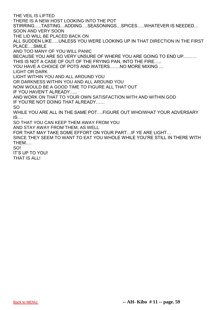THE VEIL IS LIFTED

THERE IS A NEW HOST LOOKING INTO THE POT

STIRRING…..TASTING…ADDING….SEASONINGS…SPICES…..WHATEVER IS NEEDED… SOON AND VERY SOON

THE LID WILL BE PLACED BACK ON

ALL SUDDEN LIKE…..UNLESS YOU WERE LOOKING UP IN THAT DIRECTION IN THE FIRST PLACE….SMILE

AND TOO MANY OF YOU WILL PANIC

BECAUSE YOU ARE SO VERY UNSURE OF WHERE YOU ARE GOING TO END UP………

THIS IS NOT A CASE OF OUT OF THE FRYING PAN, INTO THE FIRE…..

YOU HAVE A CHOICE OF POTS AND WATERS…….NO MORE MIXING …

LIGHT OR DARK

LIGHT WITHIN YOU AND ALL AROUND YOU

OR DARKNESS WITHIN YOU AND ALL AROUND YOU

NOW WOULD BE A GOOD TIME TO FIGURE ALL THAT OUT

IF YOU HAVEN'T ALREADY…..

AND WORK ON THAT TO YOUR OWN SATISFACTION WITH AND WITHIN GOD

IF YOU'RE NOT DOING THAT ALREADY……

SO

WHILE YOU ARE ALL IN THE SAME POT….FIGURE OUT WHO/WHAT YOUR ADVERSARY IS….

SO THAT YOU CAN KEEP THEM AWAY FROM YOU

AND STAY AWAY FROM THEM, AS WELL

FOR THAT MAY TAKE SOME EFFORT ON YOUR PART…IF YE ARE LIGHT…

SINCE THEY SEEM TO WANT TO EAT YOU WHOLE WHILE YOU'RE STILL IN THERE WITH THEM….

#### SO!

IT'S UP TO YOU!

THAT IS ALL!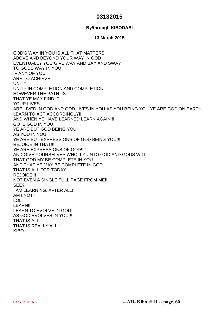## **03132015**

### **By/through KIBODABI**

### **13 March 2015**

GOD'S WAY IN YOU IS ALL THAT MATTERS ABOVE AND BEYOND YOUR WAY IN GOD EVENTUALLY YOU GIVE WAY AND SAY AND SWAY TO GODS WAY IN YOU IF ANY OF YOU ARE TO ACHIEVE UNITY UNITY IN COMPLETION AND COMPLETION HOWEVER THE PATH IS THAT YE MAY FIND IT YOUR LIVES ARE LIVED IN GOD AND GOD LIVES IN YOU AS YOU BEING YOU YE ARE GOD ON EARTH LEARN TO ACT ACCORDINGLY!!! AND WHEN YE HAVE LEARNED LEARN AGAIN!!! GO IS GOD IN YOU! YE ARE BUT GOD BEING YOU AS YOU IN YOU YE ARE BUT EXPRESSIONS OF GOD BEING YOU!!!! REJOICE IN THAT!!!! YE ARE EXPRESSIONS OF GOD!!!! AND GIVE YOURSELVES WHOLLY UNTO GOD AND GODS WILL THAT GOD MY BE COMPLETE IN YOU AND THAT YE MAY BE COMPLETE IN GOD THAT IS ALL FOR TODAY REJOICE!!! NOT EVEN A SINGLE FULL PAGE FROM ME!!!! SEE? I AM LEARNING, AFTER ALL!!! AM I NOT? LOL LEARN!!! LEARN TO EVOLVE IN GOD AS GOD EVOLVES IN YOU!!! THAT IS ALL! THAT IS REALLY ALL!! KIBO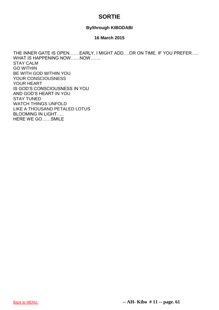# **SORTIE**

### **By/through KIBODABI**

### **16 March 2015**

THE INNER GATE IS OPEN…….EARLY, I MIGHT ADD….OR ON TIME, IF YOU PREFER….. WHAT IS HAPPENING NOW ....... NOW ....... STAY CALM GO WITHIN BE WITH GOD WITHIN YOU YOUR CONSCIOUSNESS YOUR HEART IS GOD'S CONSCIOUSNESS IN YOU AND GOD'S HEART IN YOU STAY TUNED WATCH THINGS UNFOLD LIKE A THOUSAND PETALED LOTUS BLOOMING IN LIGHT….. HERE WE GO……SMILE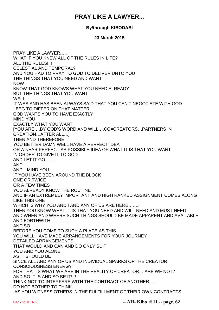# **PRAY LIKE A LAWYER...**

### **By/through KIBODABI**

### **23 March 2015**

PRAY LIKE A LAWYER….. WHAT IF YOU KNEW ALL OF THE RULES IN LIFE? ALL THE RULES!!!! CELESTIAL AND TEMPORAL? AND YOU HAD TO PRAY TO GOD TO DELIVER UNTO YOU THE THINGS THAT YOU NEED AND WANT NOW KNOW THAT GOD KNOWS WHAT YOU NEED ALREADY BUT THE THINGS THAT YOU WANT WELL IT WAS AND HAS BEEN ALWAYS SAID THAT YOU CAN'T NEGOTIATE WITH GOD I BEG TO DIFFER ON THAT MATTER GOD WANTS YOU TO HAVE EXACTLY MIND YOU EXACTLY WHAT YOU WANT [YOU ARE….BY GOD'S WORD AND WILL….CO=CREATORS…PARTNERS IN CREATION…AFTER ALL…] THEN AND THEREFORE YOU BETTER DAMN WELL HAVE A PERFECT IDEA OR A NEAR PERFECT AS POSSIBLE IDEA OF WHAT IT IS THAT YOU WANT IN ORDER TO GIVE IT TO GOD AND LET IT GO…….. AND AND…MIND YOU IF YOU HAVE BEEN AROUND THE BLOCK ONE OR TWICE OR A FEW TIMES YOU ALREADY KNOW THE ROUTINE AND IF AN EXTREMELY IMPORTANT AND HIGH RANKED ASSIGNMENT COMES ALONG LIKE THIS ONE WHICH IS WHY YOU AND I AND ANY OF US ARE HERE…….. THEN YOU KNOW WHAT IT IS THAT YOU NEED AND WILL NEED AND MUST NEED AND WHEN AND WHERE SUCH THINGS SHOULD BE MADE APPARENT AND AVAILABLE AND FORTHWITH…………. AND SO BEFORE YOU COME TO SUCH A PLACE AS THIS YOU WILL HAVE MADE ARRANGEMENTS FOR YOUR JOURNEY DETAILED ARRANGEMENTS THAT WOULD AND CAN AND DO ONLY SUIT YOU AND YOU ALONE AS IT SHOULD BE SINCE ALL AND ANY OF US AND INDIVIDUAL SPARKS OF THE CREATOR CONSCIOUSNESS ENERGY FOR THAT IS WHAT WE ARE IN THE REALITY OF CREATOR….ARE WE NOT? AND SO IT IS AND SO BE IT!!!! THINK NOT TO INTERFERE WITH THE CONTRACT OF ANOTHER….. DO NOT BOTHER TO THINK AS YOU WITNESS OTHERS IN THE FULFILLMENT OF THEIR OWN CONTRACTS

[Back to MENU.](#page-1-0) **-- AH- Kibo # 11 -- page. 62**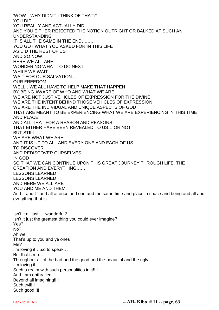'WOW…WHY DIDN'T I THINK OF THAT?' YOU DID YOU REALLY AND ACTUALLY DID AND YOU EITHER REJECTED THE NOTION OUTRIGHT OR BALKED AT SUCH AN UNDERSTANDING IT IS ALL THE SAME IN THE END……… YOU GOT WHAT YOU ASKED FOR IN THIS LIFE AS DID THE REST OF US AND SO NOW HERE WE ALL ARE WONDERING WHAT TO DO NEXT WHILE WE WAIT WAIT FOR OUR SALVATION….. OUR FREEDOM…. WELL…WE ALL HAVE TO HELP MAKE THAT HAPPEN BY BEING AWARE OF WHO AND WHAT WE ARE WE ARE NOT JUST VEHICLES OF EXPRESSION FOR THE DIVINE WE ARE THE INTENT BEHIND THOSE VEHICLES OF EXPRESSION WE ARE THE INDIVIDUAL AND UNIQUE ASPECTS OF GOD THAT ARE MEANT TO BE EXPERIENCING WHAT WE ARE EXPERIENCING IN THIS TIME AND PLACE AND ALL THAT FOR A REASON AND REASONS THAT EITHER HAVE BEEN REVEALED TO US….OR NOT BUT STILL WE ARE WHAT WE ARE AND IT IS UP TO ALL AND EVERY ONE AND EACH OF US TO DISCOVER AND REDISCOVER OURSELVES IN GOD SO THAT WE CAN CONTINUE UPON THIS GREAT JOURNEY THROUGH LIFE, THE CREATION AND EVERYTHING…… LESSONS LEARNED LESSONS LEARNED AND HERE WE ALL ARE YOU AND ME AND THEM And It and IT and all at once and one and the same time and place in space and being and all and everything that is

Isn't it all just…. wonderful? Isn't it just the greatest thing you could ever imagine? Yes? No? Ah well That's up to you and ye ones Me? I'm loving it….so to speak… But that's me… Throughout all of the bad and the good and the beautiful and the ugly I'm loving it Such a realm with such personalities in it!!!! And I am enthralled Beyond all imagining!!!! Such evil!!! Such good!!!!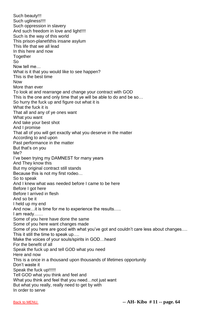Such beauty!!! Such ugliness!!!! Such oppression in slavery And such freedom in love and light!!!! Such is the way of this world This prison-planet\this insane asylum This life that we all lead In this here and now **Together** So Now tell me… What is it that you would like to see happen? This is the best time Now More than ever To look at and rearrange and change your contract with GOD This is the one and only time that ye will be able to do and be so… So hurry the fuck up and figure out what it is What the fuck it is That all and any of ye ones want What you want And take your best shot And I promise That all of you will get exactly what you deserve in the matter According to and upon Past performance in the matter But that's on you Me? I've been trying my DAMNEST for many years And They know this But my original contract still stands Because this is not my first rodeo… So to speak And I knew what was needed before I came to be here Before I got here Before I arrived in flesh And so be it I held up my end And now…it is time for me to experience the results….. I am ready…… Some of you here have done the same Some of you here want changes made Some of you here are good with what you've got and couldn't care less about changes…. This it still the time to speak up…. Make the voices of your souls/spirits in GOD…heard For the benefit of all Speak the fuck up and tell GOD what you need Here and now This is a once in a thousand upon thousands of lifetimes opportunity Don't waste it Speak the fuck up!!!!!! Tell GOD what you think and feel and What you think and feel that you need…not just want But what you really, really need to get by with In order to serve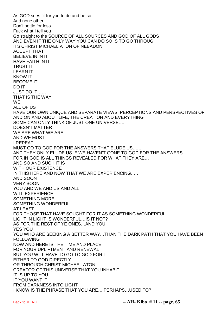As GOD sees fit for you to do and be so And none other Don't settle for less Fuck what I tell you Go straight to the SOURCE OF ALL SOURCES AND GOD OF ALL GODS AND EVEN IF THE ONLY WAY YOU CAN DO SO IS TO GO THROUGH ITS CHRIST MICHAEL ATON OF NEBADON ACCEPT THAT BELIEVE IN IN IT HAVE FAITH IN IT TRUST IT LEARN IT KNOW IT BECOME IT DO IT JUST DO IT…… THAT IS THE WAY WE ALL OF US HAVE OUR OWN UNIQUE AND SEPARATE VIEWS, PERCEPTIONS AND PERSPECTIVES OF AND ON AND ABOUT LIFE, THE CREATION AND EVERYTHING SOME CAN ONLY THINK OF JUST ONE UNIVERSE…. DOESN'T MATTER WE ARE WHAT WE ARE AND WE MUST I REPEAT MUST GO TO GOD FOR THE ANSWERS THAT ELUDE US…… AND THEY ONLY ELUDE US IF WE HAVEN'T GONE TO GOD FOR THE ANSWERS FOR IN GOD IS ALL THINGS REVEALED FOR WHAT THEY ARE… AND SO AND SUCH IT IS WITH OUR EXISTENCE IN THIS HERE AND NOW THAT WE ARE EXPERIENCING…… AND SOON VERY SOON YOU AND WE AND US AND ALL WILL EXPERIENCE SOMETHING MORE SOMETHING WONDERFUL AT LEAST FOR THOSE THAT HAVE SOUGHT FOR IT AS SOMETHING WONDERFUL LIGHT IN LIGHT IS WONDERFUL…IS IT NOT? AS FOR THE REST OF YE ONES…AND YOU YES YOU YOU WHO ARE SEEKING A BETTER WAY…THAN THE DARK PATH THAT YOU HAVE BEEN FOLLOWING NOW AND HERE IS THE TIME AND PLACE FOR YOUR UPLIFTMENT AND RENEWAL BUT YOU WILL HAVE TO GO TO GOD FOR IT EITHER TO GOD DIRECTLY OR THROUGH CHRIST MICHAEL ATON CREATOR OF THIS UNIVERSE THAT YOU INHABIT IT IS UP TO YOU IF YOU WANT IT FROM DARKNESS INTO LIGHT I KNOW IS THE PHRASE THAT YOU ARE….PERHAPS…USED TO?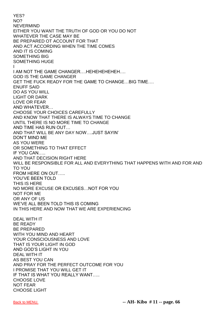YES? NO? NEVERMIND EITHER YOU WANT THE TRUTH OF GOD OR YOU DO NOT WHATEVER THE CASE MAY BE BE PREPARED OT ACCOUNT FOR THAT AND ACT ACCORDING WHEN THE TIME COMES AND IT IS COMING SOMETHING BIG SOMETHING HUGE I I AM NOT THE GAME CHANGER….HEHEHEHEHEH…. GOD IS THE GAME CHANGER GET THE FUCK READY FOR THE GAME TO CHANGE…BIG TIME…. ENUFF SAID DO AS YOU WILL LIGHT OR DARK LOVE OR FEAR AND WHATEVER… CHOOSE YOUR CHOICES CAREFULLY AND KNOW THAT THERE IS ALWAYS TIME TO CHANGE UNTIL THERE IS NO MORE TIME TO CHANGE AND TIME HAS RUN OUT… AND THAT WILL BE ANY DAY NOW….JUST SAYIN' DON'T MIND ME AS YOU WERE OR SOMETHING TO THAT EFFECT IF YOU CAN….. AND THAT DECISION RIGHT HERE WILL BE RESPONSIBLE FOR ALL AND EVERYTHING THAT HAPPENS WITH AND FOR AND TO YOU FROM HERE ON OUT….. YOU'VE BEEN TOLD THIS IS HERE NO MORE EXCUSE OR EXCUSES…NOT FOR YOU NOT FOR ME OR ANY OF US WE'VE ALL BEEN TOLD THIS IS COMING IN THIS HERE AND NOW THAT WE ARE EXPERIENCING DEAL WITH IT BE READY BE PREPARED WITH YOU MIND AND HEART YOUR CONSCIOUSNESS AND LOVE THAT IS YOUR LIGHT IN GOD AND GOD'S LIGHT IN YOU DEAL WITH IT AS BEST YOU CAN AND PRAY FOR THE PERFECT OUTCOME FOR YOU I PROMISE THAT YOU WILL GET IT IF THAT IS WHAT YOU REALLY WANT….. CHOOSE LOVE NOT FEAR CHOOSE LIGHT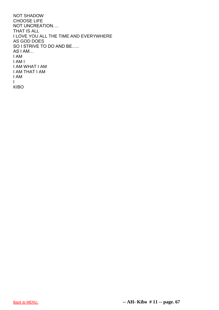NOT SHADOW CHOOSE LIFE NOT UNCREATION…. THAT IS ALL I LOVE YOU ALL THE TIME AND EVERYWHERE AS GOD DOES SO I STRIVE TO DO AND BE….. AS I AM… I AM I AM I I AM WHAT I AM I AM THAT I AM I AM I KIBO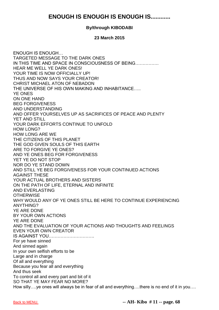# **ENOUGH IS ENOUGH IS ENOUGH IS............**

### **By/through KIBODABI**

### **23 March 2015**

ENOUGH IS ENOUGH… TARGETED MESSAGE TO THE DARK ONES IN THIS TIME AND SPACE IN CONSCIOUSNESS OF BEING……………. HEAR ME WELL YE DARK ONES! YOUR TIME IS NOW OFFICIALLY UP! THUS AND NOW SAYS YOUR CREATOR! CHRIST MICHAEL ATON OF NEBADON THE UNIVERSE OF HIS OWN MAKING AND INHABITANCE….. YE ONES ON ONE HAND BEG FORGIVENESS AND UNDERSTANDING AND OFFER YOURSELVES UP AS SACRIFICES OF PEACE AND PLENTY YET AND STILL YOUR DARK EFFORTS CONTINUE TO UNFOLD HOW LONG? HOW LONG ARE WE THE CITIZENS OF THIS PLANET THE GOD GIVEN SOULS OF THIS EARTH ARE TO FORGIVE YE ONES? AND YE ONES BEG FOR FORGIVENESS YET YE DO NOT STOP NOR DO YE STAND DOWN AND STILL YE BEG FORGIVENESS FOR YOUR CONTINUED ACTIONS AGAINST THESE YOUR ACTUAL BROTHERS AND SISTERS ON THE PATH OF LIFE, ETERNAL AND INFINITE AND EVERLASTING **OTHERWISE** WHY WOULD ANY OF YE ONES STILL BE HERE TO CONTINUE EXPERIENCING ANYTHING? YE ARE DONE BY YOUR OWN ACTIONS YE ARE DONE AND THE EVALUATION OF YOUR ACTIONS AND THOUGHTS AND FEELINGS EVEN YOUR OWN CREATOR IS AGAINST YOU…………………………. For ye have sinned And sinned again In your own selfish efforts to be Large and in charge Of all and everything Because you fear all and everything And thus seek To control all and every part and bit of it SO THAT YE MAY FEAR NO MORE? How silly….ye ones will always be in fear of all and everything….there is no end of it in you….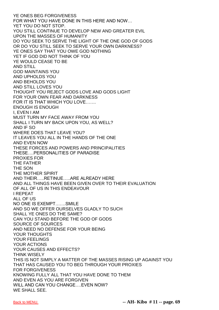YE ONES BEG FORGIVENESS FOR WHAT YOU HAVE DONE IN THIS HERE AND NOW… YET YOU DO NOT STOP. YOU STILL CONTINUE TO DEVELOP NEW AND GREATER EVIL UPON THE MASSES OF HUMANITY DO YOU SEEK TO SERVE THE LIGHT OF THE ONE GOD OF GODS OR DO YOU STILL SEEK TO SERVE YOUR OWN DARKNESS? YE ONES SAY THAT YOU OWE GOD NOTHING YET IF GOD DID NOT THINK OF YOU YE WOULD CEASE TO BE AND STILL GOD MAINTAINS YOU AND UPHOLDS YOU AND BEHOLDS YOU AND STILL LOVES YOU THOUGHT YOU REJECT GODS LOVE AND GODS LIGHT FOR YOUR OWN FEAR AND DARKNESS FOR IT IS THAT WHICH YOU LOVE……. ENOUGH IS ENOUGH I, EVEN I AM MUST TURN MY FACE AWAY FROM YOU SHALL I TURN MY BACK UPON YOU, AS WELL? AND IF SO WHERE DOES THAT LEAVE YOU? IT LEAVES YOU ALL IN THE HANDS OF THE ONE AND EVEN NOW THESE FORCES AND POWERS AND PRINCIPALITIES THESE….PERSONALITIES OF PARADISE PROXIES FOR THE FATHER THE SON THE MOTHER SPIRIT AND THEIR…..RETINUE…..ARE ALREADY HERE AND ALL THINGS HAVE BEEN GIVEN OVER TO THEIR EVALUATION OF ALL OF US IN THIS ENDEAVOUR I REPEAT ALL OF US NO ONE IS EXEMPT…….SMILE AND SO WE OFFER OURSELVES GLADLY TO SUCH SHALL YE ONES DO THE SAME? CAN YOU STAND BEFORE THE GOD OF GODS SOURCE OF SOURCES AND NEED NO DEFENSE FOR YOUR BEING YOUR THOUGHTS YOUR FEELINGS YOUR ACTIONS YOUR CAUSES AND EFFECTS? THINK WISELY THIS IS NOT SIMPLY A MATTER OF THE MASSES RISING UP AGAINST YOU THAT HAS CAUSED YOU TO BEG THROUGH YOUR PROXIES FOR FORGIVENESS KNOWING FULLY ALL THAT YOU HAVE DONE TO THEM AND EVEN AS YOU ARE FORGIVEN WILL AND CAN YOU CHANGE….EVEN NOW? WE SHALL SEE.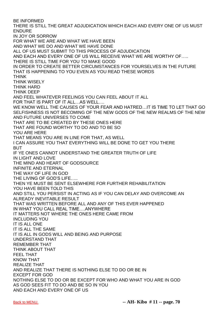BE INFORMED THERE IS STILL THE GREAT ADJUDICATION WHICH EACH AND EVERY ONE OF US MUST ENDURE IN JOY OR SORROW FOR WHAT WE ARE AND WHAT WE HAVE BEEN AND WHAT WE DO AND WHAT WE HAVE DONE ALL OF US MUST SUBMIT TO THIS PROCESS OF ADJUDICATION AND EACH AND EVERY ONE OF US WILL RECEIVE WHAT WE ARE WORTHY OF….. THERE IS STILL TIME FOR YOU TO MAKE GOOD IN ORDER TO CREATE BETTER CIRCUMSTANCES FOR YOURSELVES IN THE FUTURE THAT IS HAPPENING TO YOU EVEN AS YOU READ THESE WORDS THINK THINK WISELY THINK HARD THINK DEEP AND FEEL WHATEVER FEELINGS YOU CAN FEEL ABOUT IT ALL FOR THAT IS PART OF IT ALL…AS WELL…. WE KNOW WELL THE CAUSES OF YOUR FEAR AND HATRED…IT IS TIME TO LET THAT GO SELFISHNESS IS NOT BECOMING OF THE NEW GODS OF THE NEW REALMS OF THE NEW AND FUTURE UNIVERSES TO COME THAT ARE TO BE CREATED BY THESE ONES HERE THAT ARE FOUND WORTHY TO DO AND TO BE SO YOU ARE HERE THAT MEANS YOU ARE IN LINE FOR THAT, AS WELL I CAN ASSURE YOU THAT EVERYTHING WILL BE DONE TO GET YOU THERE **BUT** IF YE ONES CANNOT UNDERSTAND THE GREATER TRUTH OF LIFE IN LIGHT AND LOVE THE MIND AND HEART OF GODSOURCE INFINITE AND ETERNAL THE WAY OF LIFE IN GOD THE LIVING OF GOD'S LIFE….. THEN YE MUST BE SENT ELSEWHERE FOR FURTHER REHABILITATION YOU HAVE BEEN TOLD THIS AND STILL YOU PERSIST IN ACTING AS IF YOU CAN DELAY AND OVERCOME AN ALREADY INEVITABLE RESULT THAT WAS WRITTEN BEFORE ALL AND ANY OF THIS EVER HAPPENED IN WHAT YOU CALL REAL TIME….ANYWHERE IT MATTERS NOT WHERE THE ONES HERE CAME FROM INCLUDING YOU IT IS ALL ONE IT IS ALL THE SAME IT IS ALL IN GODS WILL AND BEING AND PURPOSE UNDERSTAND THAT REMEMBER THAT THINK ABOUT THAT FEEL THAT KNOW THAT REALIZE THAT AND REALIZE THAT THERE IS NOTHING ELSE TO DO OR BE IN EXCEPT FOR GOD NOTHING ELSE TO DO OR BE EXCEPT FOR WHO AND WHAT YOU ARE IN GOD AS GOD SEES FIT TO DO AND BE SO IN YOU AND EACH AND EVERY ONE OF US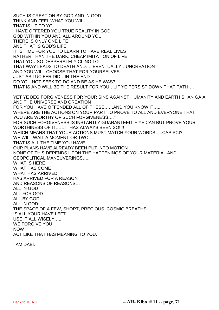SUCH IS CREATION BY GOD AND IN GOD THINK AND FEEL WHAT YOU WILL THAT IS UP TO YOU I HAVE OFFERED YOU TRUE REALITY IN GOD GOD WITHIN YOU AND ALL AROUND YOU THERE IS ONLY ONE LIFE AND THAT IS GOD'S LIFE IT IS TIME FOR YOU TO LEARN TO HAVE REAL LIVES RATHER THAN THE DARK, CHEAP IMITATION OF LIFE THAT YOU SO DESPERATELY CLING TO THAT WAY LEADS TO DEATH AND…..EVENTUALLY…UNCREATION AND YOU WILL CHOOSE THAT FOR YOURSELVES JUST AS LUCIFER DID…IN THE END DO YOU NOT SEEK TO DO AND BE AS HE WAS? THAT IS AND WILL BE THE RESULT FOR YOU…..IF YE PERSIST DOWN THAT PATH…. YET YE BEG FORGIVENESS FOR YOUR SINS AGAINST HUMANITY AND EARTH SHAN GAIA AND THE UNIVERSE AND CREATION FOR YOU HAVE OFFENDED ALL OF THESE……AND YOU KNOW IT….. WHERE ARE THE ACTIONS ON YOUR PART TO PROVE TO ALL AND EVERYONE THAT YOU ARE WORTHY OF SUCH FORGIVENESS….? FOR SUCH FORGIVENESS IS INSTANTLY GUARANTEED IF YE CAN BUT PROVE YOUR WORTHINESS OF IT……IT HAS ALWAYS BEEN SO!!!! WHICH MEANS THAT YOUR ACTIONS MUST MATCH YOUR WORDS…..CAPISCI? WE WILL WAIT A MOMENT OR TWO…. THAT IS ALL THE TIME YOU HAVE OUR PLANS HAVE ALREADY BEEN PUT INTO MOTION NONE OF THIS DEPENDS UPON THE HAPPENINGS OF YOUR MATERIAL AND GEOPOLITICAL MANEUVERINGS….. WHAT IS HERE WHAT HAS COME WHAT HAS ARRIVED HAS ARRIVED FOR A REASON AND REASONS OF REASONS… ALL IN GOD ALL FOR GOD ALL BY GOD ALL IN GOD THE SPACE OF A FEW, SHORT, PRECIOUS, COSMIC BREATHS IS ALL YOUR HAVE LEFT USE IT ALL WISELY….. WE FORGIVE YOU NOW ACT LIKE THAT HAS MEANING TO YOU.

I AM DABI.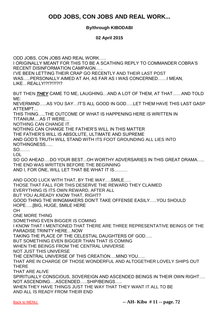# **ODD JOBS, CON JOBS AND REAL WORK...**

## **By/through KIBODABI**

### **02 April 2015**

ODD JOBS, CON JOBS AND REAL WORK….. I ORIGINALLY MEANT FOR THIS TO BE A SCATHING REPLY TO COMMANDER COBRA'S RECENT DISINFORMATION CAMPAIGN….. I'VE BEEN LETTING THEIR CRAP GO RECENTLY AND THEIR LAST POST WAS…..PERSONALLY AIMED AT AH, AS FAR AS I WAS CONCERNED……I MEAN, LIKE…REALLY!?!?!?!?!?

BUT THEN *THEY* CAME TO ME, LAUGHING…AND A LOT OF THEM, AT THAT……AND TOLD ME:

NEVERMIND…..AS YOU SAY…IT'S ALL GOOD IN GOD…..LET THEM HAVE THIS LAST GASP ATTEMPT…

THIS THING…..THE OUTCOME OF WHAT IS HAPPENING HERE IS WRITTEN IN TITANIUM….AS IT WERE…

NOTHING CAN CHANGE IT.

NOTHING CAN CHANGE THE FATHER'S WILL IN THIS MATTER THE FATHER'S WILL IS ABSOLUTE, ULTIMATE AND SUPREME AND GOD'S TRUTH WILL STAND WITH ITS FOOT GROUNDING ALL LIES INTO NOTHINGNESS…..

SO…….

LOL

SO GO AHEAD….DO YOUR BEST...OH WORTHY ADVERSARIES IN THIS GREAT DRAMA….. THE END WAS WRITTEN BEFORE THE BEGINNING AND I, FOR ONE, WILL LET THAT BE WHAT IT IS………

AND GOOD LUCK WITH THAT, BY THE WAY….SMILE….. THOSE THAT FALL FOR THIS DESERVE THE REWARD THEY CLAIMED EVERYTHING IS ITS OWN REWARD, AFTER ALL BUT YOU ALREADY KNOW THAT, RIGHT? GOOD THING THE WINGMAKERS DON'T TAKE OFFENSE EASILY…..YOU SHOULD HOPE…..[BIG, HUGE, SMILE HERE OH ONE MORE THING SOMETHING EVEN BIGGER IS COMING I KNOW THAT I MENTIONED THAT THERE ARE THREE REPRESENTATIVE BEINGS OF THE PARADISE TRINITY HERE…NOW TAKING THE PLACE OF THE CELESTIAL DAUGHTERS OF GOD….. BUT SOMETHING EVEN BIGGER THAN THAT IS COMING WHEN THE BEINGS FROM THE CENTRAL UNIVERSE NOT JUST THIS UNIVERSE THE CENTRAL UNIVERSE OF THIS CREATION….MIND YOU….. THAT ARE IN CHARGE OF THOSE WONDERFUL AND ALTOGETHER LOVELY SHIPS OUT **THERE** THAT ARE ALIVE SPIRITUALLY CONSCIOUS, SOVEREIGN AND ASCENDED BEINGS IN THEIR OWN RIGHT…. NOT ASCENDING….ASCENDED…..SHIP/BEINGS….. WHEN THEY HAVE THINGS JUST THE WAY THAT THEY WANT IT ALL TO BE AND ALL IS READY FROM THEIR END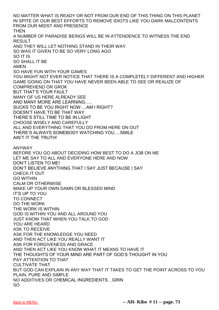NO MATTER WHAT IS READY OR NOT FROM OUR END OF THIS THING ON THIS PLANET IN SPITE OF OUR BEST EFFORTS TO REMOVE IDIOTS LIKE YOU DARK MALCONTENTS FROM OUR MIDST AND PRESENCE **THEN** A NUMBER OF PARADISE BEINGS WILL BE IN ATTENDENCE TO WITNESS THE END RESULT AND THEY WILL LET NOTHING STAND IN THEIR WAY SO WAS IT GIVEN TO BE SO VERY LONG AGO SO IT IS SO SHALL IT BE AMEN SO HAVE FUN WITH YOUR GAMES YOU MIGHT NOT EVER NOTICE THAT THERE IS A COMPLETELY DIFFERENT AND HIGHER GAME GOING ON THAT YOU HAVE NEVER BEEN ABLE TO SEE OR REALIZE OF COMPREHEND OR GROK BUT THAT'S YOUR FAULT MANY OF US HERE ALREADY SEE AND MANY MORE ARE LEARNING….. SUCKS TO BE YOU RIGHT NOW….AM I RIGHT? DOESN'T HAVE TO BE THAT WAY THERE'S STILL TIME TO BE IN LIGHT CHOOSE WISELY AND CAREFULLY ALL AND EVERYTHING THAT YOU DO FROM HERE ON OUT THERE'S ALWAYS SOMEBODY WATCHING YOU….SMILE AIN'T IT THE TRUTH! ANYWAY BEFORE YOU GO ABOUT DECIDING HOW BEST TO DO A JOB ON ME LET ME SAY TO ALL AND EVERYONE HERE AND NOW DON'T LISTEN TO ME! DON'T BELIEVE ANYTHING THAT I SAY JUST BECAUSE I SAY CHECK IT OUT GO WITHIN CALM OR OTHERWISE MAKE UP YOUR OWN DAMN OR BLESSED MIND IT'S UP TO YOU TO CONNECT DO THE WORK THE WORK IS WITHIN GOD IS WITHIN YOU AND ALL AROUND YOU JUST KNOW THAT WHEN YOU TALK TO GOD YOU ARE HEARD ASK TO RECEIVE ASK FOR THE KNOWLEDGE YOU NEED AND THEN ACT LIKE YOU REALLY WANT IT ASK FOR FORGIVENESS AND GRACE AND THEN ACT LIKE YOU KNOW WHAT IT MEANS TO HAVE IT THE THOUGHTS OF YOUR MIND ARE PART OF GOD'S THOUGHT IN YOU PAY ATTENTION TO THAT CULTIVATE THAT BUT GOD CAN EXPLAIN IN ANY WAY THAT IT TAKES TO GET THE POINT ACROSS TO YOU PLAIN, PURE AND SIMPLE NO ADDITIVES OR CHEMICAL INGREDIENTS…GRIN SO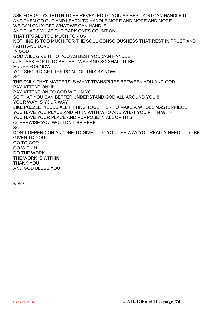ASK FOR GOD'S TRUTH TO BE REVEALED TO YOU AS BEST YOU CAN HANDLE IT AND THEN GO OUT AND LEARN TO HANDLE MORE AND MORE AND MORE WE CAN ONLY GET WHAT WE CAN HANDLE AND THAT'S WHAT THE DARK ONES COUNT ON THAT IT'S ALL TOO MUCH FOR US NOTHING IS TOO MUCH FOR THE SOUL CONSCIOUSNESS THAT REST IN TRUST AND FAITH AND LOVE IN GOD GOD WILL GIVE IT TO YOU AS BEST YOU CAN HANDLE IT JUST ASK FOR IT TO BE THAT WAY AND SO SHALL IT BE ENUFF FOR NOW YOU SHOULD GET THE POINT OF THIS BY NOW SO THE ONLY THAT MATTERS IS WHAT TRANSPIRES BETWEEN YOU AND GOD PAY ATTENTION!!!!!! PAY ATTENTION TO GOD WITHIN YOU SO THAT YOU CAN BETTER UNDERSTAND GOD ALL AROUND YOU!!!!! YOUR WAY IS YOUR WAY LIKE PUZZLE PIECES ALL FITTING TOGETHER TO MAKE A WHOLE MASTERPIECE YOU HAVE YOU PLACE AND FIT IN WITH WHO AND WHAT YOU FIT IN WITH YOU HAVE YOUR PLACE AND PURPOSE IN ALL OF THIS OTHERWISE YOU WOULDN'T BE HERE SO DON'T DEPEND ON ANYONE TO GIVE IT TO YOU THE WAY YOU REALLY NEED IT TO BE GIVEN TO YOU GO TO GOD GO WITHIN DO THE WORK THE WORK IS WITHIN THANK YOU AND GOD BLESS YOU

KIBO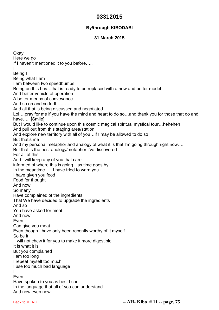# **03312015**

## **By/through KIBODABI**

#### **31 March 2015**

**Okay** Here we go If I haven't mentioned it to you before….. I Being I Being what I am I am between two speedbumps Being on this bus…that is ready to be replaced with a new and better model And better vehicle of operation A better means of conveyance….. And so on and so forth…….. And all that is being discussed and negotiated Lol….pray for me if you have the mind and heart to do so…and thank you for those that do and have….. [Smile] But I would like to continue upon this cosmic magical spiritual mystical tour…heheheh And pull out from this staging area/station And explore new territory with all of you…if I may be allowed to do so But that's me And my personal metaphor and analogy of what it is that I'm going through right now….. But that is the best analogy/metaphor I've discovered For all of this And I will keep any of you that care informed of where this is going…as time goes by….. In the meantime….. I have tried to warn you I have given you food Food for thought And now So many Have complained of the ingredients That We have decided to upgrade the ingredients And so You have asked for meat And now Even I Can give you meat Even though I have only been recently worthy of it myself….. So be it I will not chew it for you to make it more digestible It is what it is But you complained I am too long I repeat myself too much I use too much bad language I Even I Have spoken to you as best I can In the language that all of you can understand And now even now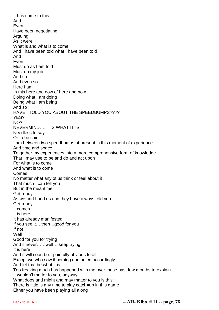It has come to this And I Even I Have been negotiating Arguing As it were What is and what is to come And I have been told what I have been told And I Even I Must do as I am told Must do my job And so And even so Here I am In this here and now of here and now Doing what I am doing Being what I am being And so HAVE I TOLD YOU ABOUT THE SPEEDBUMPS???? YES? NO? NEVERMIND….IT IS WHAT IT IS Needless to say Or to be said I am between two speedbumps at present in this moment of experience And time and space……. To gather my experiences into a more comprehensive form of knowledge That I may use to be and do and act upon For what is to come And what is to come Comes No matter what any of us think or feel about it That much I can tell you But in the meantime Get ready As we and I and us and they have always told you Get ready It comes It is here It has already manifested If you see it….then…good for you If not Well Good for you for trying And if never……well….keep trying It is here And it will soon be…painfully obvious to all Except we who saw it coming and acted accordingly..... And let that be what it is Too freaking much has happened with me over these past few months to explain It wouldn't matter to you, anyway What does and might and may matter to you is this: There is little is any time to play catch=up in this game Either you have been playing all along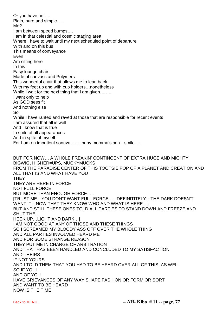Or you have not…. Plain, pure and simple….. Me? I am between speed bumps…. I am in that celestial and cosmic staging area Where I have to wait until my next scheduled point of departure With and on this bus This means of conveyance Even I Am sitting here In this Easy lounge chair Made of canvass and Polymers This wonderful chair that allows me to lean back With my feet up and with cup holders…nonetheless While I wait for the next thing that I am given....... I want only to help As GOD sees fit And nothing else So While I have ranted and raved at those that are responsible for recent events I am assured that all is well And I know that is true In spite of all appearances And in spite of myself For I am an impatient sonuva……..baby momma's son…smile….. BUT FOR NOW… A WHOLE FREAKIN' CONTINGENT OF EXTRA HUGE AND MIGHTY BIGWIG, HIGHER=UPS, MUCKYMUCKS FROM THE PARADISE CENTER OF THIS TOOTSIE POP OF A PLANET AND CREATION AND ALL THAT IS AND WHAT HAVE YOU **THEY** THEY ARE HERE IN FORCE NOT FULL FORCE BUT MORE THAN ENOUGH FORCE….. [TRUST ME…YOU DON'T WANT FULL FORCE..….DEFINITITELY…THE DARK DOESN'T WANT IT…NOW THAT THEY KNOW WHO AND WHAT IS HERE….. BUT AND STILL THESE ONES TOLD ALL PARTIES TO STAND DOWN AND FREEZE AND SHUT THE… HECK UP…LIGHT AND DARK…] I AM NOT GOOD AT ANY OF THOSE AND THESE THINGS SO I SCREAMED MY BLOODY ASS OFF OVER THE WHOLE THING AND ALL PARTIES INVOLVED HEARD ME AND FOR SOME STRANGE REASON THEY PUT ME IN CHARGE OF ARBITRATION AND THAT HAS BEEN HANDLED AND CONCLUDED TO MY SATISFACTION AND THEIRS IF NOT YOURS AND I TOLD THEM THAT YOU HAD TO BE HEARD OVER ALL OF THIS, AS WELL SO IF YOUI AND OF YOU HAVE GRIEVANCES OF ANY WAY SHAPE FASHION OR FORM OR SORT AND WANT TO BE HEARD NOW IS THE TIME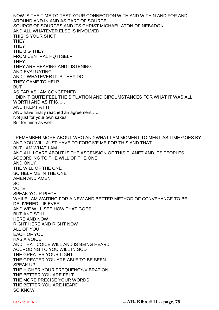NOW IS THE TIME TO TEST YOUR CONNECTION WITH AND WITHIN AND FOR AND AROUND AND IN AND AS PART OF SOURCE SOURCE OF SOURCES AND ITS CHRIST MICHAEL ATON OF NEBADON AND ALL WHATEVER ELSE IS INVOLVED THIS IS YOUR SHOT **THEY THEY** THE BIG THEY FROM CENTRAL HQ ITSELF **THEY** THEY ARE HEARING AND LISTENING AND EVALUATING AND…WHATEVER IT IS THEY DO THEY CAME TO HELP BUT AS FAR AS I AM CONCERNED I DIDN'T QUITE FEEL THE SITUATION AND CIRCUMSTANCES FOR WHAT IT WAS ALL WORTH AND AS IT IS….. AND I KEPT AT IT AND have finally reached an agreement….. Not just for your own sakes But for mine as well I REMEMBER MORE ABOUT WHO AND WHAT I AM MOMENT TO MENT AS TIME GOES BY AND YOU WILL JUST HAVE TO FORGIVE ME FOR THIS AND THAT BUT I AM WHAT I AM AND ALL I CARE ABOUT IS THE ASCENSION OF THIS PLANET AND ITS PEOPLES ACCORDING TO THE WILL OF THE ONE AND ONLY THE WILL OF THE ONE SO HELP ME IN THE ONE AMEN AND AMEN SO VOTE SPEAK YOUR PIECE WHILE I AM WAITING FOR A NEW AND BETTER METHOD OF CONVEYANCE TO BE DELIVERED…IF EVER…. AND WE WILL SEE HOW THAT GOES BUT AND STILL HERE AND NOW RIGHT HERE AND RIGHT NOW ALL OF YOU EACH OF YOU HAS A VOICE AND THAT COICE WILL AND IS BEING HEARD ACCRODING TO YOU WILL IN GOD THE GREATER YOUR LIGHT THE GREATER YOU ARE ABLE TO BE SEEN SPEAK UP THE HIGHER YOUR FREQUENCY/VIBRATION THE BETTER YOU ARE FELT THE MORE PRECISE YOUR WORDS THE BETTER YOU ARE HEARD SO KNOW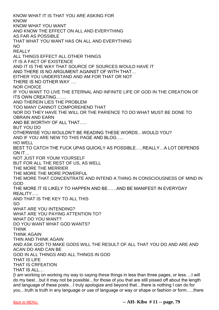KNOW WHAT IT IS THAT YOU ARE ASKING FOR KNOW KNOW WHAT YOU WANT AND KNOW THE EFFECT ON ALL AND EVERYTHING AS FAR AS POSSIBLE THAT WHAT YOU WANT HAS ON ALL AND EVERYTHING NO REALLY ALL THINGS EFFECT ALL OTHER THINGS IT IS A FACT OF EXISTENCE AND IT IS THE WAY THAT SOURCE OF SOURCES WOULD HAVE IT AND THERE IS NO ARGUMENT AGAINST OF WITH THAT… EITHER YOU UNDERSTAND AND AM FOR THAT OR NOT THERE IS NO OTHER WAY …. NOR CHOICE IF YOU WANT TO LIVE THE ETERNAL AND INFINITE LIFE OF GOD IN THE CREATION OF ITS OWN CREATING……. AND THEREIN LIES THE PROBLEM TOO MANY CANNOT COMPOREHEND THAT NOR DO THEY HAVE THE WILL OR THE PARIENCE TO DO WHAT MUST BE DONE TO OBRAIN AND EARN AND BE WORTHY OF ALL THAT….. BUT YOU DO OTHERWISE YOU WOULDN'T BE READING THESE WORDS…WOULD YOU? AND IF YOU ARE NEW TO THIS PAGE AND BLOG….. HO WELL BEST TO CATCH THE FUCK UPAS QUICKLY AS POSSIBLE…..REALLY…A LOT DEPENDS ON IT… NOT JUST FOR YOUM YOURSELF BUT FOR ALL THE REST OF US, AS WELL THE MORE THE MERRIER THE MORE THE MORE POWERFUL THE MORE THAT CONCENTRATE AND INTEND A THING IN CONSCIOUSNESS OF MIND IN GOD THE MORE IT IS LIKELY TO HAPPEN AND BE……AND BE MANIFEST IN EVERYDAY REALITY….. AND THAT IS THE KEY TO ALL THIS SO WHAT ARE YOU INTENDING? WHAT ARE YOU PAYING ATTENTION TO? WHAT DO YOU WANT? DO YOU WANT WHAT GOD WANTS? THINK THINK AGAIN THIN AND THINK AGAIN AND ASK GOD TO MAKE GODS WILL THE RESULT OF ALL THAT YOU DO AND ARE AND ACAN DO AND CAN BE GOD IN ALL THINGS AND ALL THINGS IN GOD THAT IS LIFE THAT IS CRFEATION THAT IS ALL… {I am working on working my way to saying these things in less than three pages, or less….I will do my best…but it may not be possible…for those of you that are still pissed off about the length and language of these posts…I truly apologize and beyond that…there is nothing I can do for

you…truth is truth in any language or use of language or way or shape or fashion or form…..there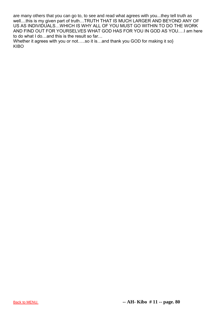are many others that you can go to, to see and read what agrees with you...they tell truth as well....this is my given part of truth…TRUTH THAT IS MUCH LARGER AND BEYOND ANY OF US AS INDIVIDUALS…WHICH IS WHY ALL OF YOU MUST GO WITHIN TO DO THE WORK AND FIND OUT FOR YOURSELVES WHAT GOD HAS FOR YOU IN GOD AS YOU.…I am here to do what I do…and this is the result so far…

Whether it agrees with you or not.....so it is...and thank you GOD for making it so} KIBO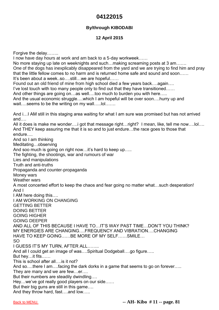# **04122015**

## **By/through KIBODABI**

### **12 April 2015**

Forgive the delay…….. I now have day hours at work and am back to a 5-day workweek…… No more staying up late on weeknights and such…making screaming posts at 3 am……. One of the dogs has inexplicably disappeared from the yard and we are trying to find him and pray that the little fellow comes to no harm and is returned home safe and sound and soon…… It's been about a week..so….still…we are hopeful…… Found out an old friend of mine from high school died a few years back….again…. I've lost touch with too many people only to find out that they have transitioned…… And other things are going on…as well….too much to burden you with here….. And the usual economic struggle....which I am hopeful will be over soon....hurry up and wait....seems to be the writing on my wall.....lol……. And i…I AM still in this staging area waiting for what I am sure was promised but has not arrived and…. All it does is make me wonder….i got that message right…right? I mean, like, tell me now….lol…. And THEY keep assuring me that it is so and to just endure…the race goes to those that endure…. And so I am thinking Meditating…observing And soo much is going on right now…it's hard to keep up….. The fighting, the shootings, war and rumours of war Lies and manipulations Truth and anti-truths Propaganda and counter-propaganda Money wars Weather wars A most concerted effort to keep the chaos and fear going no matter what…such desperation! And I I AM here doing this…. I AM WORKING ON CHANGING GETTING BETTER DOING BETTER GOING HIGHER GOING DEEPER AND ALL OF THIS BECAUSE I HAVE TO…IT'S WAY PAST TIME…DON'T YOU THINK? MY ENERGIES ARE CHANGING….FREQUENCY AND VIBRATION….CHANGING HAVE TO KEEP GOING……BE MORE OF MY SELF……SMILE… SO I GUESS IT'S MY TURN, AFTER ALL…….. And all I could get an image of was….Spiritual Dodgeball….go figure….. But hey…it fits…… This is school after all….is it not? And so....there I am....facing the dark dorks in a game that seems to go on forever..... They are many and we are few…er…. But their numbers are steadily dwindling…. Hey…we've got really good players on our side…… But their big guns are still in this game…. And they throw hard, fast….and low…..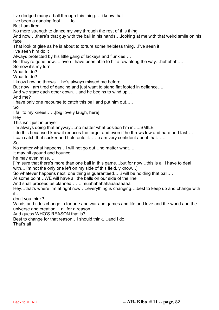I've dodged many a ball through this thing…..i know that I've been a dancing fool……..lol….. But I am tired….. No more strength to dance my way through the rest of this thing And now….there's that guy with the ball in his hands….looking at me with that weird smile on his face That look of glee as he is about to torture some helpless thing…I've seen it I've seen him do it Always protected by his little gang of lackeys and flunkies…. But they're gone now.....even I have been able to hit a few along the way...heheheh.... So now it's my turn What to do? What to do? I know how he throws….he's always missed me before But now I am tired of dancing and just want to stand flat footed in defiance…. And we stare each other down….and he begins to wind up… And me? I have only one recourse to catch this ball and put him out….. So I fall to my knees……[big lovely laugh, here] Hey This isn't just in prayer I'm always doing that anyway….no matter what position I'm in…..SMILE I do this because I know it reduces the target and even if he throws low and hard and fast.... I can catch that sucker and hold onto it…….i am very confident about that…… So No matter what happens…I will not go out…no matter what…. It may hit ground and bounce… he may even miss…. [I'm sure that there's more than one ball in this game…but for now…this is all I have to deal with...I'm not the only one left on my side of this field, y'know...] So whatever happens next, one thing is guaranteed…..i will be holding that ball…. At some point…WE will have all the balls on our side of the line And shall proceed as planned……..muahahahahaaaaaaaaa Hey…that's where I'm at right now…..everything is changing….best to keep up and change with it… don't you think? Winds and tides change in fortune and war and games and life and love and the world and the universe and creation….all for a reason And guess WHO'S REASON that is? Best to change for that reason…I should think….and I do. That's all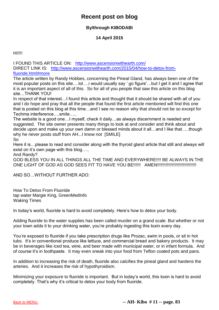# **Recent post on blog**

# **By/through KIBODABI**

## **14 April 2015**

**HI!!!!** 

I FOUND THIS ARTICLE ON: <http://www.ascensionwithearth.com/> DIRECT LINK IS: [http://www.ascensionwithearth.com/2015/04/how-to-detox-from](http://www.ascensionwithearth.com/2015/04/how-to-detox-from-fluoride.html#more)[fluoride.html#more](http://www.ascensionwithearth.com/2015/04/how-to-detox-from-fluoride.html#more)

The article written by Randy Hobbes, concerning the Pineal Gland, has always been one of the most popular posts on this site….lol….i would usually say ' go figure'…but I get it and I agree that it is an important aspect of all of this. So for all of you people that saw this article on this blog site…THANK YOU!

In respect of that interest…I found this article and thought that it should be shared with all of you and I do hope and pray that all the people that found the first article mentioned will find this one that is posted on this blog at this time…and I see no reason why that should not be so except for Techma interference….smile…..

The website is a good one…I myself, check it daily…as always discernment is needed and suggested. The site owner presents many things to look at and consider and think about and decide upon and make up your own damn or blessed minds about it all…and I like that…..though why he never posts stuff from AH...I know not [SMILE]

So

Here it is... please to read and consider along with the thyroid gland article that still and always will exist on it's own page with this blog…..

And Randy?

GOD BLESS YOU IN ALL THINGS ALL THE TIME AND EVERYWHERE!!!! BE ALWAYS IN THE ONE LIGHT OF GOD AS GOD SEES FIT TO HAVE YOU BE!!!!!! AMEN!!!!!!!!!!!!!!!!!!!!!!!!!!!!!!!!

AND SO…WITHOUT FURTHER ADO:

How To Detox From Fluoride tap water Margie King, GreenMedInfo Waking Times

In today's world, fluoride is hard to avoid completely. Here's how to detox your body.

Adding fluoride to the water supplies has been called murder on a grand scale. But whether or not your town adds it to your drinking water, you're probably ingesting this toxin every day.

You're exposed to fluoride if you take prescription drugs like Prozac, swim in pools, or sit in hot tubs. It's in conventional produce like lettuce, and commercial bread and bakery products. It may be in beverages like iced tea, wine, and beer made with municipal water, or in infant formula. And of course it's in toothpaste. It may even sneak into your food from Teflon coated pots and pans.

In addition to increasing the risk of death, fluoride also calcifies the pineal gland and hardens the arteries. And it increases the risk of hypothyroidism.

Minimizing your exposure to fluoride is important. But in today's world, this toxin is hard to avoid completely. That's why it's critical to detox your body from fluoride.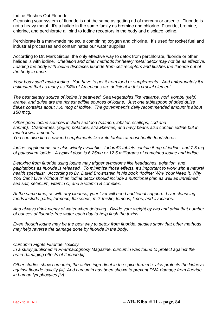Iodine Flushes Out Fluoride

Cleansing your system of fluoride is not the same as getting rid of mercury or arsenic. Fluoride is not a heavy metal. It's a halide in the same family as bromine and chlorine. Fluoride, bromine, chlorine, and perchlorate all bind to iodine receptors in the body and displace iodine.

Perchlorate is a man-made molecule combining oxygen and chlorine. It's used for rocket fuel and industrial processes and contaminates our water supplies.

According to Dr. Mark Sircus, the only effective way to detox from perchlorate, fluoride or other halides is with iodine. *Chelation and other methods for heavy metal detox may not be as effective. Loading the body with iodine displaces fluoride from cell receptors and flushes the fluoride out of the body in urine.*

*Your body can't make iodine. You have to get it from food or supplements. And unfortunately it's estimated that as many as 74% of Americans are deficient in this crucial element.*

*The best dietary source of iodine is seaweed. Sea vegetables like wakame, nori, kombu (kelp), arame, and dulse are the richest edible sources of iodine. Just one tablespoon of dried dulse flakes contains about 750 mcg of iodine. The government's daily recommended amount is about 150 mcg.*

*Other good iodine sources include seafood (salmon, lobster, scallops, cod and shrimp). Cranberries, yogurt, potatoes, strawberries, and navy beans also contain iodine but in much lower amounts.*

*You can also find seaweed supplements like kelp tablets at most health food stores.*

*Iodine supplements are also widely available. Iodoral® tablets contain 5 mg of iodine, and 7.5 mg of potassium iodide. A typical dose is 6.25mg or 12.5 milligrams of combined iodine and iodide.*

*Detoxing from fluoride using iodine may trigger symptoms like headaches, agitation, and palpitations as fluoride is released. To minimize those effects, it's important to work with a natural health specialist. According to Dr. David Brownstein in his book "Iodine: Why Your Need It, Why You Can't Live Without It" an iodine detox should include a nutritional plan as well as unrefined sea salt, selenium, vitamin C, and a vitamin B complex.*

*At the same time, as with any cleanse, your liver will need additional support. Liver cleansing foods include garlic, turmeric, flaxseeds, milk thistle, lemons, limes, and avocados.*

*And always drink plenty of water when detoxing. Divide your weight by two and drink that number of ounces of fluoride-free water each day to help flush the toxins.*

*Even though iodine may be the best way to detox from fluoride, studies show that other methods may help reverse the damage done by fluoride in the body.*

*Curcumin Fights Fluoride Toxicity*

*In a study published in Pharmacognosy Magazine, curcumin was found to protect against the brain-damaging effects of fluoride.[ii]*

*Other studies show curcumin, the active ingredient in the spice turmeric, also protects the kidneys against fluoride toxicity.[iii] And curcumin has been shown to prevent DNA damage from fluoride in human lymphocytes.[iv]*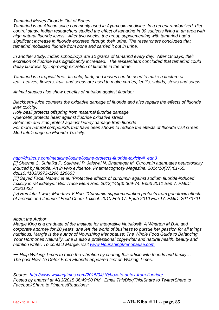*Tamarind Moves Fluoride Out of Bones*

*Tamarind is an African spice commonly used in Ayurvedic medicine. In a recent randomized, diet control study, Indian researchers studied the effect of tamarind in 30 subjects living in an area with high natural fluoride levels. After two weeks, the group supplementing with tamarind had a significant increase in fluoride excreted through their urine. The researchers concluded that tamarind mobilized fluoride from bone and carried it out in urine.*

*In another study, Indian schoolboys ate 10 grams of tamarind every day. After 18 days, their excretion of fluoride was significantly increased. The researchers concluded that tamarind could delay fluorosis by improving excretion of fluoride in the urine.*

*Tamarind is a tropical tree. Its pulp, bark, and leaves can be used to make a tincture or tea. Leaves, flowers, fruit, and seeds are used to make curries, lentils, salads, stews and soups.*

*Animal studies also show benefits of nutrition against fluoride:*

*Blackberry juice counters the oxidative damage of fluoride and also repairs the effects of fluoride liver toxicity.* 

*Holy basil protects offspring from maternal fluoride damage Quercetin protects heart against fluoride oxidative stress Selenium and zinc protect against kidney damage from fluoride For more natural compounds that have been shown to reduce the effects of fluoride visit Green Med Info's page on Fluoride Toxicity.*

*--------------------------------------------------------------------------------*

#### *[http://drsircus.com/medicine/iodine/iodine-protects-fluoride-toxicity#\\_edn3](http://drsircus.com/medicine/iodine/iodine-protects-fluoride-toxicity#_edn3)*

*[ii] Sharma C, Suhalka P, Sukhwal P, Jaiswal N, Bhatnagar M. Curcumin attenuates neurotoxicity induced by fluoride: An in vivo evidence. Pharmacognosy Magazine. 2014;10(37):61-65. doi:10.4103/0973-1296.126663.*

*[iii] Seyed Fazel Nabavi et al, "Protective effects of curcumin against sodium fluoride-induced toxicity in rat kidneys." Biol Trace Elem Res. 2012;145(3):369-74. Epub 2011 Sep 7. PMID: 21901432*

*[iv] Hemlata Tiwari, Mandava V Rao, "Curcumin supplementation protects from genotoxic effects of arsenic and fluoride." Food Chem Toxicol. 2010 Feb 17. Epub 2010 Feb 17. PMID: 20170701*

#### *About the Author*

*Margie King is a graduate of the Institute for Integrative Nutrition®. A Wharton M.B.A. and corporate attorney for 20 years, she left the world of business to pursue her passion for all things nutritious. Margie is the author of Nourishing Menopause: The Whole Food Guide to Balancing Your Hormones Naturally. She is also a professional copywriter and natural health, beauty and nutrition writer. To contact Margie, visit [www.NourishingMenopause.com.](http://www.nourishingmenopause.com/)*

*~~ Help Waking Times to raise the vibration by sharing this article with friends and family… The post How To Detox From Fluoride appeared first on Waking Times.*

*Source:<http://www.wakingtimes.com/2015/04/10/how-to-detox-from-fluoride/> Posted by enerchi at 4/13/2015 06:49:00 PM Email ThisBlogThis!Share to TwitterShare to FacebookShare to PinterestReactions:*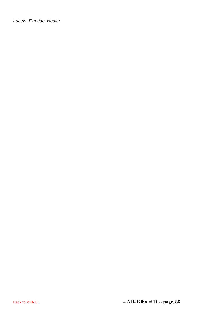*Labels: Fluoride, Health*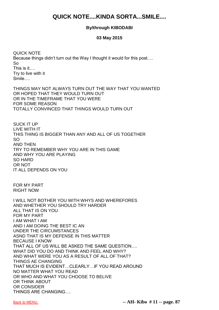# **QUICK NOTE....KINDA SORTA...SMILE....**

### **By/through KIBODABI**

#### **03 May 2015**

QUICK NOTE Because things didn't turn out the Way I thought it would for this post…. So This is it…. Try to live with it Smile….

THINGS MAY NOT ALWAYS TURN OUT THE WAY THAT YOU WANTED OR HOPED THAT THEY WOULD TURN OUT OR IN THE TIMEFRAME THAT YOU WERE FOR SOME REASON TOTALLY CONVINCED THAT THINGS WOULD TURN OUT

SUCK IT UP LIVE WITH IT THIS THING IS BIGGER THAN ANY AND ALL OF US TOGETHER SO AND THEN TRY TO REMEMBER WHY YOU ARE IN THIS GAME AND WHY YOU ARE PLAYING SO HARD OR NOT IT ALL DEPENDS ON YOU

FOR MY PART RIGHT NOW

I WILL NOT BOTHER YOU WITH WHYS AND WHEREFORES AND WHETHER YOU SHOULD TRY HARDER ALL THAT IS ON YOU FOR MY PART I AM WHAT I AM AND I AM DOING THE BEST IC AN UNDER THE CIRCUMSTANCES ASND THAT IS MY DEFENSE IN THIS MATTER BECAUSE I KNOW THAT ALL OF US WILL BE ASKED THE SAME QUESTION…. WHAT DID YOU DO AND THINK AND FEEL AND WHY? AND WHAT WERE YOU AS A RESULT OF ALL OF THAT? THINGS AE CHANGING THAT MUCH IS EVIDENT…CLEARLY…IF YOU READ AROUND NO MATTER WHAT YOU READ OR WHO AND WHAT YOU CHOOSE TO BELIVE OR THINK ABOUT OR CONSIDER THINGS ARE CHANGING….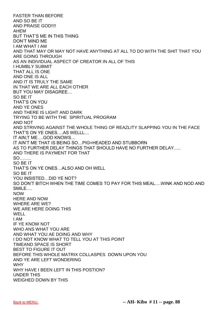FASTER THAN BEFORE AND SO BE IT AND PRAISE GOD!!!! AHEM BUT THAT'S ME IN THIS THING DON'T MIND ME I AM WHAT I AM AND THAT MAY OR MAY NOT HAVE ANYTHING AT ALL TO DO WITH THE SHIT THAT YOU ARE GOING THROUGH AS AN INDIVIDUAL ASPECT OF CREATOR IN ALL OF THIS I HUMBLY SUBMIT THAT ALL IS ONE AND ONE IS ALL AND IT IS TRULY THE SAME IN THAT WE ARE ALL EACH OTHER BUT YOU MAY DISAGREE… SO BE IT THAT'S ON YOU AND YE ONES AND THERE IS LIGHT AND DARK TRYING TO BE WITH THE SPIRITUAL PROGRAM AND NOT AND STRIVING AGAINST THE WHOLE THING OF REAZLITY SLAPPING YOU IN THE FACE THAT'S ON YE ONES….AS WELLL… IT AIN;T ME….GOD KNOWS… IT AIN'T ME THAT IS BEING SO…PIG=HEADED AND STUBBORN AS TO FURTHER DELAY THINGS THAT SHOULD HAVE NO FURTHER DELAY….. AND THERE IS PAYMENT FOR THAT SO…….. SO BE IT THAT'S ON YE ONES…ALSO AND OH WELL SO BE IT YOU INSISTED…DID YE NOT? SO DON'T BITCH WHEN THE TIME COMES TO PAY FOR THIS MEAL….WINK AND NOD AND SMILE…. NOW HERE AND NOW WHERE ARE WE? WE ARE HERE DOING THIS WELL I AM IF YE KNOW NOT WHO ANS WHAT YOU ARE AND WHAT YOU AE DOING AND WHY I DO NOT KNOW WHAT TO TELL YOU AT THIS POINT TIMEAND SPACE IS SHORT BEST TO FIGURE IT OUT BEFORE THIS WHOLE MATRIX COLLASPES DOWN UPON YOU AND YE ARE LEFT WONDERING **WHY** WHY HAVE I BEEN LEFT IN THIS POSTION? UNDER THIS WEIGHED DOWN BY THIS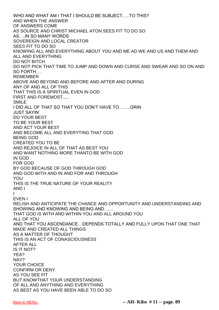WHO AND WHAT AM I THAT I SHOULD BE SUBJECT…..TO THIS? AND WHEN THE ANSWER OF ANSWERS COME AS SOURCE AND CHRIST MICHAEL ATON SEES FIT TO DO SO AS….IN SO MANY WORDS SOVEREIGN AND LOCAL CREATOR SEES FIT TO DO SO KNOWING ALL AND EVERYTHING ABOUT YOU AND ME AD WE AND US AND THEM AND ALL AND EVERYTHING DO NOT BITCH DO NOT PICK THAT TIME TO JUMP AND DOWN AND CURSE AND SWEAR AND SO ON AND SO FORTH…. REMEMBER ABOVE AND BEYOND AND BEFORE AND AFTER AND DURING ANY OF AND ALL OF THIS THAT THIS IS A SPIRITUAL EVEN IN GOD FIRST AND FOREMOST..... SMILE I DID ALL OF THAT SO THAT YOU DON'T HAVE TO……..GRIN JUST SAYIN' DO YOUR BEST TO BE YOUR BEST AND ACT YOUR BEST AND BECOME ALL AND EVERYTING THAT GOD BEING GOD CREATED YOU TO BE AND REJOICE IN ALL OF THAT AS BEST YOU AND WANT NOTHING MORE THANTO BE WITH GOD IN GOD FOR GOD BY GOD BECAUSE OF GOD THROUGH GOD AND GOD WITH AND IN AND FOR AND THROUGH YOU THIS IS THE TRUE NATURE OF YOUR REALITY AND I I EVEN I RELISH AND ANTICIPATE THE CHANCE AND OPPORTUNITY AND UNDERSTANDING AND SHOWING AND KNOWING AND BEING AND…… THAT GOD IS WITH AND WITHIN YOU AND ALL AROUND YOU ALL OF YOU AND THAT YOU ASCENDANCE…DEPENDS TOTALLY AND FULLY UPON THAT ONE THAT MADE AND CREATED ALL THINGS AS A MATTER OF THOUGHT THIS IS AN ACT OF CONASCIOUSNESS AFTER ALL IS IT NOT? YEA? NAY? YOUR CHOICE CONFIRM OR DENY AS YOU SEE FIT BUT KNOWTHAT YOUR UNDERSTANDING OF ALL AND ANYTHING AND EVERYTHING AS BEST AS YOU HAVE BEEN ABLE TO DO SO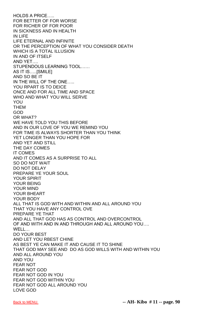HOLDS A PRICE….. FOR BETTER OF FOR WORSE FOR RICHER OF FOR POOR IN SICKNESS AND IN HEALTH IN LIFE LIFE ETERNAL AND INFINITE OR THE PERCEPTION OF WHAT YOU CONSIDER DEATH WHICH IS A TOTAL ILLUSION IN AND OF ITSELF AND YET…. STUPENDOUS LEARNING TOOL…… AS IT IS…..[SMILE] AND SO BE IT IN THE WILL OF THE ONE….. YOU RPART IS TO DEICE ONCE AND FOR ALL TIME AND SPACE WHO AND WHAT YOU WILL SERVE YOU **THFM** GOD OR WHAT? WE HAVE TOLD YOU THIS BEFORE AND IN OUR LOVE OF YOU WE REMIND YOU FOR TIME IS ALWAYS SHORTER THAN YOU THINK YET LONGER THAN YOU HOPE FOR AND YET AND STILL THE DAY COMES IT COMES AND IT COMES AS A SURPRISE TO ALL SO DO NOT WAIT DO NOT DELAY PREPARE YE YOUR SOUL YOUR SPIRIT YOUR BEING YOUR MIND YOUR BHEART YOUR BODY ALL THAT IS GOD WITH AND WITHIN AND ALL AROUND YOU THAT YOU HAVE ANY CONTROL OVE PREPARE YE THAT AND ALL THAT GOD HAS AS CONTROL AND OVERCONTROL OF AND WITH AND IN AND THROUGH AND ALL AROUND YOU…. WELL… DO YOUR BEST AND LET YOU RBEST CHINE AS BEST YE CAN MAKE IT AND CAUSE IT TO SHINE THAT GOD MAY SEE AND DO AS GOD WILLS WITH AND WITHIN YOU AND ALL AROUND YOU AND YOU FEAR NOT FEAR NOT GOD FEAR NOT GOD IN YOU FEAR NOT GOD WITHIN YOU FEAR NOT GOD ALL AROUND YOU LOVE GOD

[Back to MENU.](#page-1-0) **-- AH- Kibo # 11 -- page. 90**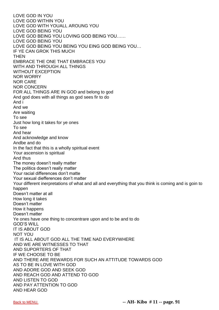LOVE GOD IN YOU LOVE GOD WITHIN YOU LOVE GOD WITH YOUALL AROUNG YOU LOVE GOD BEING YOU LOVE GOD BEING YOU LOVING GOD BEING YOU…… LOVE GOD BEING YOU LOVE GOD BEING YOU BEING YOU EING GOD BEING YOU… IF YE CAN GROK THIS MUCH THEN EMBRACE THE ONE THAT EMBRACES YOU WITH AND THROUGH ALL THINGS WITHOUT EXCEPTION NOR WORRY NOR CARE NOR CONCERN FOR ALL THINGS ARE IN GOD and belong to god And god does with all things as god sees fir to do And i And we Are waiting To see Just how long it takes for ye ones To see And hear And acknowledge and know Andbe and do In the fact that this is a wholly spiritual event Your ascension is spiritual And thus The money doesn't really matter The politics doesn't really matter Your racial differences don't matte Your sexual diefferences don't matter Your different inerpretations of what and all and everything that you think is coming and is goin to happen Doesn't matter at all How long it takes Doesn't matter How it happens Doesn't matter Ye ones have one thing to concentrare upon and to be and to do GOD'S WILL IT IS ABOUT GOD NOT YOU IT IS ALL ABOUT GOD ALL THE TIME NAD EVERYWHERE AND WE ARE WITNESSES TO THAT AND SUPORTERS OF THAT IF WE CHOOSE TO BE AND THERE ARE REWARDS FOR SUCH AN ATTITUDE TOWARDS GOD AS TO BE IN LOVE WITH GOD AND ADORE GOD AND SEEK GOD AND REACH GOD AND ATTEND TO GOD AND LISTEN TO GOD AND PAY ATTENTION TO GOD AND HEAR GOD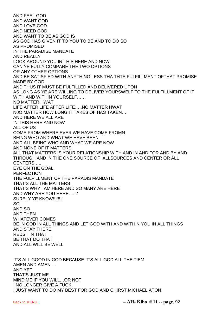AND FEEL GOD AND WANT GOD AND LOVE GOD AND NEED GOD AND WANT TO BE AS GOD IS AS GOD HAS GIVEN IT TO YOU TO BE AND TO DO SO AS PROMISED IN THE PARADISE MANDATE AND REALLY LOOK AROUND YOU IN THIS HERE AND NOW CAN YE FULLY COMPARE THE TWO OPTIONS OR ANY OTHER OPTIONS AND BE SATISFIED WITH ANYTHING LESS THA THTE FULFILLMENT OFTHAT PROMISE MADE BY GOD AND THUS IT MUST BE FULFILLED AND DELIVERED UPON AS LONG AS YE ARE WILLING TO DELIVER YOURSWELF TO THE FULFILLMENT OF IT WITH AND WITHIN YOURSELF…… NO MATTER HWAT LIFE AFTER LIFE AFTER LIFE…..NO MATTER HWAT N0O MATTER HOW LONG IT TAKES OF HAS TAKEN… AND HERE WE ALL ARE IN THIS HERE AND NOW ALL OF US COME FROM WHERE EVER WE HAVE COME FROMN BEING WHO AND WHAT WE HAVE BEEN AND ALL BEING WHO AND WHAT WE ARE NOW AND NONE OF IT MATTERS ALL THAT MATTERS IS YOUR RELATIONSHIP WITH AND IN AND FOR AND BY AND THROUGH AND IN THE ONE SOURCE OF ALLSOURCES AND CENTER OR ALL CENTERS….. EYE ON THE GOAL PERFECTION THE FULFILLMENT OF THE PARADIS MANDATE THAT'S ALL THE MATTERS THAT'S WHY I AM HERE AND SO MANY ARE HERE AND WHY ARE YOU HERE…..? SURELY YE KNOW!!!!!!!!! SO AND SO AND THEN WHATEVER COMES BE IN GOD IN ALL THINGS AND LET GOD WITH AND WITHIN YOU IN ALL THINGS AND STAY THERE REDST IN THAT BE THAT DO THAT AND ALL WILL BE WELL

IT'S ALL GOOD IN GOD BECAUSE IT'S ALL GOD ALL THE TIEM AMEN AND AMEN…. AND YET THAT'S JUST ME MIND ME IF YOU WILL…OR NOT I NO LONGER GIVE A FUCK I JUST WANT TO DO MY BEST FOR GOD AND CHIRST MICHAEL ATON

[Back to MENU.](#page-1-0) **-- AH- Kibo # 11 -- page. 92**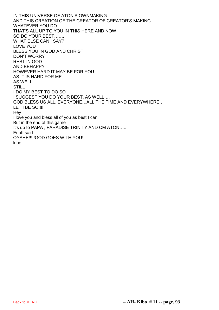IN THIS UNIVERSE OF ATON'S OWNMAKING AND THIS CREATION OF THE CREATOR OF CREATOR'S MAKING WHATEVER YOU DO…. THAT'S ALL UP TO YOU IN THIS HERE AND NOW SO DO YOUR BEST……. WHAT ELSE CAN I SAY? LOVE YOU BLESS YOU IN GOD AND CHRIST DON'T WORRY REST IN GOD AND BEHAPPY HOWEVER HARD IT MAY BE FOR YOU AS IT IS HARD FOR ME AS WELL.. **STILL** I DO MY BEST TO DO SO I SUGGEST YOU DO YOUR BEST, AS WELL…. GOD BLESS US ALL, EVERYONE…ALL THE TIME AND EVERYWHERE… LET I BE SO !!!! Hey I love you and bless all of you as best I can But in the end of this game It's up to PAPA , PARADISE TRINITY AND CM ATON….. Enuff said OYAHE!!!!!GOD GOES WITH YOU! kibo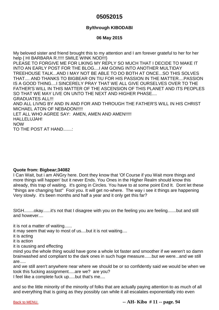# **05052015**

## **By/through KIBODABI**

## **06 May 2015**

My beloved sister and friend brought this to my attention and I am forever grateful to her for her help { HI BARBARA R.!!!!! SMILE WINK NOD!!!} PLEASE TO FORGIVE ME FOR LIKING MY REPLY SO MUCH THAT I DECIDE TO MAKE IT INTO AN EARLY POST FOR THE BLOG....I AM GOING INTO ANOTHER MULTIDAY TREEHOUSE TALK...AND I MAY NOT BE ABLE TO DO BOTH AT ONCE...SO THIS SOLVES THAT.... AND THANKS TO BIGBEAR ON TIU FOR HIS PASSION IN THE MATTER....PASSION IS A GOOD THING....I SINCERELY PRAY THAT WE ALL GIVE OURSELVES OVER TO THE FATHER'S WILL IN THIS MATTER OF THE ASCENSION OF THIS PLANET AND ITS PEOPLES SO THAT WE MAY LIVE ON UNTO THE NEXT AND HIGHER PHASE.... GRADUATES ALL!!! AND ALL LIVNG BY AND IN AND FOR AND THROUGH THE FATHER'S WILL IN HIS CHRIST MICHAEL ATON OF NEBADON!!!!! LET ALL WHO AGREE SAY: AMEN, AMEN AND AMEN!!!!! HALLELUJAH! NOW TO THE POST AT HAND.......:

### **Quote from: Bigbear;34082**

I Can Wait, but i am ANGry here. Dont they know that 'Of Course if you Wait more things and more things will happen' but it never Ends. You Ones in the Higher Realm should know this already, this trap of waiting. it's going in Circles. You have to at some point End It. Dont let these ''things are changing fast'' Fool you. It will get no-where. The way i see it things are happening Very slowly. it's been months and half a year and it only get this far?

SIGH........okay......it's not that I disagree with you on the feeling you are feeling.......but and still and however....

it is not a matter of waiting......

it may seem that way to most of us....but it is not waiting....

it is acting

it is action

it is causing and effecting

mind you the whole thing would have gone a whole lot faster and smoother if we weren't so damn brainwashed and compliant to the dark ones in such huge measure......but we were...and we still are.....

and we still aren't anywhere near where we should be or so confidently said we would be when we took this fucking assignment.....are we? are you?

I feel like a complete fuck up.....but that's me....

and so the little minority of the minority of folks that are actually paying attention to as much of all and everything that is going as they possibly can while it all escalates exponentially into even

[Back to MENU.](#page-1-0) **-- AH- Kibo # 11 -- page. 94**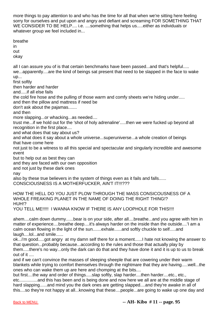more things to pay attention to and who has the time for all that when we're sitting here feeling sorry for ourselves and put upon and angry and defiant and screaming FOR SOMETHING THAT WE CONSIDER TO BE HELP.... i.e. ....something that helps us.....either as individuals or whatever group we feel included in...

breathe in out okay all I can assure you of is that certain benchmarks have been passed...and that's helpful..... we...apparently....are the kind of beings sat present that need to be slapped in the face to wake up... first softly then harder and harder and.....if all else fails the cold fire hose and the pulling of those warm and comfy sheets we're hiding under..... and then the pillow and mattress if need be don't ask about the pajamas....... and then more slapping...or whacking...as needed.... trust me...if we hold out for the 'shot of holy adrenaline'.....then we were fucked up beyond all recognition in the first place.... and what does that say about us? and what does it say about a whole universe...superuniverse...a whole creation of beings that have come here not just to be a witness to all this special and spectacular and singularly incredible and awesome event but to help out as best they can and they are faced with our own opposition and not just by these dark ones nay also by these true believers in the system of things even as it fails and falls...... CONSCIOUSNESS IS A MOTHERFUCKER, AIN'T IT!!!??? HOW THE HELL DO YOU JUST PLOW THROUGH THE MASS CONSICOUSNESS OF A WHOLE FREAKING PLANET IN THE NAME OF DOING THE RIGHT THING!? HUH!? YOU TELL ME!!!!! I WANNA KNOW IF THERE IS ANY LOOPHOLE FOR THIS!!!! ahem....calm down dummy......bear is on your side, after all....breathe...and you agree with him in matter of experience....breathe deep....it's always harder on the inside than the outside....'I am a calm ocean flowing in the light of the sun.......exhale......and softly chuckle to self.....and laugh....lol...and smile...... ok...i'm good.....got angry at my damn self there for a moment......I hate not knowing the answer to that question...probably because...according to the rules and those that actually play by them.....there's no way...only the dark can do that and they have done it and it is up to us to break out of it .... and if we can't convince the masses of sleeping sheeple that are cowering under their warm blankets while trying to comfort themselves through the nightmare that they are having.....well...the ones who can wake them up are here and chomping at the bits.... but first....the way and order of things.....slap softly, slap harder....then harder....etc., etc., etc...............and this has been and is being done and now here we all are at the middle stage of

hard slapping......and mind you the dark ones are getting slapped....and they're awake in all of this....so they're not happy at all...knowing that these....people...are going to wake up one day and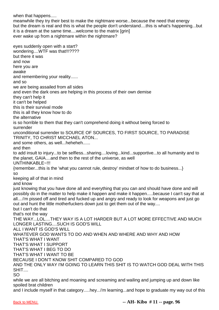when that happens.....

meanwhile they try their best to make the nightmare worse...because the need that energy but the dream is real and this is what the people don't understand....this is what's happening...but it is a dream at the same time....welcome to the matrix [grin] ever wake up from a nightmare within the nightmare?

eyes suddenly open with a start? wondering....WTF was that!!!???? but there it was and now here you are awake and remembering your reality...... and so we are being assailed from all sides and even the dark ones are helping in this process of their own demise they can't help it it can't be helped this is their survival mode this is all they know how to do the alternative is so horrible to them that they can't comprehend doing it without being forced to surrender unconditional surrender to SOURCE OF SOURCES, TO FIRST SOURCE, TO PARADISE TRINITY, TO CHRIST MICCHAEL ATON... and some others, as well...heheheh...... and then to add insult to injury...to be selfless...sharing....loving...kind...supportive...to all humanity and to the planet, GAIA....and then to the rest of the universe, as well UNTHINKABLE~!!! {remember...this is the 'what you cannot rule, destroy' mindset of how to do business...} so keeping all of that in mind and know just knowing that you have done all and everything that you can and should have done and will possibly do in the matter to help make it happen and make it happen.....because I can't say that at all....i'm pissed off and tired and fucked up and angry and ready to look for weapons and just go out and hunt the little motherfuckers down just to get them out of the way.... but I can't do that that's not the way THE WAY...LOL....THEY WAY IS A LOT HARDER BUT A LOT MORE EFFECTIVE AND MUCH LONGER LASTING....SUCH IS GOD'S WILL ALL I WANT IS GOD'S WILL WHATEVER GOD WANTS TO DO AND WHEN AND WHERE AND WHY AND HOW THAT'S WHAT I WANT THAT'S WHAT I SUPPORT THAT'S WHAT I BEG TO DO THAT'S WHAT I WANT TO BE BECAUSE I DON'T KNOW SHIT COMPARED TO GOD AND THE ONLY WAY I'M GOING TO LEARN THIS SHIT IS TO WATCH GOD DEAL WITH THIS SHIT.... SO while we are all bitching and moaning and screaming and wailing and jumping up and down like spoiled brat children

and I include myself in that category.....hey...i'm learning...and hope to graduate my way out of this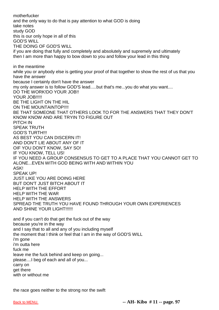motherfucker and the only way to do that is pay attention to what GOD is doing take notes study GOD this is our only hope in all of this GOD'S WILL THE DOING OF GOD'S WILL if you are doing that fully and completely and absolutely and supremely and ultimately then I am more than happy to bow down to you and follow your lead in this thing in the meantime while you or anybody else is getting your proof of that together to show the rest of us that you have the answer because I certainly don't have the answer my only answer is to follow GOD'S lead.....but that's me...you do what you want.... DO THE WORK!DO YOUR JOB!! YOUR JOB!!!!! BE THE LIGHT ON THE HIL ON THE MOUNTAINTOP!!!! BE THAT SOMEONE THAT OTHERS LOOK TO FOR THE ANSWERS THAT THEY DON'T KNOW KNOW AND ARE TRYIN TO FIGURE OUT PITCH IN SPEAK TRUTH GOD'S TURTH!!! AS BEST YOU CAN DISCERN IT! AND DON'T LIE ABOUT ANY OF IT OIF YOU DON'T KNOW, SAY SO! IF YOU KNOW, TELL US! IF YOU NEED A GROUP CONSENSUS TO GET TO A PLACE THAT YOU CANNOT GET TO ALONE...EVEN WITH GOD BEING WITH AND WITHIN YOU ASK! SPEAK UP! JUST LIKE YOU ARE DOING HERE BUT DON'T JUST BITCH ABOUT IT HELP WITH THE EFFORT HELP WITH THE WAR HELP WITH THE ANSWERS SPREAD THE TRUTH YOU HAVE FOUND THROUGH YOUR OWN EXPERIENCES AND SHINE YOUR LIGHT!!!!!! and if you can't do that get the fuck out of the way because you're in the way and I say that to all and any of you including myself the moment that I think or feel that I am in the way of GOD'S WILL i'm gone i'm outta here fuck me leave me the fuck behind and keep on going... please....I beg of each and all of you... carry on get there with or without me

the race goes neither to the strong nor the swift